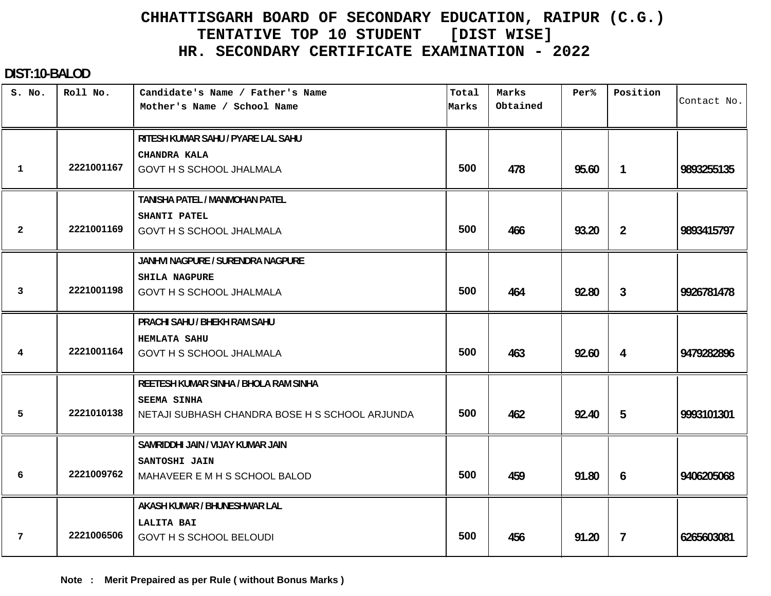#### **DIST:10-BALOD**

| S. No.       | Roll No.   | Candidate's Name / Father's Name<br>Mother's Name / School Name | Total<br>Marks | Marks<br>Obtained | Per%  | Position       | Contact No. |
|--------------|------------|-----------------------------------------------------------------|----------------|-------------------|-------|----------------|-------------|
|              |            |                                                                 |                |                   |       |                |             |
|              |            | RITESH KUMAR SAHU / PYARE LAL SAHU                              |                |                   |       |                |             |
|              |            | CHANDRA KALA                                                    |                |                   |       |                |             |
| $\mathbf 1$  | 2221001167 | <b>GOVT H S SCHOOL JHALMALA</b>                                 | 500            | 478               | 95.60 | $\mathbf{1}$   | 9893255135  |
|              |            | TANISHA PATEL / MANMOHAN PATEL                                  |                |                   |       |                |             |
|              |            | SHANTI PATEL                                                    |                |                   |       |                |             |
| $\mathbf{2}$ | 2221001169 | GOVT H S SCHOOL JHALMALA                                        | 500            | 466               | 93.20 | $\overline{2}$ | 9893415797  |
|              |            | JANHVI NAGPURE / SURENDRA NAGPURE                               |                |                   |       |                |             |
|              |            | <b>SHILA NAGPURE</b>                                            |                |                   |       |                |             |
| 3            | 2221001198 | <b>GOVT H S SCHOOL JHALMALA</b>                                 | 500            | 464               | 92.80 | 3              | 9926781478  |
|              |            | PRACHI SAHU / BHEKH RAM SAHU                                    |                |                   |       |                |             |
|              |            | <b>HEMLATA SAHU</b>                                             |                |                   |       |                |             |
| 4            | 2221001164 | GOVT H S SCHOOL JHALMALA                                        | 500            | 463               | 92.60 | 4              | 9479282896  |
|              |            | REETESH KUMAR SINHA / BHOLA RAM SINHA                           |                |                   |       |                |             |
|              |            | SEEMA SINHA                                                     |                |                   |       |                |             |
| 5            | 2221010138 | NETAJI SUBHASH CHANDRA BOSE H S SCHOOL ARJUNDA                  | 500            | 462               | 92.40 | 5              | 9993101301  |
|              |            | SAMRIDDHI JAIN / VIJAY KUMAR JAIN                               |                |                   |       |                |             |
|              |            | SANTOSHI JAIN                                                   |                |                   |       |                |             |
| 6            | 2221009762 | MAHAVEER E M H S SCHOOL BALOD                                   | 500            | 459               | 91.80 | 6              | 9406205068  |
|              |            | AKASH KUMAR / BHUNESHWAR LAL                                    |                |                   |       |                |             |
|              |            | LALITA BAI                                                      |                |                   |       |                |             |
| 7            | 2221006506 | <b>GOVT H S SCHOOL BELOUDI</b>                                  | 500            | 456               | 91.20 | $\overline{7}$ | 6265603081  |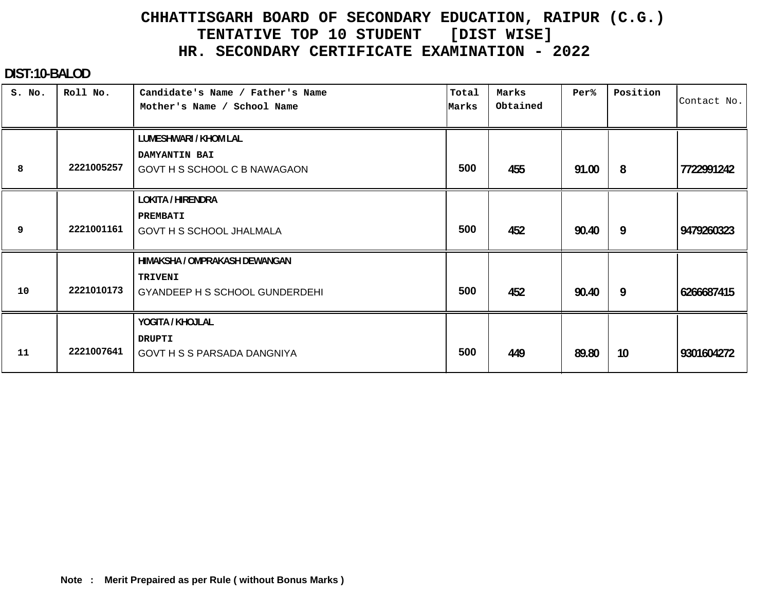#### **DIST:10-BALOD**

| S. No. | Roll No.   | Candidate's Name / Father's Name<br>Mother's Name / School Name                          | Total<br>Marks | Marks<br>Obtained | Per%  | Position | Contact No. |
|--------|------------|------------------------------------------------------------------------------------------|----------------|-------------------|-------|----------|-------------|
| 8      | 2221005257 | LUMESHWARI / KHOM LAL<br>DAMYANTIN BAI<br>GOVT H S SCHOOL C B NAWAGAON                   | 500            | 455               | 91.00 | 8        | 7722991242  |
| 9      | 2221001161 | <b>LOKITA / HIRENDRA</b><br>PREMBATI<br><b>GOVT H S SCHOOL JHALMALA</b>                  | 500            | 452               | 90.40 | 9        | 9479260323  |
| 10     | 2221010173 | HIMAKSHA / OMPRAKASH DEWANGAN<br><b>TRIVENI</b><br><b>GYANDEEP H S SCHOOL GUNDERDEHI</b> | 500            | 452               | 90.40 | 9        | 6266687415  |
| 11     | 2221007641 | YOGITA / KHOJLAL<br><b>DRUPTI</b><br>GOVT H S S PARSADA DANGNIYA                         | 500            | 449               | 89.80 | 10       | 9301604272  |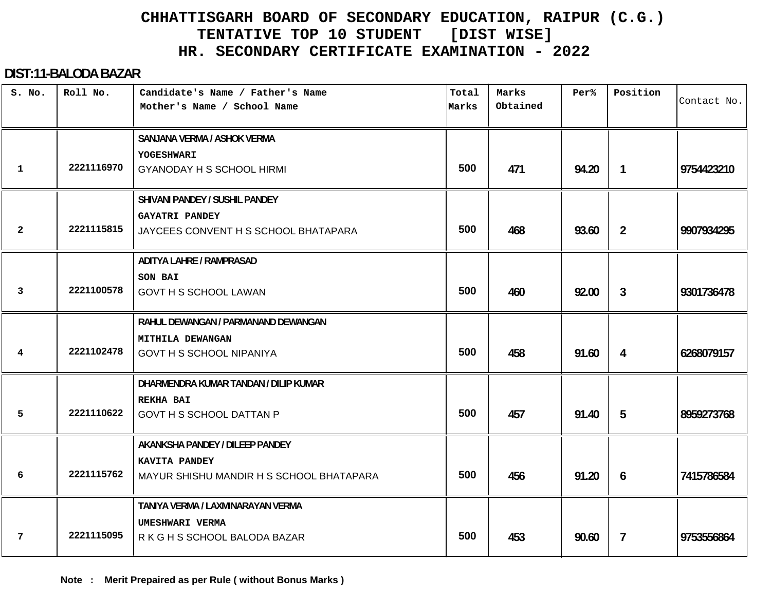#### **DIST:11-BALODA BAZAR**

| S. No.       | Roll No.   | Candidate's Name / Father's Name<br>Mother's Name / School Name                                 | Total<br>Marks | Marks<br>Obtained | Per%  | Position       | Contact No. |
|--------------|------------|-------------------------------------------------------------------------------------------------|----------------|-------------------|-------|----------------|-------------|
| 1            | 2221116970 | SANJANA VERMA / ASHOK VERMA<br>YOGESHWARI<br><b>GYANODAY H S SCHOOL HIRMI</b>                   | 500            | 471               | 94.20 | $\mathbf{1}$   | 9754423210  |
| $\mathbf{2}$ | 2221115815 | SHIVANI PANDEY / SUSHIL PANDEY<br><b>GAYATRI PANDEY</b><br>JAYCEES CONVENT H S SCHOOL BHATAPARA | 500            | 468               | 93.60 | $\overline{2}$ | 9907934295  |
| 3            | 2221100578 | <b>ADITYA LAHRE / RAMPRASAD</b><br>SON BAI<br><b>GOVT H S SCHOOL LAWAN</b>                      | 500            | 460               | 92.00 | $\mathbf{3}$   | 9301736478  |
| 4            | 2221102478 | RAHUL DEWANGAN / PARMANAND DEWANGAN<br>MITHILA DEWANGAN<br><b>GOVT H S SCHOOL NIPANIYA</b>      | 500            | 458               | 91.60 | 4              | 6268079157  |
| 5            | 2221110622 | DHARMENDRA KUMAR TANDAN / DILIP KUMAR<br><b>REKHA BAI</b><br>GOVT H S SCHOOL DATTAN P           | 500            | 457               | 91.40 | 5              | 8959273768  |
| 6            | 2221115762 | AKANKSHA PANDEY / DILEEP PANDEY<br>KAVITA PANDEY<br>MAYUR SHISHU MANDIR H S SCHOOL BHATAPARA    | 500            | 456               | 91.20 | 6              | 7415786584  |
| 7            | 2221115095 | TANIYA VERMA / LAXMINARAYAN VERMA<br>UMESHWARI VERMA<br>R K G H S SCHOOL BALODA BAZAR           | 500            | 453               | 90.60 | $\overline{7}$ | 9753556864  |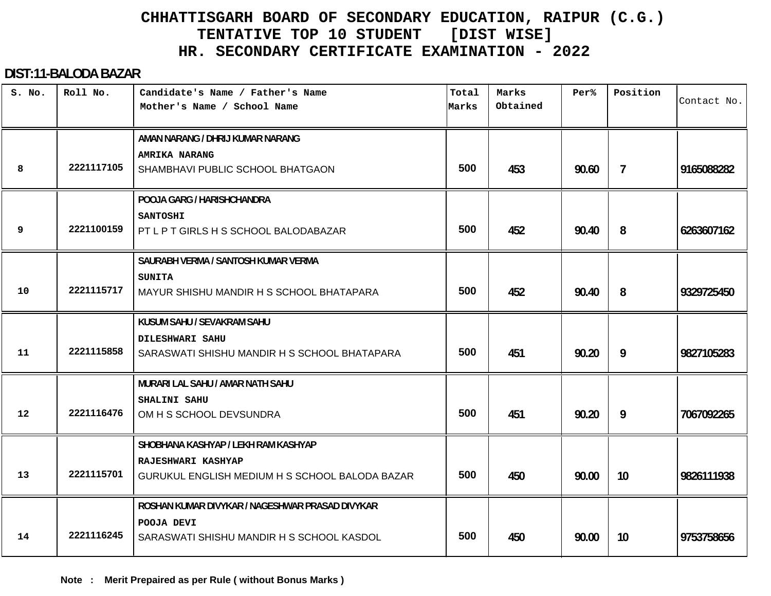#### **DIST:11-BALODA BAZAR**

| S. No.            | Roll No.   | Candidate's Name / Father's Name<br>Mother's Name / School Name             | Total<br>Marks | Marks<br>Obtained | Per%  | Position | Contact No. |
|-------------------|------------|-----------------------------------------------------------------------------|----------------|-------------------|-------|----------|-------------|
|                   |            | AMAN NARANG / DHRIJ KUMAR NARANG<br><b>AMRIKA NARANG</b>                    |                |                   |       |          |             |
| 8                 | 2221117105 | SHAMBHAVI PUBLIC SCHOOL BHATGAON                                            | 500            | 453               | 90.60 | 7        | 9165088282  |
|                   |            | POOJA GARG / HARISHCHANDRA                                                  |                |                   |       |          |             |
| 9                 | 2221100159 | <b>SANTOSHI</b><br>PT L P T GIRLS H S SCHOOL BALODABAZAR                    | 500            | 452               | 90.40 | 8        | 6263607162  |
|                   |            | SAURABH VERMA / SANTOSH KUMAR VERMA                                         |                |                   |       |          |             |
| 10                | 2221115717 | <b>SUNITA</b><br>MAYUR SHISHU MANDIR H S SCHOOL BHATAPARA                   | 500            | 452               | 90.40 | 8        | 9329725450  |
|                   |            | KUSUM SAHU / SEVAKRAM SAHU                                                  |                |                   |       |          |             |
| 11                | 2221115858 | <b>DILESHWARI SAHU</b><br>SARASWATI SHISHU MANDIR H S SCHOOL BHATAPARA      | 500            | 451               | 90.20 | 9        | 9827105283  |
|                   |            | MURARI LAL SAHU / AMAR NATH SAHU                                            |                |                   |       |          |             |
| $12 \overline{ }$ | 2221116476 | SHALINI SAHU<br>OM H S SCHOOL DEVSUNDRA                                     | 500            | 451               | 90.20 | 9        | 7067092265  |
|                   |            | SHOBHANA KASHYAP / LEKH RAM KASHYAP                                         |                |                   |       |          |             |
| 13                | 2221115701 | <b>RAJESHWARI KASHYAP</b><br>GURUKUL ENGLISH MEDIUM H S SCHOOL BALODA BAZAR | 500            | 450               | 90.00 | 10       | 9826111938  |
|                   |            | ROSHAN KUMAR DIVYKAR / NAGESHWAR PRASAD DIVYKAR                             |                |                   |       |          |             |
| 14                | 2221116245 | POOJA DEVI<br>SARASWATI SHISHU MANDIR H S SCHOOL KASDOL                     | 500            | 450               | 90.00 | 10       | 9753758656  |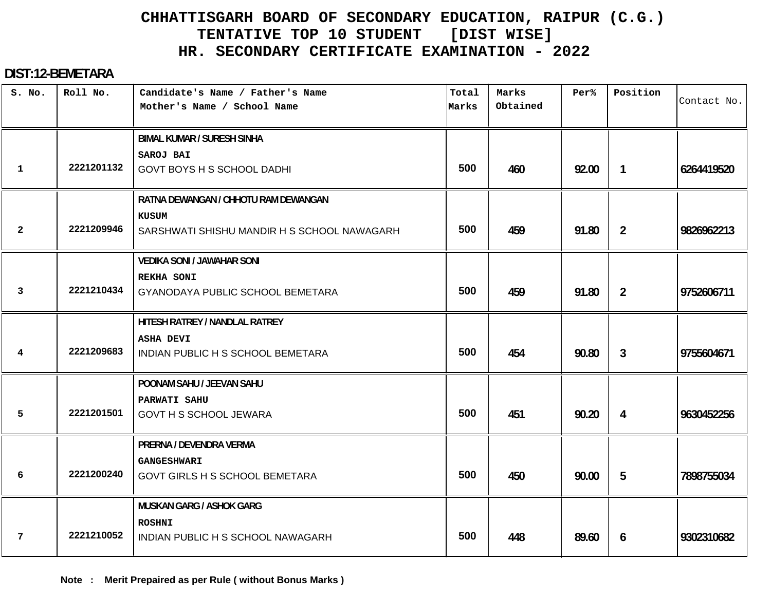#### **DIST:12-BEMETARA**

| S. No.       | Roll No.   | Candidate's Name / Father's Name<br>Mother's Name / School Name | Total<br>Marks | Marks<br>Obtained | Per%  | Position       | Contact No. |
|--------------|------------|-----------------------------------------------------------------|----------------|-------------------|-------|----------------|-------------|
|              |            | <b>BIMAL KUMAR / SURESH SINHA</b>                               |                |                   |       |                |             |
| $\mathbf 1$  | 2221201132 | SAROJ BAI<br><b>GOVT BOYS H S SCHOOL DADHI</b>                  | 500            | 460               | 92.00 | $\mathbf{1}$   | 6264419520  |
|              |            | RATNA DEWANGAN / CHHOTU RAM DEWANGAN                            |                |                   |       |                |             |
| $\mathbf{2}$ | 2221209946 | KUSUM<br>SARSHWATI SHISHU MANDIR H S SCHOOL NAWAGARH            | 500            | 459               | 91.80 | $\overline{2}$ | 9826962213  |
|              |            | <b>VEDIKA SONI / JAWAHAR SONI</b>                               |                |                   |       |                |             |
| 3            | 2221210434 | <b>REKHA SONI</b><br>GYANODAYA PUBLIC SCHOOL BEMETARA           | 500            | 459               | 91.80 | $\overline{2}$ | 9752606711  |
|              |            | HITESH RATREY / NANDLAL RATREY                                  |                |                   |       |                |             |
| 4            | 2221209683 | <b>ASHA DEVI</b><br>INDIAN PUBLIC H S SCHOOL BEMETARA           | 500            | 454               | 90.80 | $\mathbf{3}$   | 9755604671  |
|              |            | POONAM SAHU / JEEVAN SAHU                                       |                |                   |       |                |             |
| 5            | 2221201501 | PARWATI SAHU<br><b>GOVT H S SCHOOL JEWARA</b>                   | 500            | 451               | 90.20 | 4              | 9630452256  |
|              |            | PRERNA / DEVENDRA VERMA                                         |                |                   |       |                |             |
| 6            | 2221200240 | <b>GANGESHWARI</b><br>GOVT GIRLS H S SCHOOL BEMETARA            | 500            | 450               | 90.00 | 5              | 7898755034  |
|              |            | <b>MUSKAN GARG / ASHOK GARG</b>                                 |                |                   |       |                |             |
| 7            | 2221210052 | <b>ROSHNI</b><br>INDIAN PUBLIC H S SCHOOL NAWAGARH              | 500            | 448               | 89.60 | 6              | 9302310682  |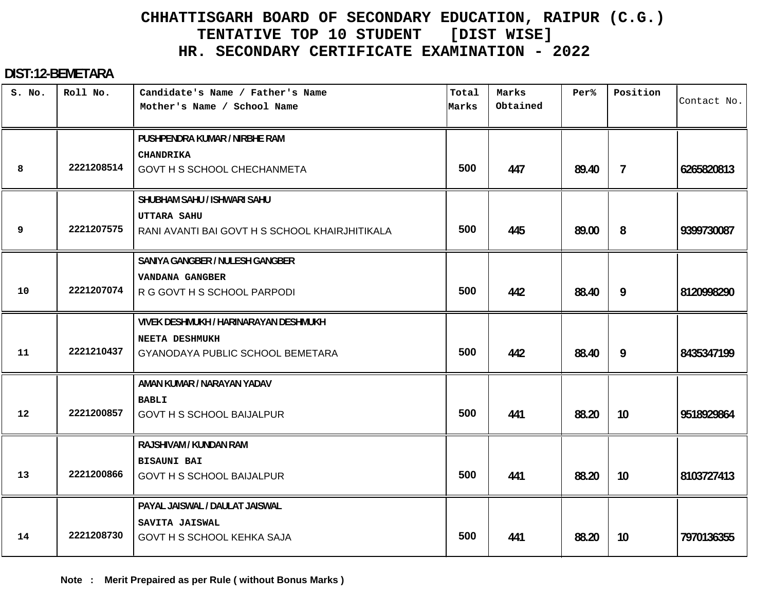#### **DIST:12-BEMETARA**

| S. No.            | Roll No.   | Candidate's Name / Father's Name<br>Mother's Name / School Name      | Total<br>Marks | Marks<br>Obtained | Per%  | Position       | Contact No. |
|-------------------|------------|----------------------------------------------------------------------|----------------|-------------------|-------|----------------|-------------|
|                   |            | PUSHPENDRA KUMAR / NIRBHE RAM                                        |                |                   |       |                |             |
| 8                 | 2221208514 | <b>CHANDRIKA</b><br>GOVT H S SCHOOL CHECHANMETA                      | 500            | 447               | 89.40 | $\overline{7}$ | 6265820813  |
|                   |            | SHUBHAM SAHU / ISHWARI SAHU                                          |                |                   |       |                |             |
| 9                 | 2221207575 | <b>UTTARA SAHU</b><br>RANI AVANTI BAI GOVT H S SCHOOL KHAIRJHITIKALA | 500            | 445               | 89.00 | 8              | 9399730087  |
|                   |            | SANIYA GANGBER / NULESH GANGBER                                      |                |                   |       |                |             |
| 10                | 2221207074 | VANDANA GANGBER<br>R G GOVT H S SCHOOL PARPODI                       | 500            | 442               | 88.40 | 9              | 8120998290  |
|                   |            | <b>VIVEK DESHMUKH / HARINARAYAN DESHMUKH</b>                         |                |                   |       |                |             |
| 11                | 2221210437 | NEETA DESHMUKH<br>GYANODAYA PUBLIC SCHOOL BEMETARA                   | 500            | 442               | 88.40 | 9              | 8435347199  |
|                   |            | AMAN KUMAR / NARAYAN YADAV                                           |                |                   |       |                |             |
| $12 \overline{ }$ | 2221200857 | <b>BABLI</b><br><b>GOVT H S SCHOOL BAIJALPUR</b>                     | 500            | 441               | 88.20 | 10             | 9518929864  |
|                   |            | RAJSHIVAM / KUNDAN RAM                                               |                |                   |       |                |             |
| 13                | 2221200866 | <b>BISAUNI BAI</b><br><b>GOVT H S SCHOOL BAIJALPUR</b>               | 500            | 441               | 88.20 | 10             | 8103727413  |
|                   |            | PAYAL JAISWAL / DAULAT JAISWAL                                       |                |                   |       |                |             |
| 14                | 2221208730 | SAVITA JAISWAL<br>GOVT H S SCHOOL KEHKA SAJA                         | 500            | 441               | 88.20 | 10             | 7970136355  |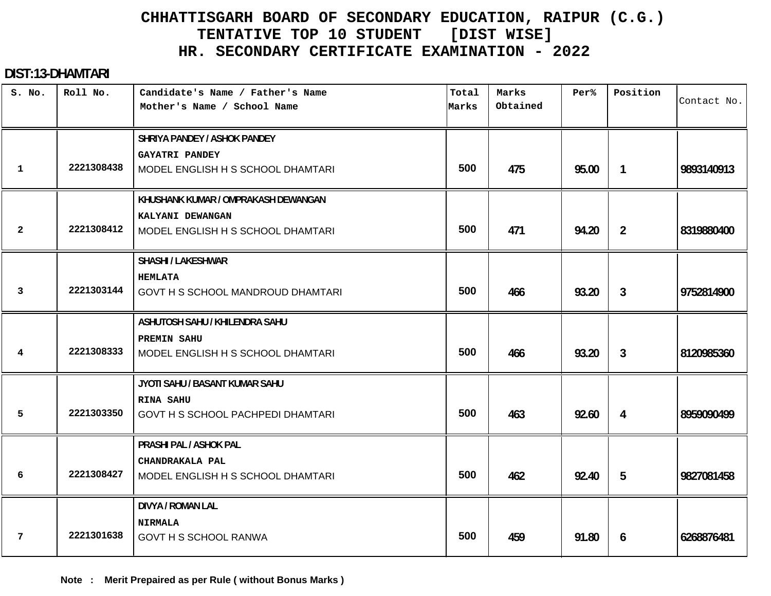#### **DIST:13-DHAMTARI**

| S. No.         | Roll No.   | Candidate's Name / Father's Name<br>Mother's Name / School Name | Total<br>Marks | Marks<br>Obtained | Per%  | Position       | Contact No. |
|----------------|------------|-----------------------------------------------------------------|----------------|-------------------|-------|----------------|-------------|
|                |            | SHRIYA PANDEY / ASHOK PANDEY<br><b>GAYATRI PANDEY</b>           |                |                   |       |                |             |
| $\mathbf{1}$   | 2221308438 | MODEL ENGLISH H S SCHOOL DHAMTARI                               | 500            | 475               | 95.00 | 1              | 9893140913  |
|                |            | KHUSHANK KUMAR / OMPRAKASH DEWANGAN                             |                |                   |       |                |             |
| $\overline{a}$ | 2221308412 | KALYANI DEWANGAN<br>MODEL ENGLISH H S SCHOOL DHAMTARI           | 500            | 471               | 94.20 | $\overline{2}$ | 8319880400  |
|                |            | <b>SHASHI / LAKESHWAR</b>                                       |                |                   |       |                |             |
| 3              | 2221303144 | <b>HEMLATA</b><br>GOVT H S SCHOOL MANDROUD DHAMTARI             | 500            | 466               | 93.20 | $\mathbf{3}$   | 9752814900  |
|                |            | ASHUTOSH SAHU / KHILENDRA SAHU                                  |                |                   |       |                |             |
| 4              | 2221308333 | <b>PREMIN SAHU</b><br>MODEL ENGLISH H S SCHOOL DHAMTARI         | 500            | 466               | 93.20 | $\mathbf{3}$   | 8120985360  |
|                |            | JYOTI SAHU / BASANT KUMAR SAHU                                  |                |                   |       |                |             |
| 5              | 2221303350 | <b>RINA SAHU</b><br>GOVT H S SCHOOL PACHPEDI DHAMTARI           | 500            | 463               | 92.60 | 4              | 8959090499  |
|                |            | PRASHI PAL / ASHOK PAL                                          |                |                   |       |                |             |
| 6              | 2221308427 | CHANDRAKALA PAL<br>MODEL ENGLISH H S SCHOOL DHAMTARI            | 500            | 462               | 92.40 | 5              | 9827081458  |
|                |            | <b>DIVYA / ROMAN LAL</b>                                        |                |                   |       |                |             |
| 7              | 2221301638 | <b>NIRMALA</b><br><b>GOVT H S SCHOOL RANWA</b>                  | 500            | 459               | 91.80 | 6              | 6268876481  |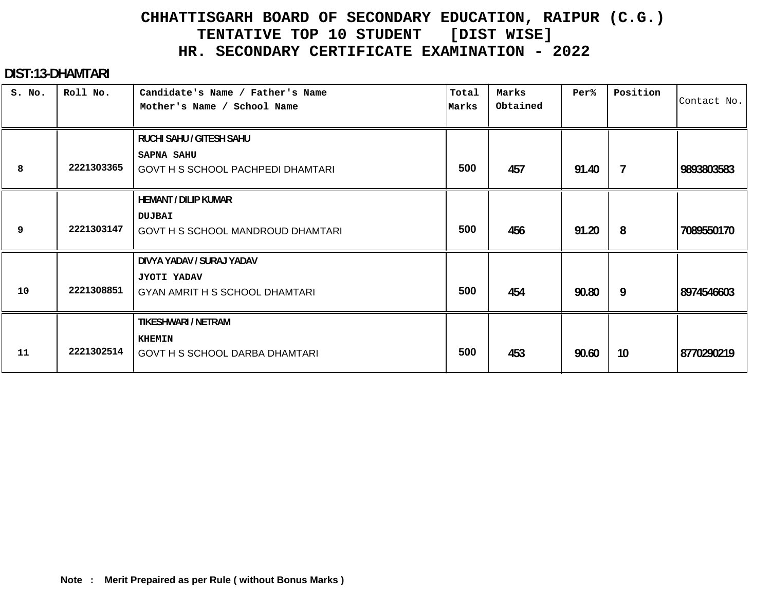#### **DIST:13-DHAMTARI**

| S. No. | Roll No.   | Candidate's Name / Father's Name<br>Mother's Name / School Name                      | Total<br>Marks | Marks<br>Obtained | Per%  | Position       | Contact No. |
|--------|------------|--------------------------------------------------------------------------------------|----------------|-------------------|-------|----------------|-------------|
| 8      | 2221303365 | RUCHI SAHU / GITESH SAHU<br><b>SAPNA SAHU</b><br>GOVT H S SCHOOL PACHPEDI DHAMTARI   | 500            | 457               | 91.40 | $\overline{7}$ | 9893803583  |
| 9      | 2221303147 | <b>HEMANT / DILIP KUMAR</b><br><b>DUJBAI</b><br>GOVT H S SCHOOL MANDROUD DHAMTARI    | 500            | 456               | 91.20 | 8              | 7089550170  |
| 10     | 2221308851 | DIVYA YADAV / SURAJ YADAV<br><b>JYOTI YADAV</b><br>GYAN AMRIT H S SCHOOL DHAMTARI    | 500            | 454               | 90.80 | 9              | 8974546603  |
| 11     | 2221302514 | <b>TIKESHWARI / NETRAM</b><br><b>KHEMIN</b><br><b>GOVT H S SCHOOL DARBA DHAMTARI</b> | 500            | 453               | 90.60 | 10             | 8770290219  |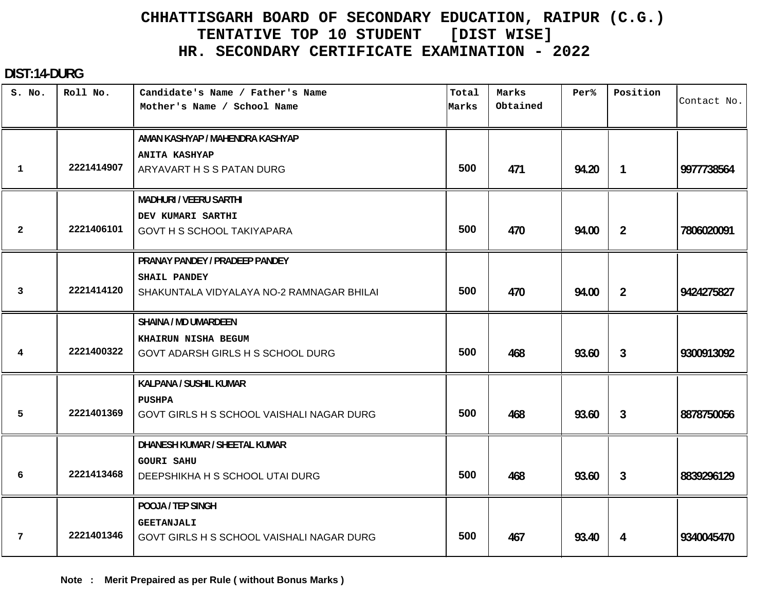#### **DIST:14-DURG**

| S. No.         | Roll No.   | Candidate's Name / Father's Name          | Total | Marks    | Per%  | Position       | Contact No. |
|----------------|------------|-------------------------------------------|-------|----------|-------|----------------|-------------|
|                |            | Mother's Name / School Name               | Marks | Obtained |       |                |             |
|                |            | AMAN KASHYAP / MAHENDRA KASHYAP           |       |          |       |                |             |
|                |            | <b>ANITA KASHYAP</b>                      |       |          |       |                |             |
| $\mathbf{1}$   | 2221414907 | ARYAVART H S S PATAN DURG                 | 500   | 471      | 94.20 | $\mathbf{1}$   | 9977738564  |
|                |            | <b>MADHURI / VEERU SARTHI</b>             |       |          |       |                |             |
|                |            | DEV KUMARI SARTHI                         |       |          |       |                |             |
| $\overline{a}$ | 2221406101 | GOVT H S SCHOOL TAKIYAPARA                | 500   | 470      | 94.00 | $\overline{2}$ | 7806020091  |
|                |            | PRANAY PANDEY / PRADEEP PANDEY            |       |          |       |                |             |
|                |            | SHAIL PANDEY                              |       |          |       |                |             |
| 3              | 2221414120 | SHAKUNTALA VIDYALAYA NO-2 RAMNAGAR BHILAI | 500   | 470      | 94.00 | $\overline{2}$ | 9424275827  |
|                |            | <b>SHAINA / MD UMARDEEN</b>               |       |          |       |                |             |
|                |            | KHAIRUN NISHA BEGUM                       |       |          |       |                |             |
| $\overline{4}$ | 2221400322 | GOVT ADARSH GIRLS H S SCHOOL DURG         | 500   | 468      | 93.60 | $\mathbf{3}$   | 9300913092  |
|                |            | KALPANA / SUSHIL KUMAR                    |       |          |       |                |             |
|                |            | <b>PUSHPA</b>                             |       |          |       |                |             |
| 5              | 2221401369 | GOVT GIRLS H S SCHOOL VAISHALI NAGAR DURG | 500   | 468      | 93.60 | 3              | 8878750056  |
|                |            | DHANESH KUMAR / SHEETAL KUMAR             |       |          |       |                |             |
|                |            | <b>GOURI SAHU</b>                         |       |          |       |                |             |
| 6              | 2221413468 | DEEPSHIKHA H S SCHOOL UTAI DURG           | 500   | 468      | 93.60 | $\mathbf{3}$   | 8839296129  |
|                |            | POOJA / TEP SINGH                         |       |          |       |                |             |
|                |            | <b>GEETANJALI</b>                         |       |          |       |                |             |
| $\overline{7}$ | 2221401346 | GOVT GIRLS H S SCHOOL VAISHALI NAGAR DURG | 500   | 467      | 93.40 | 4              | 9340045470  |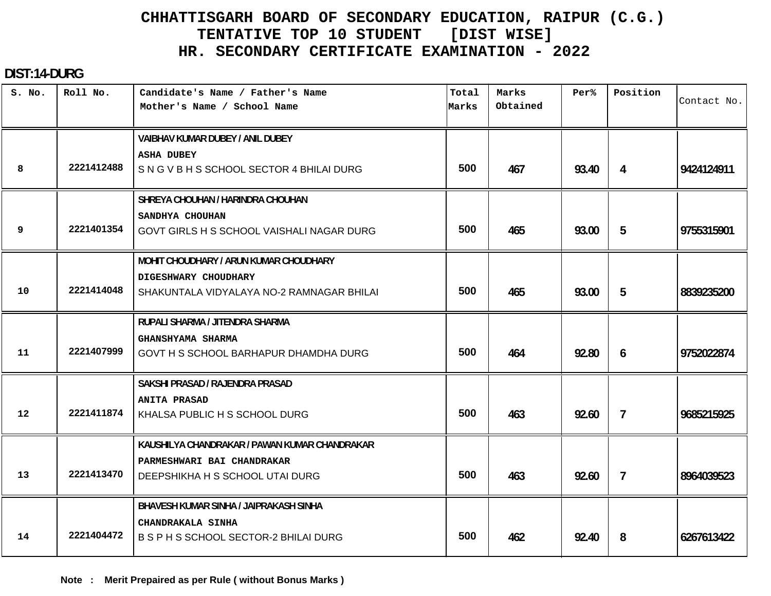#### **DIST:14-DURG**

| S. No. | Roll No.   | Candidate's Name / Father's Name<br>Mother's Name / School Name | Total<br>Marks | Marks<br>Obtained | Per%  | Position       | Contact No. |
|--------|------------|-----------------------------------------------------------------|----------------|-------------------|-------|----------------|-------------|
|        |            | VAIBHAV KUMAR DUBEY / ANIL DUBEY                                |                |                   |       |                |             |
|        |            | <b>ASHA DUBEY</b>                                               |                |                   |       |                |             |
| 8      | 2221412488 | SNGVBHSSCHOOL SECTOR 4 BHILAI DURG                              | 500            | 467               | 93.40 | 4              | 9424124911  |
|        |            | SHREYA CHOUHAN / HARINDRA CHOUHAN                               |                |                   |       |                |             |
|        |            | SANDHYA CHOUHAN                                                 |                |                   |       |                |             |
| 9      | 2221401354 | GOVT GIRLS H S SCHOOL VAISHALI NAGAR DURG                       | 500            | 465               | 93.00 | 5              | 9755315901  |
|        |            | MOHIT CHOUDHARY / ARUN KUMAR CHOUDHARY                          |                |                   |       |                |             |
|        |            | DIGESHWARY CHOUDHARY                                            |                |                   |       |                |             |
| 10     | 2221414048 | SHAKUNTALA VIDYALAYA NO-2 RAMNAGAR BHILAI                       | 500            | 465               | 93.00 | 5              | 8839235200  |
|        |            | RUPALI SHARMA / JITENDRA SHARMA                                 |                |                   |       |                |             |
|        |            | GHANSHYAMA SHARMA                                               |                |                   |       |                |             |
| 11     | 2221407999 | GOVT H S SCHOOL BARHAPUR DHAMDHA DURG                           | 500            | 464               | 92.80 | 6              | 9752022874  |
|        |            | SAKSHI PRASAD / RAJENDRA PRASAD                                 |                |                   |       |                |             |
|        |            | <b>ANITA PRASAD</b>                                             |                |                   |       |                |             |
| 12     | 2221411874 | KHALSA PUBLIC H S SCHOOL DURG                                   | 500            | 463               | 92.60 | $\overline{7}$ | 9685215925  |
|        |            | KAUSHILYA CHANDRAKAR / PAWAN KUMAR CHANDRAKAR                   |                |                   |       |                |             |
|        |            | PARMESHWARI BAI CHANDRAKAR                                      |                |                   |       |                |             |
| 13     | 2221413470 | DEEPSHIKHA H S SCHOOL UTAI DURG                                 | 500            | 463               | 92.60 | $\overline{7}$ | 8964039523  |
|        |            | BHAVESH KUMAR SINHA / JAIPRAKASH SINHA                          |                |                   |       |                |             |
|        |            | CHANDRAKALA SINHA                                               |                |                   |       |                |             |
| 14     | 2221404472 | B S P H S SCHOOL SECTOR-2 BHILAI DURG                           | 500            | 462               | 92.40 | 8              | 6267613422  |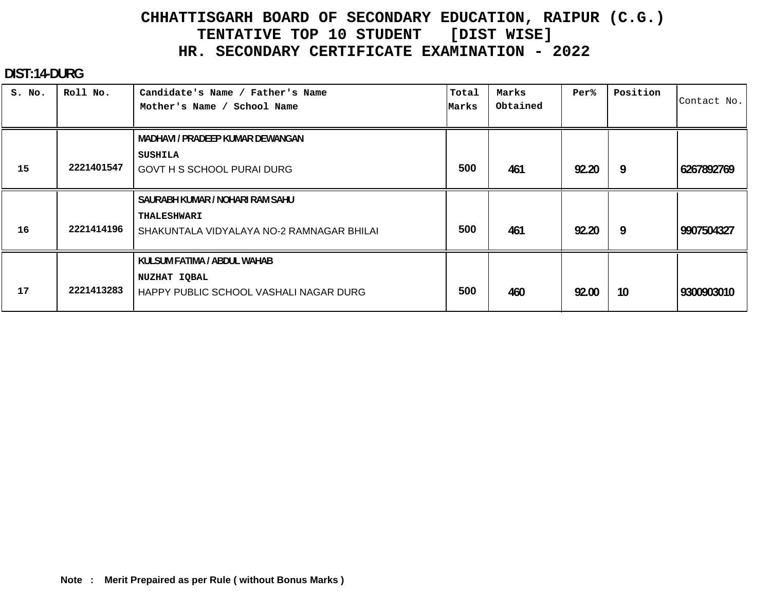#### **DIST:14-DURG**

| S. No. | Roll No.   | Candidate's Name / Father's Name<br>Mother's Name / School Name                                    | Total<br>Marks | Marks<br>Obtained | Per%  | Position | Contact No. |
|--------|------------|----------------------------------------------------------------------------------------------------|----------------|-------------------|-------|----------|-------------|
|        |            | <b>MADHAVI / PRADEEP KUMAR DEWANGAN</b>                                                            |                |                   |       |          |             |
| 15     | 2221401547 | SUSHILA<br><b>GOVT H S SCHOOL PURAI DURG</b>                                                       | 500            | 461               | 92.20 | 9        | 6267892769  |
| 16     | 2221414196 | SAURABH KUMAR / NOHARI RAM SAHU<br><b>THALESHWARI</b><br>SHAKUNTALA VIDYALAYA NO-2 RAMNAGAR BHILAI | 500            | 461               | 92.20 | 9        | 9907504327  |
| 17     | 2221413283 | KULSUM FATIMA / ABDUL WAHAB<br>NUZHAT IQBAL<br>HAPPY PUBLIC SCHOOL VASHALI NAGAR DURG              | 500            | 460               | 92.00 | 10       | 9300903010  |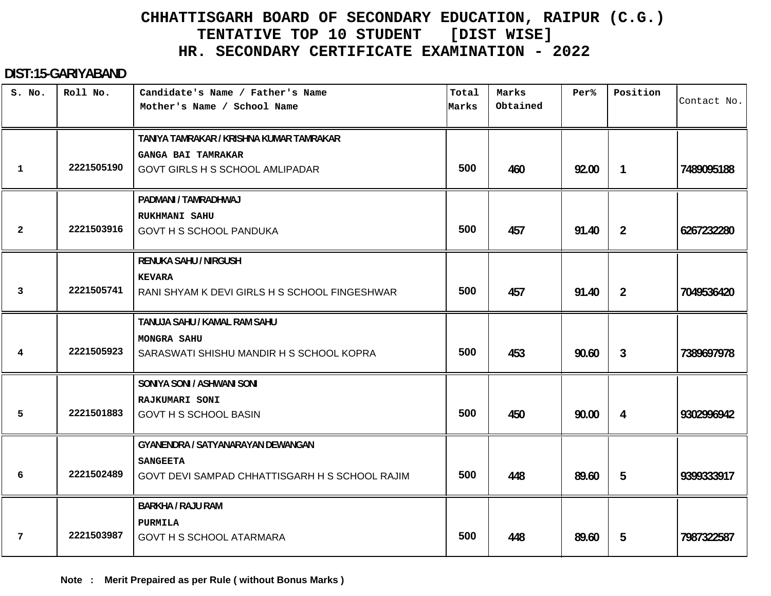#### **DIST:15-GARIYABAND**

| S. No.       | Roll No.   | Candidate's Name / Father's Name<br>Mother's Name / School Name   | Total<br>Marks | Marks<br>Obtained | Per <sup>8</sup> | Position       | Contact No. |
|--------------|------------|-------------------------------------------------------------------|----------------|-------------------|------------------|----------------|-------------|
|              |            | TANIYA TAMRAKAR / KRISHNA KUMAR TAMRAKAR                          |                |                   |                  |                |             |
| 1            | 2221505190 | <b>GANGA BAI TAMRAKAR</b><br>GOVT GIRLS H S SCHOOL AMLIPADAR      | 500            | 460               | 92.00            | $\mathbf{1}$   | 7489095188  |
|              |            | PADMANI / TAMRADHWAJ                                              |                |                   |                  |                |             |
| $\mathbf{2}$ | 2221503916 | <b>RUKHMANI SAHU</b><br>GOVT H S SCHOOL PANDUKA                   | 500            | 457               | 91.40            | $\overline{2}$ | 6267232280  |
|              |            | <b>RENUKA SAHU / NIRGUSH</b>                                      |                |                   |                  |                |             |
| 3            | 2221505741 | <b>KEVARA</b><br>RANI SHYAM K DEVI GIRLS H S SCHOOL FINGESHWAR    | 500            | 457               | 91.40            | $\overline{2}$ | 7049536420  |
|              |            | TANUJA SAHU / KAMAL RAM SAHU                                      |                |                   |                  |                |             |
| 4            | 2221505923 | <b>MONGRA SAHU</b><br>SARASWATI SHISHU MANDIR H S SCHOOL KOPRA    | 500            | 453               | 90.60            | $\mathbf{3}$   | 7389697978  |
|              |            | SONIYA SONI / ASHWANI SONI                                        |                |                   |                  |                |             |
| 5            | 2221501883 | RAJKUMARI SONI<br><b>GOVT H S SCHOOL BASIN</b>                    | 500            | 450               | 90.00            | 4              | 9302996942  |
|              |            | GYANENDRA / SATYANARAYAN DEWANGAN                                 |                |                   |                  |                |             |
| 6            | 2221502489 | <b>SANGEETA</b><br>GOVT DEVI SAMPAD CHHATTISGARH H S SCHOOL RAJIM | 500            | 448               | 89.60            | 5              | 9399333917  |
|              |            | <b>BARKHA / RAJU RAM</b>                                          |                |                   |                  |                |             |
| 7            | 2221503987 | PURMILA<br><b>GOVT H S SCHOOL ATARMARA</b>                        | 500            | 448               | 89.60            | 5              | 7987322587  |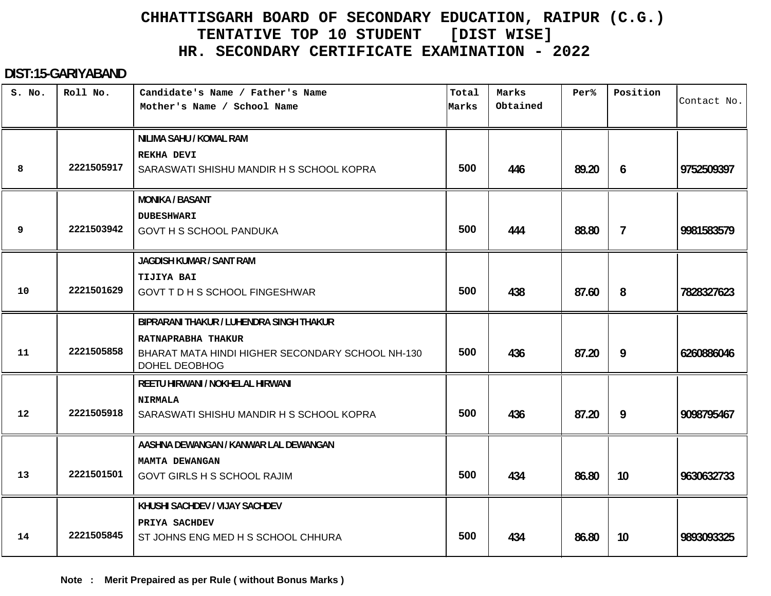#### **DIST:15-GARIYABAND**

| S. No. | Roll No.   | Candidate's Name / Father's Name<br>Mother's Name / School Name                                | Total<br>Marks | Marks<br>Obtained | Per%  | Position       | Contact No. |
|--------|------------|------------------------------------------------------------------------------------------------|----------------|-------------------|-------|----------------|-------------|
|        |            | NILIMA SAHU / KOMAL RAM<br><b>REKHA DEVI</b>                                                   |                |                   |       |                |             |
| 8      | 2221505917 | SARASWATI SHISHU MANDIR H S SCHOOL KOPRA                                                       | 500            | 446               | 89.20 | 6              | 9752509397  |
|        |            | <b>MONIKA / BASANT</b>                                                                         |                |                   |       |                |             |
| 9      | 2221503942 | <b>DUBESHWARI</b><br><b>GOVT H S SCHOOL PANDUKA</b>                                            | 500            | 444               | 88.80 | $\overline{7}$ | 9981583579  |
|        |            | JAGDISH KUMAR / SANT RAM                                                                       |                |                   |       |                |             |
| 10     | 2221501629 | <b>TIJIYA BAI</b><br><b>GOVT T D H S SCHOOL FINGESHWAR</b>                                     | 500            | 438               | 87.60 | 8              | 7828327623  |
|        |            | BIPRARANI THAKUR / LUHENDRA SINGH THAKUR                                                       |                |                   |       |                |             |
| 11     | 2221505858 | RATNAPRABHA THAKUR<br>BHARAT MATA HINDI HIGHER SECONDARY SCHOOL NH-130<br><b>DOHEL DEOBHOG</b> | 500            | 436               | 87.20 | 9              | 6260886046  |
|        |            | REETU HIRWANI / NOKHELAL HIRWANI                                                               |                |                   |       |                |             |
| 12     | 2221505918 | <b>NIRMALA</b><br>SARASWATI SHISHU MANDIR H S SCHOOL KOPRA                                     | 500            | 436               | 87.20 | 9              | 9098795467  |
|        |            | AASHNA DEWANGAN / KANWAR LAL DEWANGAN                                                          |                |                   |       |                |             |
| 13     | 2221501501 | MAMTA DEWANGAN<br><b>GOVT GIRLS H S SCHOOL RAJIM</b>                                           | 500            | 434               | 86.80 | 10             | 9630632733  |
| 14     | 2221505845 | KHUSHI SACHDEV / VIJAY SACHDEV<br>PRIYA SACHDEV<br>ST JOHNS ENG MED H S SCHOOL CHHURA          | 500            | 434               | 86.80 | 10             | 9893093325  |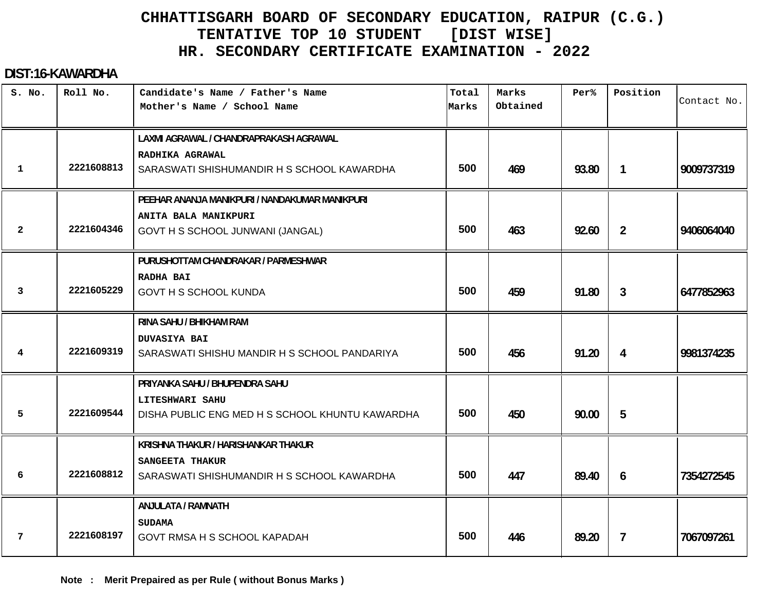#### **DIST:16-KAWARDHA**

| S. No.         | Roll No.   | Candidate's Name / Father's Name<br>Mother's Name / School Name     | Total<br>Marks | Marks<br>Obtained | Per%  | Position       | Contact No. |
|----------------|------------|---------------------------------------------------------------------|----------------|-------------------|-------|----------------|-------------|
|                |            | LAXMI AGRAWAL / CHANDRAPRAKASH AGRAWAL                              |                |                   |       |                |             |
| 1              | 2221608813 | RADHIKA AGRAWAL<br>SARASWATI SHISHUMANDIR H S SCHOOL KAWARDHA       | 500            | 469               | 93.80 | $\mathbf{1}$   | 9009737319  |
|                |            | PEEHAR ANANJA MANIKPURI / NANDAKUMAR MANIKPURI                      |                |                   |       |                |             |
| $\overline{2}$ | 2221604346 | ANITA BALA MANIKPURI<br>GOVT H S SCHOOL JUNWANI (JANGAL)            | 500            | 463               | 92.60 | $\overline{2}$ | 9406064040  |
|                |            | PURUSHOTTAM CHANDRAKAR / PARMESHWAR                                 |                |                   |       |                |             |
| 3              | 2221605229 | <b>RADHA BAI</b><br><b>GOVT H S SCHOOL KUNDA</b>                    | 500            | 459               | 91.80 | $\mathbf{3}$   | 6477852963  |
|                |            | RINA SAHU / BHIKHAM RAM                                             |                |                   |       |                |             |
| 4              | 2221609319 | <b>DUVASIYA BAI</b><br>SARASWATI SHISHU MANDIR H S SCHOOL PANDARIYA | 500            | 456               | 91.20 | 4              | 9981374235  |
|                |            | PRIYANKA SAHU / BHUPENDRA SAHU                                      |                |                   |       |                |             |
| 5              | 2221609544 | LITESHWARI SAHU<br>DISHA PUBLIC ENG MED H S SCHOOL KHUNTU KAWARDHA  | 500            | 450               | 90.00 | 5              |             |
|                |            | KRISHNA THAKUR / HARISHANKAR THAKUR                                 |                |                   |       |                |             |
| 6              | 2221608812 | SANGEETA THAKUR<br>SARASWATI SHISHUMANDIR H S SCHOOL KAWARDHA       | 500            | 447               | 89.40 | 6              | 7354272545  |
|                |            | ANJULATA / RAMNATH                                                  |                |                   |       |                |             |
| 7              | 2221608197 | <b>SUDAMA</b><br>GOVT RMSA H S SCHOOL KAPADAH                       | 500            | 446               | 89.20 | $\overline{7}$ | 7067097261  |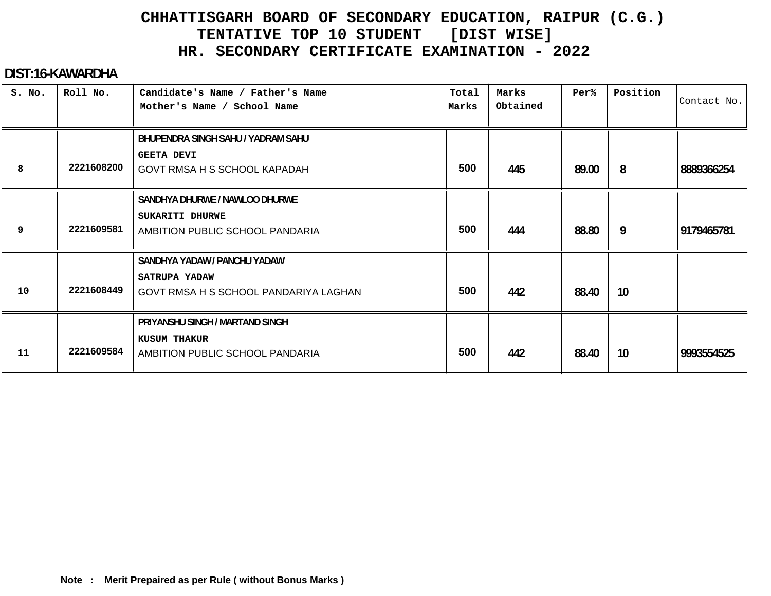#### **DIST:16-KAWARDHA**

| S. No. | Roll No.   | Candidate's Name / Father's Name<br>Mother's Name / School Name                               | Total<br>Marks | Marks<br>Obtained | Per%  | Position | Contact No. |
|--------|------------|-----------------------------------------------------------------------------------------------|----------------|-------------------|-------|----------|-------------|
| 8      | 2221608200 | BHUPENDRA SINGH SAHU / YADRAM SAHU<br><b>GEETA DEVI</b><br>GOVT RMSA H S SCHOOL KAPADAH       | 500            | 445               | 89.00 | 8        | 8889366254  |
| 9      | 2221609581 | SANDHYA DHURWE / NAWLOO DHURWE<br>SUKARITI DHURWE<br>AMBITION PUBLIC SCHOOL PANDARIA          | 500            | 444               | 88.80 | 9        | 9179465781  |
| 10     | 2221608449 | SANDHYA YADAW / PANCHU YADAW<br><b>SATRUPA YADAW</b><br>GOVT RMSA H S SCHOOL PANDARIYA LAGHAN | 500            | 442               | 88.40 | 10       |             |
| 11     | 2221609584 | PRIYANSHU SINGH / MARTAND SINGH<br><b>KUSUM THAKUR</b><br>AMBITION PUBLIC SCHOOL PANDARIA     | 500            | 442               | 88.40 | 10       | 9993554525  |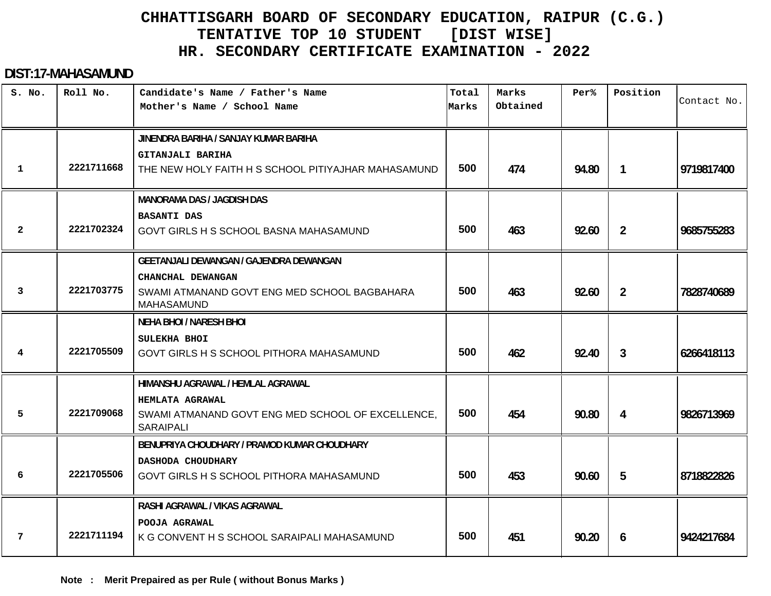#### **DIST:17-MAHASAMUND**

| S. No. | Roll No.   | Candidate's Name / Father's Name<br>Mother's Name / School Name         | Total<br>Marks | Marks<br>Obtained | Per%  | Position       | Contact No. |
|--------|------------|-------------------------------------------------------------------------|----------------|-------------------|-------|----------------|-------------|
|        |            | JINENDRA BARIHA / SANJAY KUMAR BARIHA                                   |                |                   |       |                |             |
| 1      | 2221711668 | GITANJALI BARIHA<br>THE NEW HOLY FAITH H S SCHOOL PITIYAJHAR MAHASAMUND | 500            | 474               | 94.80 |                | 9719817400  |
|        |            |                                                                         |                |                   |       | $\mathbf{1}$   |             |
|        |            | <b>MANORAMA DAS / JAGDISH DAS</b>                                       |                |                   |       |                |             |
| 2      | 2221702324 | <b>BASANTI DAS</b><br>GOVT GIRLS H S SCHOOL BASNA MAHASAMUND            | 500            | 463               | 92.60 | $\overline{2}$ | 9685755283  |
|        |            |                                                                         |                |                   |       |                |             |
|        |            | <b>GEETANJALI DEWANGAN / GAJENDRA DEWANGAN</b>                          |                |                   |       |                |             |
|        |            | CHANCHAL DEWANGAN                                                       |                |                   |       |                |             |
| 3      | 2221703775 | SWAMI ATMANAND GOVT ENG MED SCHOOL BAGBAHARA<br><b>MAHASAMUND</b>       | 500            | 463               | 92.60 | $\overline{2}$ | 7828740689  |
|        |            | <b>NEHA BHOI / NARESH BHOI</b>                                          |                |                   |       |                |             |
|        |            | SULEKHA BHOI                                                            |                |                   |       |                |             |
| 4      | 2221705509 | GOVT GIRLS H S SCHOOL PITHORA MAHASAMUND                                | 500            | 462               | 92.40 | $\mathbf{3}$   | 6266418113  |
|        |            | HIMANSHU AGRAWAL / HEMLAL AGRAWAL                                       |                |                   |       |                |             |
|        |            | <b>HEMLATA AGRAWAL</b>                                                  |                |                   |       |                |             |
| 5      | 2221709068 | SWAMI ATMANAND GOVT ENG MED SCHOOL OF EXCELLENCE,<br><b>SARAIPALI</b>   | 500            | 454               | 90.80 | 4              | 9826713969  |
|        |            | BENUPRIYA CHOUDHARY / PRAMOD KUMAR CHOUDHARY                            |                |                   |       |                |             |
|        |            | DASHODA CHOUDHARY                                                       |                |                   |       |                |             |
| 6      | 2221705506 | GOVT GIRLS H S SCHOOL PITHORA MAHASAMUND                                | 500            | 453               | 90.60 | 5              | 8718822826  |
|        |            | RASHI AGRAWAL / VIKAS AGRAWAL                                           |                |                   |       |                |             |
|        |            | POOJA AGRAWAL                                                           |                |                   |       |                |             |
| 7      | 2221711194 | K G CONVENT H S SCHOOL SARAIPALI MAHASAMUND                             | 500            | 451               | 90.20 | 6              | 9424217684  |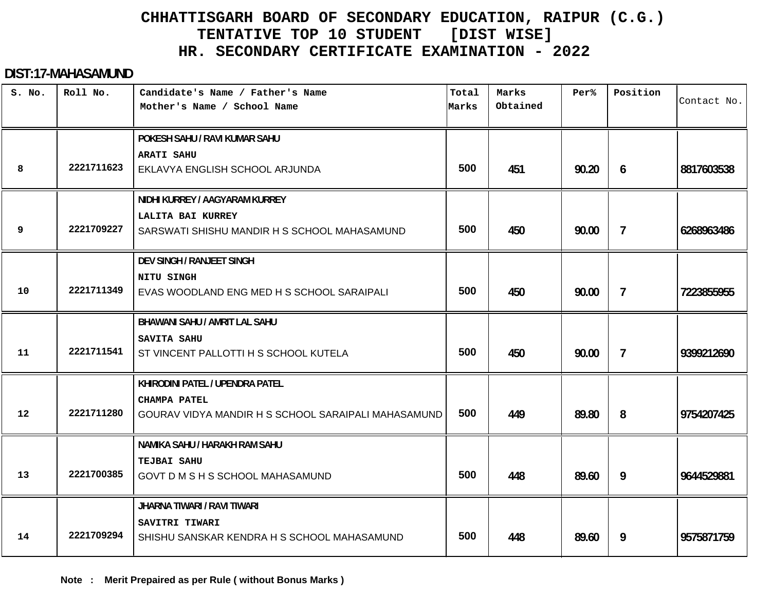#### **DIST:17-MAHASAMUND**

| S. No.  | Roll No.   | Candidate's Name / Father's Name<br>Mother's Name / School Name                                               | Total<br>Marks | Marks<br>Obtained | Per%  | Position                 | Contact No. |
|---------|------------|---------------------------------------------------------------------------------------------------------------|----------------|-------------------|-------|--------------------------|-------------|
| 8       | 2221711623 | POKESH SAHU / RAVI KUMAR SAHU<br><b>ARATI SAHU</b><br>EKLAVYA ENGLISH SCHOOL ARJUNDA                          | 500            | 451               | 90.20 | 6                        | 8817603538  |
| 9       | 2221709227 | NIDHI KURREY / AAGYARAM KURREY<br>LALITA BAI KURREY<br>SARSWATI SHISHU MANDIR H S SCHOOL MAHASAMUND           | 500            | 450               | 90.00 | $\overline{7}$           | 6268963486  |
| 10      | 2221711349 | DEV SINGH / RANJEET SINGH<br>NITU SINGH<br>EVAS WOODLAND ENG MED H S SCHOOL SARAIPALI                         | 500            | 450               | 90.00 | $\overline{7}$           | 7223855955  |
| 11      | 2221711541 | BHAWANI SAHU / AMRIT LAL SAHU<br>SAVITA SAHU<br>ST VINCENT PALLOTTI H S SCHOOL KUTELA                         | 500            | 450               | 90.00 | $\overline{\phantom{a}}$ | 9399212690  |
| $12 \,$ | 2221711280 | KHIRODINI PATEL / UPENDRA PATEL<br><b>CHAMPA PATEL</b><br>GOURAV VIDYA MANDIR H S SCHOOL SARAIPALI MAHASAMUND | 500            | 449               | 89.80 | 8                        | 9754207425  |
| 13      | 2221700385 | NAMIKA SAHU / HARAKH RAM SAHU<br><b>TEJBAI SAHU</b><br>GOVT D M S H S SCHOOL MAHASAMUND                       | 500            | 448               | 89.60 | 9                        | 9644529881  |
| 14      | 2221709294 | JHARNA TIWARI / RAVI TIWARI<br>SAVITRI TIWARI<br>SHISHU SANSKAR KENDRA H S SCHOOL MAHASAMUND                  | 500            | 448               | 89.60 | 9                        | 9575871759  |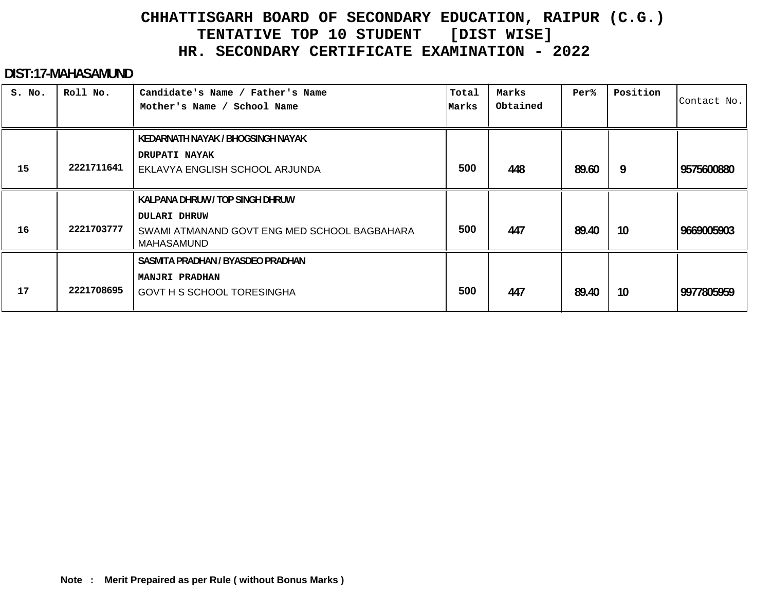#### **DIST:17-MAHASAMUND**

| S. No. | Roll No.   | Candidate's Name / Father's Name<br>Mother's Name / School Name                   | Total<br>Marks | Marks<br>Obtained | Per%  | Position | Contact No. |
|--------|------------|-----------------------------------------------------------------------------------|----------------|-------------------|-------|----------|-------------|
|        |            | KEDARNATH NAYAK / BHOGSINGH NAYAK                                                 |                |                   |       |          |             |
| 15     | 2221711641 | <b>DRUPATI NAYAK</b><br>EKLAVYA ENGLISH SCHOOL ARJUNDA                            | 500            | 448               | 89.60 | 9        | 9575600880  |
|        |            | KALPANA DHRUW / TOP SINGH DHRUW                                                   |                |                   |       |          |             |
| 16     | 2221703777 | <b>DULARI DHRUW</b><br>SWAMI ATMANAND GOVT ENG MED SCHOOL BAGBAHARA<br>MAHASAMUND | 500            | 447               | 89.40 | 10       | 9669005903  |
|        |            | SASMITA PRADHAN / BYASDEO PRADHAN                                                 |                |                   |       |          |             |
| 17     | 2221708695 | <b>MANJRI PRADHAN</b><br>GOVT H S SCHOOL TORESINGHA                               | 500            | 447               | 89.40 | 10       | 9977805959  |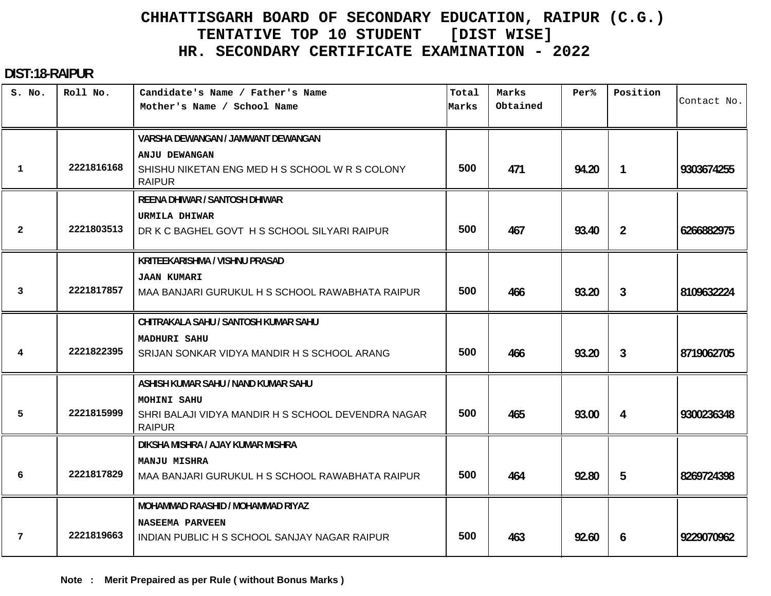#### **DIST:18-RAIPUR**

| S. No.       | Roll No.   | Candidate's Name / Father's Name<br>Mother's Name / School Name     | Total<br>Marks | Marks<br>Obtained | Per%  | Position       | Contact No. |
|--------------|------------|---------------------------------------------------------------------|----------------|-------------------|-------|----------------|-------------|
|              |            |                                                                     |                |                   |       |                |             |
|              |            | VARSHA DEWANGAN / JAMWANT DEWANGAN                                  |                |                   |       |                |             |
|              |            | <b>ANJU DEWANGAN</b>                                                |                |                   |       |                |             |
| $\mathbf{1}$ | 2221816168 | SHISHU NIKETAN ENG MED H S SCHOOL W R S COLONY<br><b>RAIPUR</b>     | 500            | 471               | 94.20 | 1              | 9303674255  |
|              |            | <b>REENA DHIWAR / SANTOSH DHIWAR</b>                                |                |                   |       |                |             |
|              |            | <b>URMILA DHIWAR</b>                                                |                |                   |       |                |             |
| $\mathbf{2}$ | 2221803513 | DR K C BAGHEL GOVT H S SCHOOL SILYARI RAIPUR                        | 500            | 467               | 93.40 | $\overline{2}$ | 6266882975  |
|              |            | KRITEEKARISHMA / VISHNU PRASAD                                      |                |                   |       |                |             |
|              |            | <b>JAAN KUMARI</b>                                                  |                |                   |       |                |             |
| 3            | 2221817857 | MAA BANJARI GURUKUL H S SCHOOL RAWABHATA RAIPUR                     | 500            | 466               | 93.20 | 3              | 8109632224  |
|              |            | CHITRAKALA SAHU / SANTOSH KUMAR SAHU                                |                |                   |       |                |             |
|              |            | <b>MADHURI SAHU</b>                                                 |                |                   |       |                |             |
| 4            | 2221822395 | SRIJAN SONKAR VIDYA MANDIR H S SCHOOL ARANG                         | 500            | 466               | 93.20 | 3              | 8719062705  |
|              |            | ASHISH KUMAR SAHU / NAND KUMAR SAHU                                 |                |                   |       |                |             |
|              |            | MOHINI SAHU                                                         |                |                   |       |                |             |
| 5            | 2221815999 | SHRI BALAJI VIDYA MANDIR H S SCHOOL DEVENDRA NAGAR<br><b>RAIPUR</b> | 500            | 465               | 93.00 | 4              | 9300236348  |
|              |            | DIKSHA MISHRA / AJAY KUMAR MISHRA                                   |                |                   |       |                |             |
|              |            | <b>MANJU MISHRA</b>                                                 |                |                   |       |                |             |
| 6            | 2221817829 | MAA BANJARI GURUKUL H S SCHOOL RAWABHATA RAIPUR                     | 500            | 464               | 92.80 | 5              | 8269724398  |
|              |            | <b>MOHAMMAD RAASHID / MOHAMMAD RIYAZ</b>                            |                |                   |       |                |             |
|              |            | <b>NASEEMA PARVEEN</b>                                              |                |                   |       |                |             |
| 7            | 2221819663 | INDIAN PUBLIC H S SCHOOL SANJAY NAGAR RAIPUR                        | 500            | 463               | 92.60 | 6              | 9229070962  |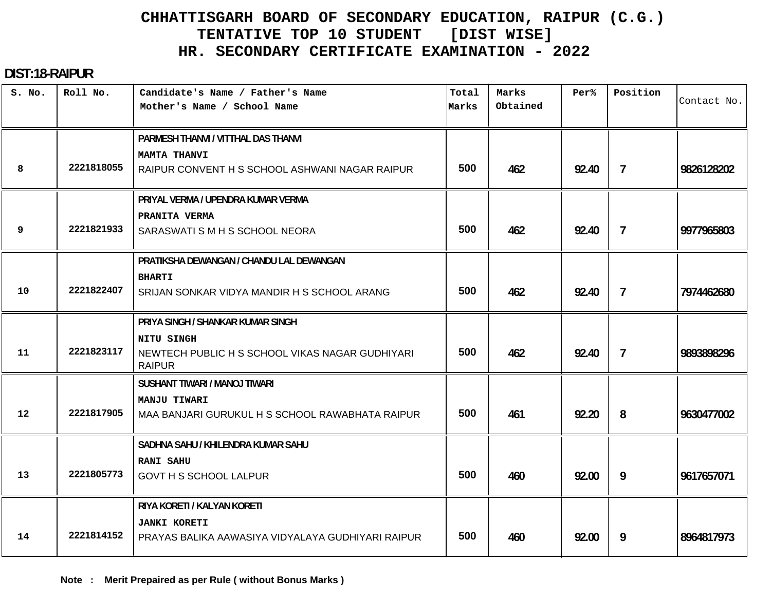#### **DIST:18-RAIPUR**

| S. No. | Roll No.   | Candidate's Name / Father's Name<br>Mother's Name / School Name                                         | Total<br>Marks | Marks<br>Obtained | Per <sup>8</sup> | Position       | Contact No. |
|--------|------------|---------------------------------------------------------------------------------------------------------|----------------|-------------------|------------------|----------------|-------------|
|        |            | PARMESH THANVI / VITTHAL DAS THANVI                                                                     |                |                   |                  |                |             |
| 8      | 2221818055 | <b>MAMTA THANVI</b><br>RAIPUR CONVENT H S SCHOOL ASHWANI NAGAR RAIPUR                                   | 500            | 462               | 92.40            | $\overline{7}$ | 9826128202  |
|        |            | PRIYAL VERMA / UPENDRA KUMAR VERMA                                                                      |                |                   |                  |                |             |
| 9      | 2221821933 | PRANITA VERMA<br>SARASWATI S M H S SCHOOL NEORA                                                         | 500            | 462               | 92.40            | $\overline{7}$ | 9977965803  |
|        |            | PRATIKSHA DEWANGAN / CHANDU LAL DEWANGAN                                                                |                |                   |                  |                |             |
| 10     | 2221822407 | <b>BHARTI</b><br>SRIJAN SONKAR VIDYA MANDIR H S SCHOOL ARANG                                            | 500            | 462               | 92.40            | $\overline{7}$ | 7974462680  |
|        |            | PRIYA SINGH / SHANKAR KUMAR SINGH                                                                       |                |                   |                  |                |             |
| 11     | 2221823117 | NITU SINGH<br>NEWTECH PUBLIC H S SCHOOL VIKAS NAGAR GUDHIYARI<br><b>RAIPUR</b>                          | 500            | 462               | 92.40            | $\overline{7}$ | 9893898296  |
|        |            | <b>SUSHANT TIWARI / MANOJ TIWARI</b>                                                                    |                |                   |                  |                |             |
| 12     | 2221817905 | <b>MANJU TIWARI</b><br>MAA BANJARI GURUKUL H S SCHOOL RAWABHATA RAIPUR                                  | 500            | 461               | 92.20            | 8              | 9630477002  |
|        |            | SADHNA SAHU / KHILENDRA KUMAR SAHU                                                                      |                |                   |                  |                |             |
| 13     | 2221805773 | <b>RANI SAHU</b><br><b>GOVT H S SCHOOL LALPUR</b>                                                       | 500            | 460               | 92.00            | 9              | 9617657071  |
| 14     | 2221814152 | RIYA KORETI / KALYAN KORETI<br><b>JANKI KORETI</b><br>PRAYAS BALIKA AAWASIYA VIDYALAYA GUDHIYARI RAIPUR | 500            | 460               | 92.00            | 9              | 8964817973  |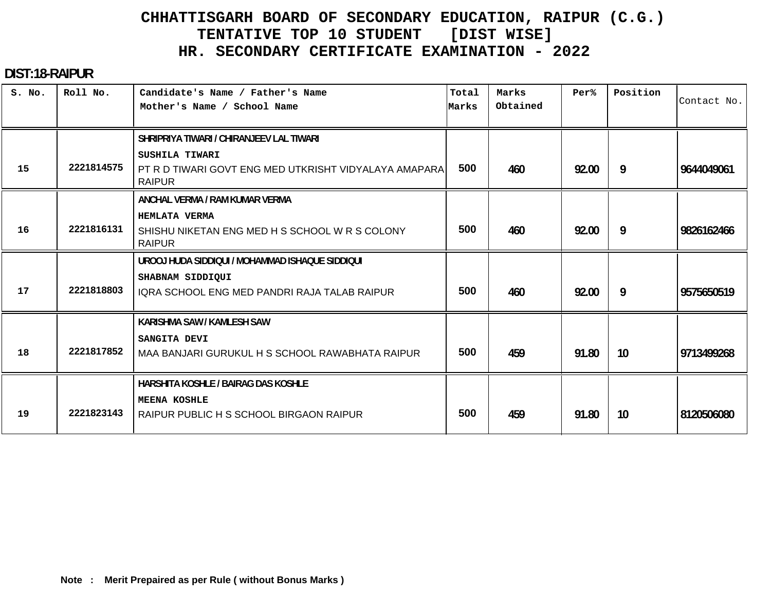#### **DIST:18-RAIPUR**

| S. No. | Roll No.   | Candidate's Name / Father's Name<br>Mother's Name / School Name                          | Total<br>Marks | Marks<br>Obtained | Per%  | Position        | Contact No. |
|--------|------------|------------------------------------------------------------------------------------------|----------------|-------------------|-------|-----------------|-------------|
|        |            | SHRIPRIYA TIWARI / CHIRANJEEV LAL TIWARI                                                 |                |                   |       |                 |             |
| 15     | 2221814575 | SUSHILA TIWARI<br>PT R D TIWARI GOVT ENG MED UTKRISHT VIDYALAYA AMAPARA<br><b>RAIPUR</b> | 500            | 460               | 92.00 | 9               | 9644049061  |
|        |            | ANCHAL VERMA / RAM KUMAR VERMA                                                           |                |                   |       |                 |             |
| 16     | 2221816131 | <b>HEMLATA VERMA</b><br>SHISHU NIKETAN ENG MED H S SCHOOL W R S COLONY<br><b>RAIPUR</b>  | 500            | 460               | 92.00 | 9               | 9826162466  |
|        |            | UROOJ HUDA SIDDIQUI / MOHAMMAD ISHAQUE SIDDIQUI                                          |                |                   |       |                 |             |
| 17     | 2221818803 | SHABNAM SIDDIQUI<br>IQRA SCHOOL ENG MED PANDRI RAJA TALAB RAIPUR                         | 500            | 460               | 92.00 | 9               | 9575650519  |
|        |            | KARISHMA SAW / KAMLESH SAW                                                               |                |                   |       |                 |             |
| 18     | 2221817852 | SANGITA DEVI<br>MAA BANJARI GURUKUL H S SCHOOL RAWABHATA RAIPUR                          | 500            | 459               | 91.80 | 10 <sup>°</sup> | 9713499268  |
|        |            | HARSHITA KOSHLE / BAIRAG DAS KOSHLE                                                      |                |                   |       |                 |             |
| 19     | 2221823143 | <b>MEENA KOSHLE</b><br>RAIPUR PUBLIC H S SCHOOL BIRGAON RAIPUR                           | 500            | 459               | 91.80 | 10              | 8120506080  |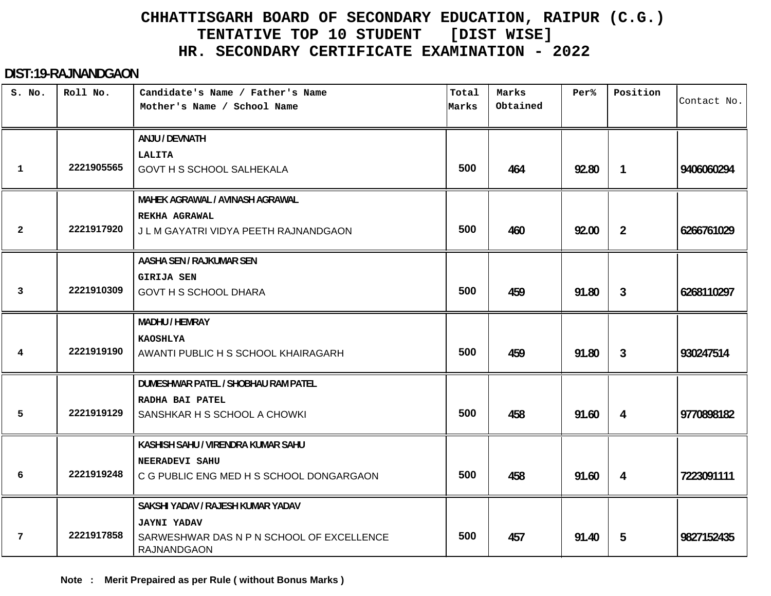#### **DIST:19-RAJNANDGAON**

| S. No.       | Roll No.   | Candidate's Name / Father's Name<br>Mother's Name / School Name | Total<br>Marks | Marks<br>Obtained | Per%  | Position       | Contact No. |
|--------------|------------|-----------------------------------------------------------------|----------------|-------------------|-------|----------------|-------------|
|              |            | ANJU / DEVNATH                                                  |                |                   |       |                |             |
| $\mathbf{1}$ | 2221905565 | LALITA<br><b>GOVT H S SCHOOL SALHEKALA</b>                      | 500            | 464               | 92.80 | $\mathbf{1}$   | 9406060294  |
|              |            |                                                                 |                |                   |       |                |             |
|              |            | MAHEK AGRAWAL / AVINASH AGRAWAL                                 |                |                   |       |                |             |
|              | 2221917920 | REKHA AGRAWAL                                                   |                |                   |       |                |             |
| $\mathbf{2}$ |            | J L M GAYATRI VIDYA PEETH RAJNANDGAON                           | 500            | 460               | 92.00 | $\overline{2}$ | 6266761029  |
|              |            | AASHA SEN / RAJKUMAR SEN                                        |                |                   |       |                |             |
|              |            | <b>GIRIJA SEN</b>                                               |                |                   |       |                |             |
| 3            | 2221910309 | GOVT H S SCHOOL DHARA                                           | 500            | 459               | 91.80 | 3              | 6268110297  |
|              |            | <b>MADHU / HEMRAY</b>                                           |                |                   |       |                |             |
|              | 2221919190 | <b>KAOSHLYA</b>                                                 | 500            |                   |       |                |             |
| 4            |            | AWANTI PUBLIC H S SCHOOL KHAIRAGARH                             |                | 459               | 91.80 | $\mathbf{3}$   | 930247514   |
|              |            | DUMESHWAR PATEL / SHOBHAU RAM PATEL                             |                |                   |       |                |             |
|              |            | RADHA BAI PATEL                                                 |                |                   |       |                |             |
| 5            | 2221919129 | SANSHKAR H S SCHOOL A CHOWKI                                    | 500            | 458               | 91.60 | 4              | 9770898182  |
|              |            | KASHISH SAHU / VIRENDRA KUMAR SAHU                              |                |                   |       |                |             |
|              |            | NEERADEVI SAHU                                                  |                |                   |       |                |             |
| 6            | 2221919248 | C G PUBLIC ENG MED H S SCHOOL DONGARGAON                        | 500            | 458               | 91.60 | 4              | 7223091111  |
|              |            | SAKSHI YADAV / RAJESH KUMAR YADAV                               |                |                   |       |                |             |
|              |            | <b>JAYNI YADAV</b>                                              |                |                   |       |                |             |
| 7            | 2221917858 | SARWESHWAR DAS N P N SCHOOL OF EXCELLENCE<br><b>RAJNANDGAON</b> | 500            | 457               | 91.40 | 5              | 9827152435  |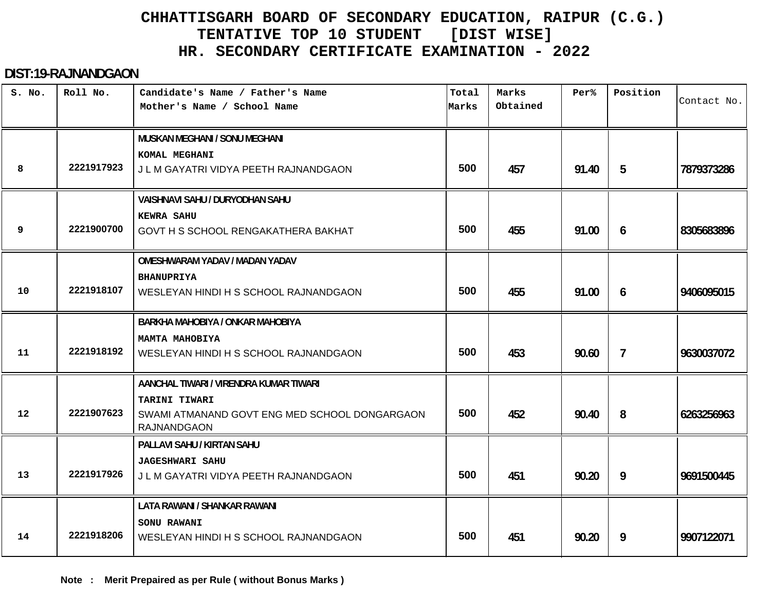#### **DIST:19-RAJNANDGAON**

| S. No. | Roll No.   | Candidate's Name / Father's Name<br>Mother's Name / School Name     | Total<br>Marks | Marks<br>Obtained | Per <sup>8</sup> | Position       | Contact No. |
|--------|------------|---------------------------------------------------------------------|----------------|-------------------|------------------|----------------|-------------|
|        |            | MUSKAN MEGHANI / SONU MEGHANI                                       |                |                   |                  |                |             |
|        |            | KOMAL MEGHANI                                                       |                |                   |                  |                |             |
| 8      | 2221917923 | J L M GAYATRI VIDYA PEETH RAJNANDGAON                               | 500            | 457               | 91.40            | 5              | 7879373286  |
|        |            | <b>VAISHNAVI SAHU / DURYODHAN SAHU</b>                              |                |                   |                  |                |             |
|        |            | <b>KEWRA SAHU</b>                                                   |                |                   |                  |                |             |
| 9      | 2221900700 | GOVT H S SCHOOL RENGAKATHERA BAKHAT                                 | 500            | 455               | 91.00            | 6              | 8305683896  |
|        |            | <b>OMESHWARAM YADAV / MADAN YADAV</b>                               |                |                   |                  |                |             |
|        |            | <b>BHANUPRIYA</b>                                                   |                |                   |                  |                |             |
| 10     | 2221918107 | WESLEYAN HINDI H S SCHOOL RAJNANDGAON                               | 500            | 455               | 91.00            | 6              | 9406095015  |
|        |            | BARKHA MAHOBIYA / ONKAR MAHOBIYA                                    |                |                   |                  |                |             |
|        | 2221918192 | MAMTA MAHOBIYA                                                      |                |                   |                  |                |             |
| 11     |            | WESLEYAN HINDI H S SCHOOL RAJNANDGAON                               | 500            | 453               | 90.60            | $\overline{7}$ | 9630037072  |
|        |            | AANCHAL TIWARI / VIRENDRA KUMAR TIWARI                              |                |                   |                  |                |             |
|        | 2221907623 | TARINI TIWARI                                                       |                |                   |                  |                |             |
| 12     |            | SWAMI ATMANAND GOVT ENG MED SCHOOL DONGARGAON<br><b>RAJNANDGAON</b> | 500            | 452               | 90.40            | 8              | 6263256963  |
|        |            | PALLAVI SAHU / KIRTAN SAHU                                          |                |                   |                  |                |             |
|        |            | <b>JAGESHWARI SAHU</b>                                              |                |                   |                  |                |             |
| 13     | 2221917926 | J L M GAYATRI VIDYA PEETH RAJNANDGAON                               | 500            | 451               | 90.20            | 9              | 9691500445  |
|        |            | LATA RAWANI / SHANKAR RAWANI                                        |                |                   |                  |                |             |
|        |            | SONU RAWANI                                                         |                |                   |                  |                |             |
| 14     | 2221918206 | WESLEYAN HINDI H S SCHOOL RAJNANDGAON                               | 500            | 451               | 90.20            | 9              | 9907122071  |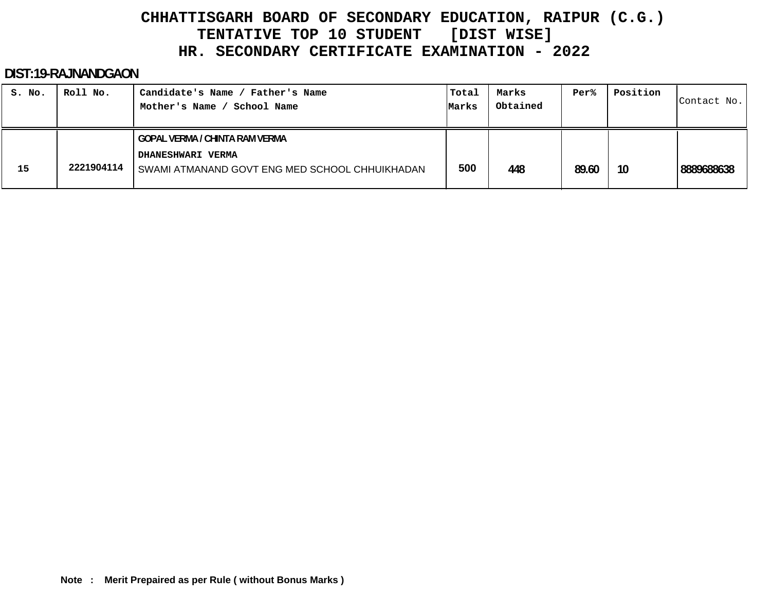#### **DIST:19-RAJNANDGAON**

| S. No. | Roll No.   | Candidate's Name / Father's Name<br>School Name<br>Mother's Name                                                    | Total<br>Marks | Marks<br>Obtained | Per%  | Position | Contact No. |
|--------|------------|---------------------------------------------------------------------------------------------------------------------|----------------|-------------------|-------|----------|-------------|
| 15     | 2221904114 | <b>GOPAL VERMA / CHINTA RAM VERMA</b><br><b>DHANESHWARI VERMA</b><br>SWAMI ATMANAND GOVT ENG MED SCHOOL CHHUIKHADAN | 500            | 448               | 89.60 | 10       | 8889688638  |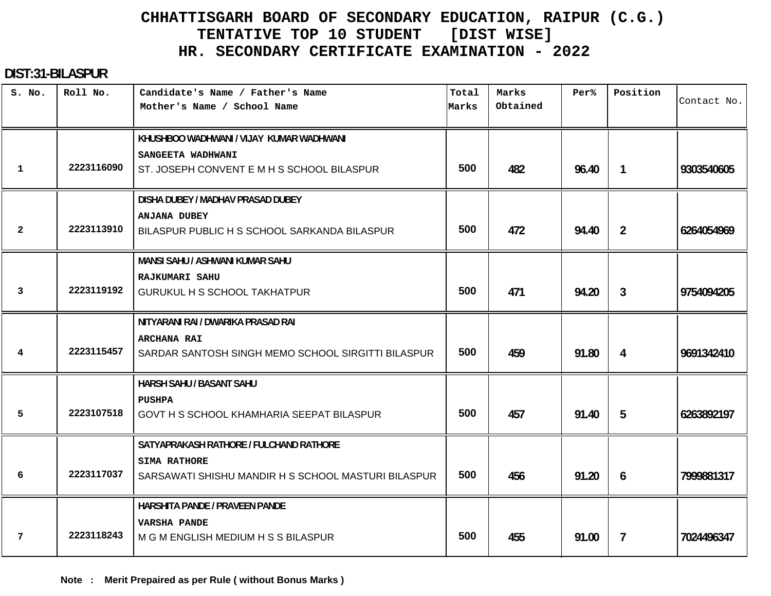#### **DIST:31-BILASPUR**

| S. No.         | Roll No.   | Candidate's Name / Father's Name<br>Mother's Name / School Name            | Total<br>Marks | Marks<br>Obtained | Per%  | Position       | Contact No. |
|----------------|------------|----------------------------------------------------------------------------|----------------|-------------------|-------|----------------|-------------|
|                |            | KHUSHBOO WADHWANI / VIJAY KUMAR WADHWANI<br>SANGEETA WADHWANI              |                |                   |       |                |             |
| 1              | 2223116090 | ST. JOSEPH CONVENT E M H S SCHOOL BILASPUR                                 | 500            | 482               | 96.40 | $\mathbf{1}$   | 9303540605  |
|                |            | DISHA DUBEY / MADHAV PRASAD DUBEY                                          |                |                   |       |                |             |
| $\overline{2}$ | 2223113910 | <b>ANJANA DUBEY</b><br>BILASPUR PUBLIC H S SCHOOL SARKANDA BILASPUR        | 500            | 472               | 94.40 | $\overline{2}$ | 6264054969  |
|                |            | MANSI SAHU / ASHWANI KUMAR SAHU                                            |                |                   |       |                |             |
| 3              | 2223119192 | RAJKUMARI SAHU<br><b>GURUKUL H S SCHOOL TAKHATPUR</b>                      | 500            | 471               | 94.20 | $\mathbf{3}$   | 9754094205  |
|                |            | NITYARANI RAI / DWARIKA PRASAD RAI                                         |                |                   |       |                |             |
| 4              | 2223115457 | <b>ARCHANA RAI</b><br>SARDAR SANTOSH SINGH MEMO SCHOOL SIRGITTI BILASPUR   | 500            | 459               | 91.80 | 4              | 9691342410  |
|                |            | HARSH SAHU / BASANT SAHU                                                   |                |                   |       |                |             |
| 5              | 2223107518 | <b>PUSHPA</b><br>GOVT H S SCHOOL KHAMHARIA SEEPAT BILASPUR                 | 500            | 457               | 91.40 | 5              | 6263892197  |
|                |            | SATYAPRAKASH RATHORE / FULCHAND RATHORE                                    |                |                   |       |                |             |
| 6              | 2223117037 | <b>SIMA RATHORE</b><br>SARSAWATI SHISHU MANDIR H S SCHOOL MASTURI BILASPUR | 500            | 456               | 91.20 | 6              | 7999881317  |
|                |            | HARSHITA PANDE / PRAVEEN PANDE                                             |                |                   |       |                |             |
| 7              | 2223118243 | <b>VARSHA PANDE</b><br>M G M ENGLISH MEDIUM H S S BILASPUR                 | 500            | 455               | 91.00 | $\overline{7}$ | 7024496347  |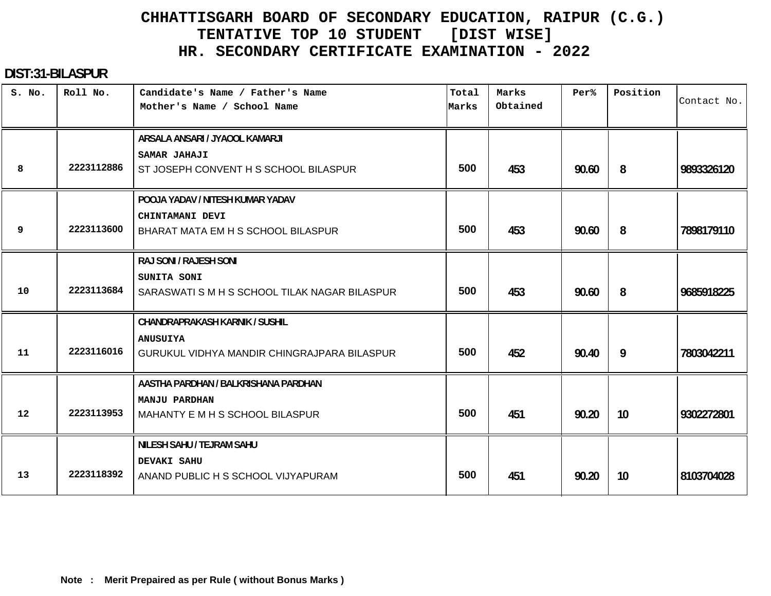#### **DIST:31-BILASPUR**

| S. No. | Roll No.   | Candidate's Name / Father's Name<br>Mother's Name / School Name                                         | Total<br>Marks | Marks<br>Obtained | Per%  | Position | Contact No. |
|--------|------------|---------------------------------------------------------------------------------------------------------|----------------|-------------------|-------|----------|-------------|
| 8      | 2223112886 | ARSALA ANSARI / JYAOOL KAMARJI<br><b>SAMAR JAHAJI</b><br>ST JOSEPH CONVENT H S SCHOOL BILASPUR          | 500            | 453               | 90.60 | 8        | 9893326120  |
| 9      | 2223113600 | POOJA YADAV / NITESH KUMAR YADAV<br>CHINTAMANI DEVI<br>BHARAT MATA EM H S SCHOOL BILASPUR               | 500            | 453               | 90.60 | 8        | 7898179110  |
| 10     | 2223113684 | RAJ SONI / RAJESH SONI<br>SUNITA SONI<br>SARASWATI S M H S SCHOOL TILAK NAGAR BILASPUR                  | 500            | 453               | 90.60 | 8        | 9685918225  |
| 11     | 2223116016 | <b>CHANDRAPRAKASH KARNIK / SUSHIL</b><br><b>ANUSUIYA</b><br>GURUKUL VIDHYA MANDIR CHINGRAJPARA BILASPUR | 500            | 452               | 90.40 | 9        | 7803042211  |
| 12     | 2223113953 | AASTHA PARDHAN / BALKRISHANA PARDHAN<br>MANJU PARDHAN<br>MAHANTY E M H S SCHOOL BILASPUR                | 500            | 451               | 90.20 | 10       | 9302272801  |
| 13     | 2223118392 | NILESH SAHU / TEJRAM SAHU<br><b>DEVAKI SAHU</b><br>ANAND PUBLIC H S SCHOOL VIJYAPURAM                   | 500            | 451               | 90.20 | 10       | 8103704028  |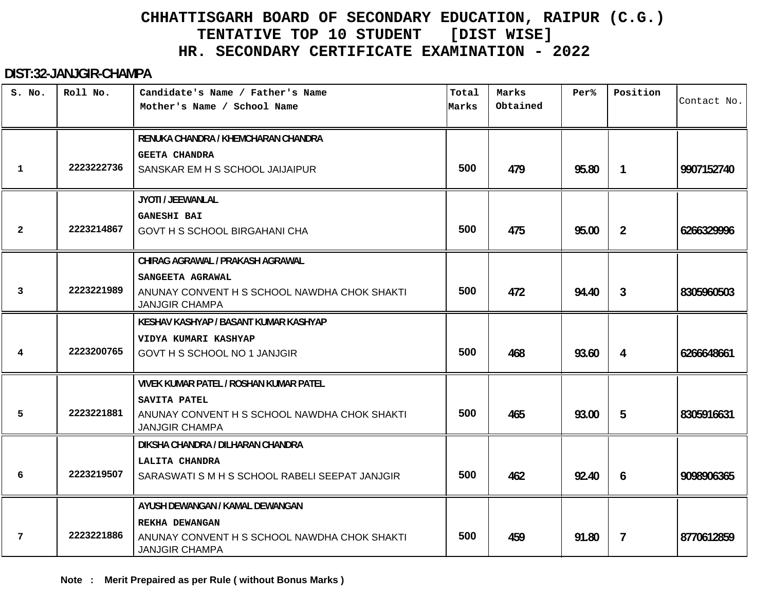#### **DIST:32-JANJGIR-CHAMPA**

| S. No.         | Roll No.   | Candidate's Name / Father's Name<br>Mother's Name / School Name       | Total<br>Marks | Marks<br>Obtained | Per%  | Position       | Contact No. |
|----------------|------------|-----------------------------------------------------------------------|----------------|-------------------|-------|----------------|-------------|
|                |            |                                                                       |                |                   |       |                |             |
|                |            | RENUKA CHANDRA / KHEMCHARAN CHANDRA                                   |                |                   |       |                |             |
|                |            | <b>GEETA CHANDRA</b>                                                  |                |                   |       |                |             |
| 1              | 2223222736 | SANSKAR EM H S SCHOOL JAIJAIPUR                                       | 500            | 479               | 95.80 | $\mathbf{1}$   | 9907152740  |
|                |            | JYOTI / JEEWANLAL                                                     |                |                   |       |                |             |
|                |            | <b>GANESHI BAI</b>                                                    |                |                   |       |                |             |
| $\overline{2}$ | 2223214867 | <b>GOVT H S SCHOOL BIRGAHANI CHA</b>                                  | 500            | 475               | 95.00 | $\overline{2}$ | 6266329996  |
|                |            | CHIRAG AGRAWAL / PRAKASH AGRAWAL                                      |                |                   |       |                |             |
|                |            | SANGEETA AGRAWAL                                                      |                |                   |       |                |             |
| 3              | 2223221989 | ANUNAY CONVENT H S SCHOOL NAWDHA CHOK SHAKTI<br><b>JANJGIR CHAMPA</b> | 500            | 472               | 94.40 | $\mathbf{3}$   | 8305960503  |
|                |            | KESHAV KASHYAP / BASANT KUMAR KASHYAP                                 |                |                   |       |                |             |
|                |            | VIDYA KUMARI KASHYAP                                                  |                |                   |       |                |             |
| 4              | 2223200765 | GOVT H S SCHOOL NO 1 JANJGIR                                          | 500            | 468               | 93.60 | 4              | 6266648661  |
|                |            | <b>VIVEK KUMAR PATEL / ROSHAN KUMAR PATEL</b>                         |                |                   |       |                |             |
|                |            | SAVITA PATEL                                                          |                |                   |       |                |             |
| 5              | 2223221881 | ANUNAY CONVENT H S SCHOOL NAWDHA CHOK SHAKTI<br><b>JANJGIR CHAMPA</b> | 500            | 465               | 93.00 | 5              | 8305916631  |
|                |            | DIKSHA CHANDRA / DILHARAN CHANDRA                                     |                |                   |       |                |             |
|                |            | LALITA CHANDRA                                                        |                |                   |       |                |             |
| 6              | 2223219507 | SARASWATI S M H S SCHOOL RABELI SEEPAT JANJGIR                        | 500            | 462               | 92.40 | 6              | 9098906365  |
|                |            | AYUSH DEWANGAN / KAMAL DEWANGAN                                       |                |                   |       |                |             |
|                |            | REKHA DEWANGAN                                                        |                |                   |       |                |             |
| 7              | 2223221886 | ANUNAY CONVENT H S SCHOOL NAWDHA CHOK SHAKTI<br><b>JANJGIR CHAMPA</b> | 500            | 459               | 91.80 | $\overline{7}$ | 8770612859  |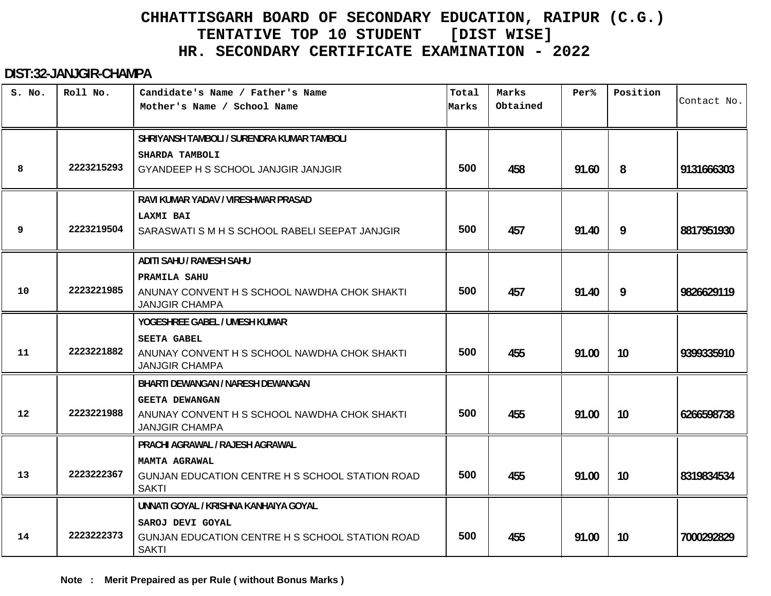#### **DIST:32-JANJGIR-CHAMPA**

| S. No.            | Roll No.   | Candidate's Name / Father's Name<br>Mother's Name / School Name                                | Total<br>Marks | Marks<br>Obtained | Per%  | Position | Contact No. |
|-------------------|------------|------------------------------------------------------------------------------------------------|----------------|-------------------|-------|----------|-------------|
|                   |            | SHRIYANSH TAMBOLI / SURENDRA KUMAR TAMBOLI                                                     |                |                   |       |          |             |
| 8                 | 2223215293 | SHARDA TAMBOLI<br>GYANDEEP H S SCHOOL JANJGIR JANJGIR                                          | 500            | 458               | 91.60 | 8        | 9131666303  |
|                   |            | RAVI KUMAR YADAV / VIRESHWAR PRASAD                                                            |                |                   |       |          |             |
| 9                 | 2223219504 | LAXMI BAI<br>SARASWATI S M H S SCHOOL RABELI SEEPAT JANJGIR                                    | 500            | 457               | 91.40 | 9        | 8817951930  |
|                   |            | <b>ADITI SAHU / RAMESH SAHU</b>                                                                |                |                   |       |          |             |
| 10                | 2223221985 | PRAMILA SAHU<br>ANUNAY CONVENT H S SCHOOL NAWDHA CHOK SHAKTI<br><b>JANJGIR CHAMPA</b>          | 500            | 457               | 91.40 | 9        | 9826629119  |
|                   |            | YOGESHREE GABEL / UMESH KUMAR                                                                  |                |                   |       |          |             |
| 11                | 2223221882 | <b>SEETA GABEL</b><br>ANUNAY CONVENT H S SCHOOL NAWDHA CHOK SHAKTI<br><b>JANJGIR CHAMPA</b>    | 500            | 455               | 91.00 | 10       | 9399335910  |
|                   |            | <b>BHARTI DEWANGAN / NARESH DEWANGAN</b>                                                       |                |                   |       |          |             |
| $12 \overline{ }$ | 2223221988 | <b>GEETA DEWANGAN</b><br>ANUNAY CONVENT H S SCHOOL NAWDHA CHOK SHAKTI<br><b>JANJGIR CHAMPA</b> | 500            | 455               | 91.00 | 10       | 6266598738  |
|                   |            | PRACHI AGRAWAL / RAJESH AGRAWAL                                                                |                |                   |       |          |             |
| 13                | 2223222367 | MAMTA AGRAWAL<br>GUNJAN EDUCATION CENTRE H S SCHOOL STATION ROAD<br><b>SAKTI</b>               | 500            | 455               | 91.00 | 10       | 8319834534  |
|                   |            | UNNATI GOYAL / KRISHNA KANHAIYA GOYAL                                                          |                |                   |       |          |             |
| 14                | 2223222373 | SAROJ DEVI GOYAL<br>GUNJAN EDUCATION CENTRE H S SCHOOL STATION ROAD<br><b>SAKTI</b>            | 500            | 455               | 91.00 | 10       | 7000292829  |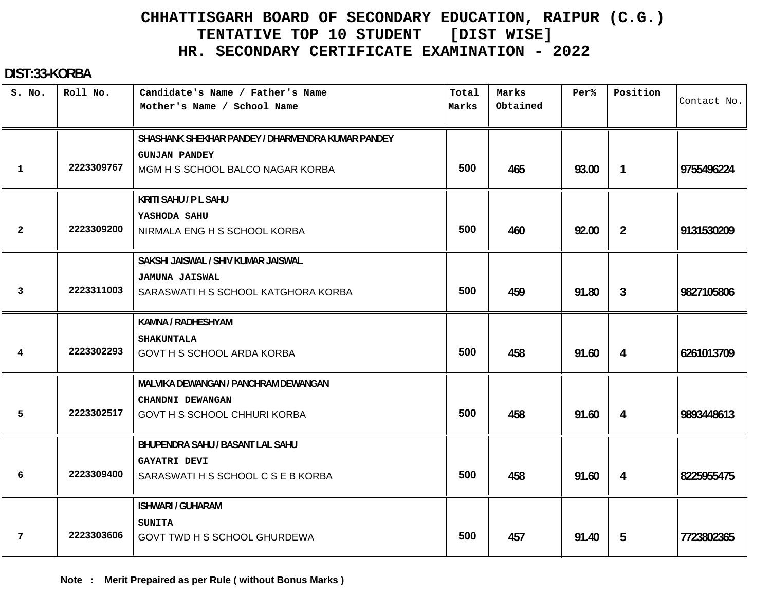#### **DIST:33-KORBA**

| S. No.         | Roll No.   | Candidate's Name / Father's Name<br>Mother's Name / School Name                                               | Total<br>Marks | Marks<br>Obtained | Per <sup>8</sup> | Position       | Contact No. |
|----------------|------------|---------------------------------------------------------------------------------------------------------------|----------------|-------------------|------------------|----------------|-------------|
| $\mathbf 1$    | 2223309767 | SHASHANK SHEKHAR PANDEY / DHARMENDRA KUMAR PANDEY<br><b>GUNJAN PANDEY</b><br>MGM H S SCHOOL BALCO NAGAR KORBA | 500            | 465               | 93.00            | $\mathbf{1}$   | 9755496224  |
|                |            | <b>KRITI SAHU / P L SAHU</b>                                                                                  |                |                   |                  |                |             |
| $\overline{2}$ | 2223309200 | YASHODA SAHU<br>NIRMALA ENG H S SCHOOL KORBA                                                                  | 500            | 460               | 92.00            | $\overline{2}$ | 9131530209  |
| 3              | 2223311003 | SAKSHI JAISWAL / SHIV KUMAR JAISWAL<br><b>JAMUNA JAISWAL</b><br>SARASWATI H S SCHOOL KATGHORA KORBA           | 500            | 459               | 91.80            | 3              | 9827105806  |
| 4              | 2223302293 | KAMNA / RADHESHYAM<br><b>SHAKUNTALA</b><br><b>GOVT H S SCHOOL ARDA KORBA</b>                                  | 500            | 458               | 91.60            | 4              | 6261013709  |
| 5              | 2223302517 | MALVIKA DEWANGAN / PANCHRAM DEWANGAN<br>CHANDNI DEWANGAN<br><b>GOVT H S SCHOOL CHHURI KORBA</b>               | 500            | 458               | 91.60            | 4              | 9893448613  |
| 6              | 2223309400 | BHUPENDRA SAHU / BASANT LAL SAHU<br><b>GAYATRI DEVI</b><br>SARASWATI H S SCHOOL C S E B KORBA                 | 500            | 458               | 91.60            | 4              | 8225955475  |
| 7              | 2223303606 | <b>ISHWARI / GUHARAM</b><br><b>SUNITA</b><br><b>GOVT TWD H S SCHOOL GHURDEWA</b>                              | 500            | 457               | 91.40            | 5              | 7723802365  |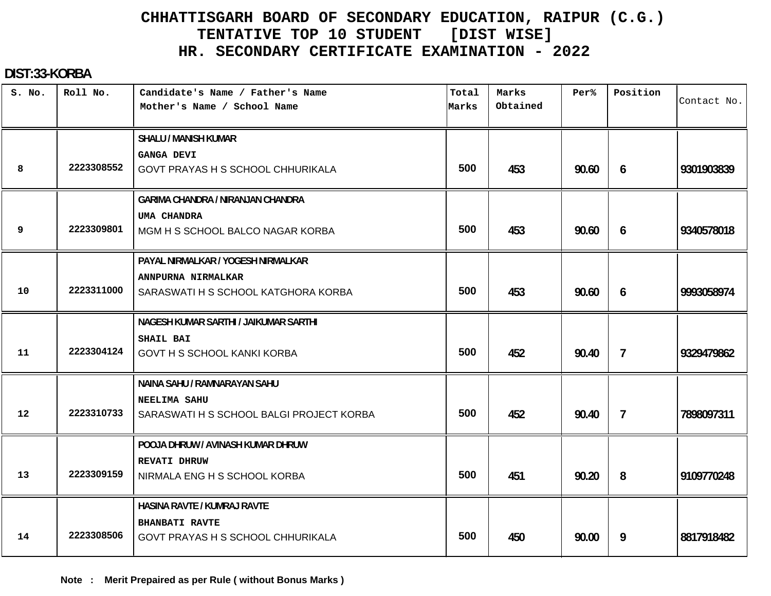#### **DIST:33-KORBA**

| S. No.            | Roll No.   | Candidate's Name / Father's Name<br>Mother's Name / School Name | Total<br>Marks | Marks<br>Obtained | Per%  | Position       | Contact No. |
|-------------------|------------|-----------------------------------------------------------------|----------------|-------------------|-------|----------------|-------------|
|                   |            | <b>SHALU / MANISH KUMAR</b>                                     |                |                   |       |                |             |
|                   |            | <b>GANGA DEVI</b>                                               |                |                   |       |                |             |
| 8                 | 2223308552 | GOVT PRAYAS H S SCHOOL CHHURIKALA                               | 500            | 453               | 90.60 | 6              | 9301903839  |
|                   |            | <b>GARIMA CHANDRA / NIRANJAN CHANDRA</b>                        |                |                   |       |                |             |
|                   |            | UMA CHANDRA                                                     |                |                   |       |                |             |
| 9                 | 2223309801 | MGM H S SCHOOL BALCO NAGAR KORBA                                | 500            | 453               | 90.60 | 6              | 9340578018  |
|                   |            | PAYAL NIRMALKAR / YOGESH NIRMALKAR                              |                |                   |       |                |             |
|                   |            | ANNPURNA NIRMALKAR                                              |                |                   |       |                |             |
| 10                | 2223311000 | SARASWATI H S SCHOOL KATGHORA KORBA                             | 500            | 453               | 90.60 | 6              | 9993058974  |
|                   |            | NAGESH KUMAR SARTHI / JAIKUMAR SARTHI                           |                |                   |       |                |             |
|                   |            | SHAIL BAI                                                       |                |                   |       |                |             |
| 11                | 2223304124 | <b>GOVT H S SCHOOL KANKI KORBA</b>                              | 500            | 452               | 90.40 | $\overline{7}$ | 9329479862  |
|                   |            | NAINA SAHU / RAMNARAYAN SAHU                                    |                |                   |       |                |             |
|                   |            | NEELIMA SAHU                                                    |                |                   |       |                |             |
| $12 \overline{ }$ | 2223310733 | SARASWATI H S SCHOOL BALGI PROJECT KORBA                        | 500            | 452               | 90.40 | $\overline{7}$ | 7898097311  |
|                   |            | POOJA DHRUW / AVINASH KUMAR DHRUW                               |                |                   |       |                |             |
|                   |            | <b>REVATI DHRUW</b>                                             |                |                   |       |                |             |
| 13                | 2223309159 | NIRMALA ENG H S SCHOOL KORBA                                    | 500            | 451               | 90.20 | 8              | 9109770248  |
|                   |            | <b>HASINA RAVTE / KUMRAJ RAVTE</b>                              |                |                   |       |                |             |
|                   |            | <b>BHANBATI RAVTE</b>                                           |                |                   |       |                |             |
| 14                | 2223308506 | GOVT PRAYAS H S SCHOOL CHHURIKALA                               | 500            | 450               | 90.00 | 9              | 8817918482  |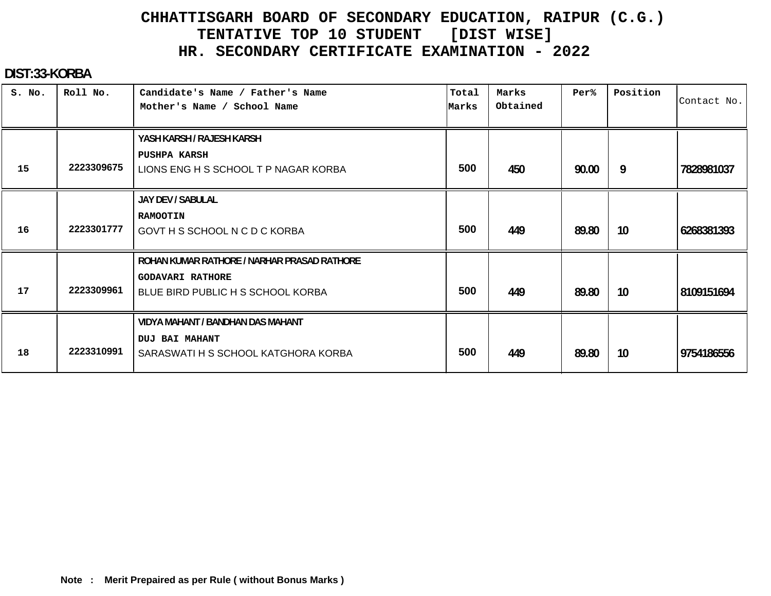#### **DIST:33-KORBA**

| S. No. | Roll No.   | Candidate's Name / Father's Name<br>Mother's Name / School Name                                             | Total<br>Marks | Marks<br>Obtained | Per%  | Position | Contact No. |
|--------|------------|-------------------------------------------------------------------------------------------------------------|----------------|-------------------|-------|----------|-------------|
| 15     | 2223309675 | YASH KARSH / RAJESH KARSH<br><b>PUSHPA KARSH</b><br>LIONS ENG H S SCHOOL T P NAGAR KORBA                    | 500            | 450               | 90.00 | 9        | 7828981037  |
| 16     | 2223301777 | JAY DEV / SABULAL<br><b>RAMOOTIN</b><br>GOVT H S SCHOOL N C D C KORBA                                       | 500            | 449               | 89.80 | 10       | 6268381393  |
| 17     | 2223309961 | ROHAN KUMAR RATHORE / NARHAR PRASAD RATHORE<br><b>GODAVARI RATHORE</b><br>BLUE BIRD PUBLIC H S SCHOOL KORBA | 500            | 449               | 89.80 | 10       | 8109151694  |
| 18     | 2223310991 | VIDYA MAHANT / BANDHAN DAS MAHANT<br><b>DUJ BAI MAHANT</b><br>SARASWATI H S SCHOOL KATGHORA KORBA           | 500            | 449               | 89.80 | 10       | 9754186556  |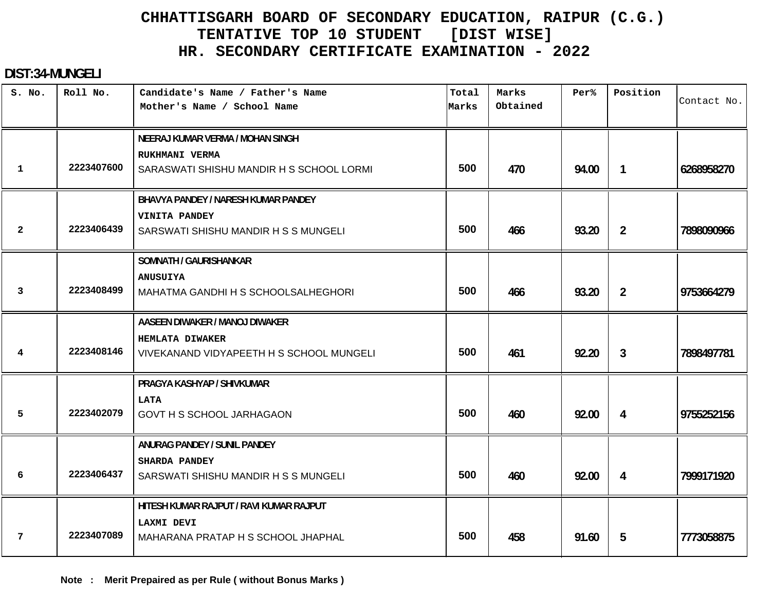#### **DIST:34-MUNGELI**

| S. No.         | Roll No.   | Candidate's Name / Father's Name<br>Mother's Name / School Name                                | Total<br>Marks | Marks<br>Obtained | Per <sup>8</sup> | Position       | Contact No. |
|----------------|------------|------------------------------------------------------------------------------------------------|----------------|-------------------|------------------|----------------|-------------|
| $\mathbf 1$    | 2223407600 | NEERAJ KUMAR VERMA / MOHAN SINGH<br>RUKHMANI VERMA<br>SARASWATI SHISHU MANDIR H S SCHOOL LORMI | 500            | 470               | 94.00            | $\mathbf{1}$   | 6268958270  |
| $\overline{2}$ | 2223406439 | BHAVYA PANDEY / NARESH KUMAR PANDEY<br>VINITA PANDEY<br>SARSWATI SHISHU MANDIR H S S MUNGELI   | 500            | 466               | 93.20            | $\overline{2}$ | 7898090966  |
| 3              | 2223408499 | SOMNATH / GAURISHANKAR<br><b>ANUSUIYA</b><br>MAHATMA GANDHI H S SCHOOLSALHEGHORI               | 500            | 466               | 93.20            | $\overline{2}$ | 9753664279  |
| 4              | 2223408146 | AASEEN DIWAKER / MANOJ DIWAKER<br>HEMLATA DIWAKER<br>VIVEKANAND VIDYAPEETH H S SCHOOL MUNGELI  | 500            | 461               | 92.20            | 3              | 7898497781  |
| 5              | 2223402079 | PRAGYA KASHYAP / SHIVKUMAR<br><b>LATA</b><br><b>GOVT H S SCHOOL JARHAGAON</b>                  | 500            | 460               | 92.00            | 4              | 9755252156  |
| 6              | 2223406437 | ANURAG PANDEY / SUNIL PANDEY<br>SHARDA PANDEY<br>SARSWATI SHISHU MANDIR H S S MUNGELI          | 500            | 460               | 92.00            | 4              | 7999171920  |
| 7              | 2223407089 | HITESH KUMAR RAJPUT / RAVI KUMAR RAJPUT<br>LAXMI DEVI<br>MAHARANA PRATAP H S SCHOOL JHAPHAL    | 500            | 458               | 91.60            | 5              | 7773058875  |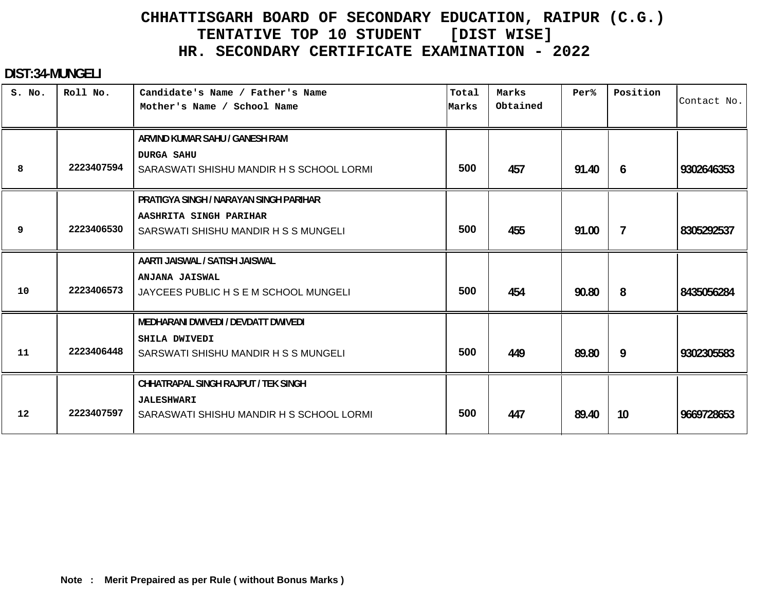#### **DIST:34-MUNGELI**

| S. No. | Roll No.   | Candidate's Name / Father's Name<br>Mother's Name / School Name | Total<br>Marks | Marks<br>Obtained | Per%  | Position        | Contact No. |
|--------|------------|-----------------------------------------------------------------|----------------|-------------------|-------|-----------------|-------------|
|        |            | ARVIND KUMAR SAHU / GANESH RAM<br><b>DURGA SAHU</b>             |                |                   |       |                 |             |
| 8      | 2223407594 | SARASWATI SHISHU MANDIR H S SCHOOL LORMI                        | 500            | 457               | 91.40 | 6               | 9302646353  |
|        |            | PRATIGYA SINGH / NARAYAN SINGH PARIHAR                          |                |                   |       |                 |             |
|        | 2223406530 | AASHRITA SINGH PARIHAR                                          | 500            |                   |       |                 |             |
| 9      |            | SARSWATI SHISHU MANDIR H S S MUNGELI                            |                | 455               | 91.00 | $\mathcal{I}$   | 8305292537  |
|        |            | AARTI JAISWAL / SATISH JAISWAL                                  |                |                   |       |                 |             |
|        | 2223406573 | ANJANA JAISWAL                                                  |                |                   |       |                 |             |
| 10     |            | JAYCEES PUBLIC H S E M SCHOOL MUNGELI                           | 500            | 454               | 90.80 | 8               | 8435056284  |
|        |            | MEDHARANI DWIVEDI / DEVDATT DWIVEDI                             |                |                   |       |                 |             |
|        |            | SHILA DWIVEDI                                                   |                |                   |       |                 |             |
| 11     | 2223406448 | SARSWATI SHISHU MANDIR H S S MUNGELI                            | 500            | 449               | 89.80 | 9               | 9302305583  |
|        |            | CHHATRAPAL SINGH RAJPUT / TEK SINGH                             |                |                   |       |                 |             |
|        |            | <b>JALESHWARI</b>                                               |                |                   |       |                 |             |
| 12     | 2223407597 | SARASWATI SHISHU MANDIR H S SCHOOL LORMI                        | 500            | 447               | 89.40 | 10 <sup>°</sup> | 9669728653  |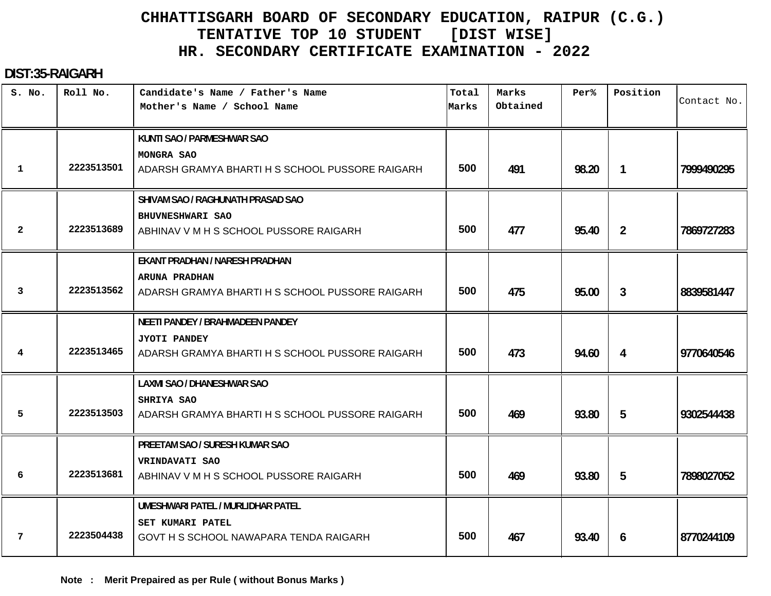#### **DIST:35-RAIGARH**

| S. No.       | Roll No.   | Candidate's Name / Father's Name<br>Mother's Name / School Name        | Total<br>Marks | Marks<br>Obtained | Per <sup>8</sup> | Position       | Contact No. |
|--------------|------------|------------------------------------------------------------------------|----------------|-------------------|------------------|----------------|-------------|
|              |            | KUNTI SAO / PARMESHWAR SAO                                             |                |                   |                  |                |             |
| $\mathbf{1}$ | 2223513501 | <b>MONGRA SAO</b><br>ADARSH GRAMYA BHARTI H S SCHOOL PUSSORE RAIGARH   | 500            | 491               | 98.20            | $\mathbf{1}$   | 7999490295  |
|              |            | SHIVAM SAO / RAGHUNATH PRASAD SAO                                      |                |                   |                  |                |             |
| $\mathbf{2}$ | 2223513689 | BHUVNESHWARI SAO<br>ABHINAV V M H S SCHOOL PUSSORE RAIGARH             | 500            | 477               | 95.40            | $\overline{2}$ | 7869727283  |
|              |            | EKANT PRADHAN / NARESH PRADHAN                                         |                |                   |                  |                |             |
| 3            | 2223513562 | ARUNA PRADHAN<br>ADARSH GRAMYA BHARTI H S SCHOOL PUSSORE RAIGARH       | 500            | 475               | 95.00            | 3              | 8839581447  |
|              |            | <b>NEETI PANDEY / BRAHMADEEN PANDEY</b>                                |                |                   |                  |                |             |
| 4            | 2223513465 | <b>JYOTI PANDEY</b><br>ADARSH GRAMYA BHARTI H S SCHOOL PUSSORE RAIGARH | 500            | 473               | 94.60            | 4              | 9770640546  |
|              |            | <b>LAXMI SAO / DHANESHWAR SAO</b>                                      |                |                   |                  |                |             |
| 5            | 2223513503 | <b>SHRIYA SAO</b><br>ADARSH GRAMYA BHARTI H S SCHOOL PUSSORE RAIGARH   | 500            | 469               | 93.80            | 5              | 9302544438  |
|              |            | PREETAM SAO / SURESH KUMAR SAO                                         |                |                   |                  |                |             |
| 6            | 2223513681 | VRINDAVATI SAO<br>ABHINAV V M H S SCHOOL PUSSORE RAIGARH               | 500            | 469               | 93.80            | 5              | 7898027052  |
|              |            | UMESHWARI PATEL / MURLIDHAR PATEL                                      |                |                   |                  |                |             |
| 7            | 2223504438 | <b>SET KUMARI PATEL</b><br>GOVT H S SCHOOL NAWAPARA TENDA RAIGARH      | 500            | 467               | 93.40            | 6              | 8770244109  |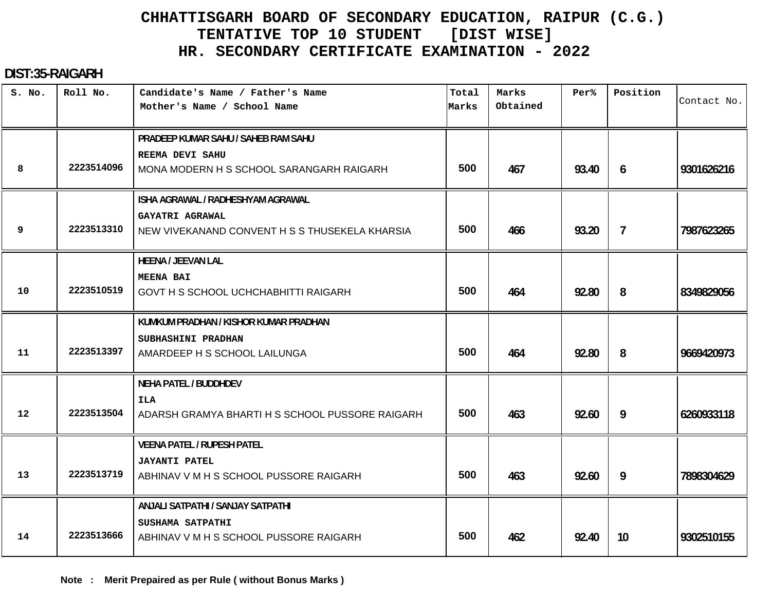#### **DIST:35-RAIGARH**

| S. No.            | Roll No.   | Candidate's Name / Father's Name<br>Mother's Name / School Name | Total<br>Marks | Marks<br>Obtained | Per%  | Position       | Contact No. |
|-------------------|------------|-----------------------------------------------------------------|----------------|-------------------|-------|----------------|-------------|
|                   |            |                                                                 |                |                   |       |                |             |
|                   |            | PRADEEP KUMAR SAHU / SAHEB RAM SAHU                             |                |                   |       |                |             |
|                   |            | REEMA DEVI SAHU                                                 |                |                   |       |                |             |
| 8                 | 2223514096 | MONA MODERN H S SCHOOL SARANGARH RAIGARH                        | 500            | 467               | 93.40 | 6              | 9301626216  |
|                   |            | ISHA AGRAWAL / RADHESHYAM AGRAWAL                               |                |                   |       |                |             |
|                   |            | GAYATRI AGRAWAL                                                 |                |                   |       |                |             |
| 9                 | 2223513310 | NEW VIVEKANAND CONVENT H S S THUSEKELA KHARSIA                  | 500            | 466               | 93.20 | $\overline{7}$ | 7987623265  |
|                   |            | <b>HEENA / JEEVAN LAL</b>                                       |                |                   |       |                |             |
|                   |            | <b>MEENA BAI</b>                                                |                |                   |       |                |             |
| 10                | 2223510519 | GOVT H S SCHOOL UCHCHABHITTI RAIGARH                            | 500            | 464               | 92.80 | 8              | 8349829056  |
|                   |            | KUMKUM PRADHAN / KISHOR KUMAR PRADHAN                           |                |                   |       |                |             |
|                   |            | SUBHASHINI PRADHAN                                              |                |                   |       |                |             |
| 11                | 2223513397 | AMARDEEP H S SCHOOL LAILUNGA                                    | 500            | 464               | 92.80 | 8              | 9669420973  |
|                   |            | <b>NEHA PATEL / BUDDHDEV</b>                                    |                |                   |       |                |             |
|                   |            | ILA                                                             |                |                   |       |                |             |
| $12 \overline{ }$ | 2223513504 | ADARSH GRAMYA BHARTI H S SCHOOL PUSSORE RAIGARH                 | 500            | 463               | 92.60 | 9              | 6260933118  |
|                   |            | <b>VEENA PATEL / RUPESH PATEL</b>                               |                |                   |       |                |             |
|                   |            | <b>JAYANTI PATEL</b>                                            |                |                   |       |                |             |
| 13                | 2223513719 | ABHINAV V M H S SCHOOL PUSSORE RAIGARH                          | 500            | 463               | 92.60 | 9              | 7898304629  |
|                   |            | ANJALI SATPATHI / SANJAY SATPATHI                               |                |                   |       |                |             |
|                   |            | SUSHAMA SATPATHI                                                |                |                   |       |                |             |
| 14                | 2223513666 | ABHINAV V M H S SCHOOL PUSSORE RAIGARH                          | 500            | 462               | 92.40 | 10             | 9302510155  |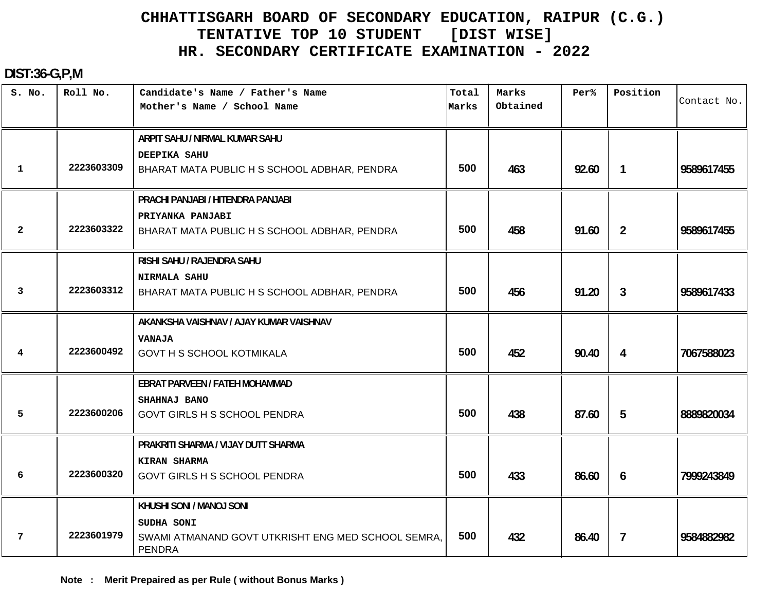#### **DIST:36-G,P,M**

| S. No.         | Roll No.   | Candidate's Name / Father's Name<br>Mother's Name / School Name                                               | Total<br>Marks | Marks<br>Obtained | Per%  | Position       | Contact No. |
|----------------|------------|---------------------------------------------------------------------------------------------------------------|----------------|-------------------|-------|----------------|-------------|
| 1              | 2223603309 | ARPIT SAHU / NIRMAL KUMAR SAHU<br>DEEPIKA SAHU<br>BHARAT MATA PUBLIC H S SCHOOL ADBHAR, PENDRA                | 500            | 463               | 92.60 | $\overline{1}$ | 9589617455  |
| $\overline{2}$ | 2223603322 | PRACHI PANJABI / HITENDRA PANJABI<br>PRIYANKA PANJABI<br>BHARAT MATA PUBLIC H S SCHOOL ADBHAR, PENDRA         | 500            | 458               | 91.60 | $\overline{2}$ | 9589617455  |
| 3              | 2223603312 | RISHI SAHU / RAJENDRA SAHU<br><b>NIRMALA SAHU</b><br>BHARAT MATA PUBLIC H S SCHOOL ADBHAR, PENDRA             | 500            | 456               | 91.20 | 3 <sup>1</sup> | 9589617433  |
| 4              | 2223600492 | AKANKSHA VAISHNAV / AJAY KUMAR VAISHNAV<br><b>VANAJA</b><br><b>GOVT H S SCHOOL KOTMIKALA</b>                  | 500            | 452               | 90.40 | 4              | 7067588023  |
| 5              | 2223600206 | EBRAT PARVEEN / FATEH MOHAMMAD<br>SHAHNAJ BANO<br><b>GOVT GIRLS H S SCHOOL PENDRA</b>                         | 500            | 438               | 87.60 | 5              | 8889820034  |
| 6              | 2223600320 | PRAKRITI SHARMA / VIJAY DUTT SHARMA<br>KIRAN SHARMA<br><b>GOVT GIRLS H S SCHOOL PENDRA</b>                    | 500            | 433               | 86.60 | 6              | 7999243849  |
| 7              | 2223601979 | KHUSHI SONI / MANOJ SONI<br>SUDHA SONI<br>SWAMI ATMANAND GOVT UTKRISHT ENG MED SCHOOL SEMRA,<br><b>PENDRA</b> | 500            | 432               | 86.40 | $\overline{7}$ | 9584882982  |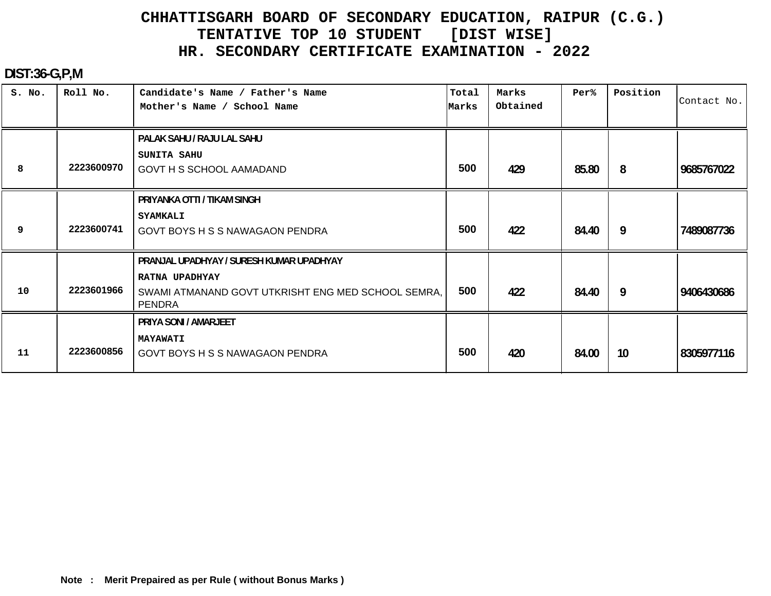#### **DIST:36-G,P,M**

| S. No. | Roll No.   | Candidate's Name / Father's Name<br>Mother's Name / School Name                                                                   | Total<br>Marks | Marks<br>Obtained | Per%  | Position | Contact No. |
|--------|------------|-----------------------------------------------------------------------------------------------------------------------------------|----------------|-------------------|-------|----------|-------------|
| 8      | 2223600970 | PALAK SAHU / RAJU LAL SAHU<br><b>SUNITA SAHU</b><br>GOVT H S SCHOOL AAMADAND                                                      | 500            | 429               | 85.80 | 8        | 9685767022  |
| 9      | 2223600741 | PRIYANKA OTTI / TIKAM SINGH<br><b>SYAMKALI</b><br><b>GOVT BOYS H S S NAWAGAON PENDRA</b>                                          | 500            | 422               | 84.40 | -9       | 7489087736  |
| 10     | 2223601966 | PRANJAL UPADHYAY / SURESH KUMAR UPADHYAY<br>RATNA UPADHYAY<br>SWAMI ATMANAND GOVT UTKRISHT ENG MED SCHOOL SEMRA,<br><b>PENDRA</b> | 500            | 422               | 84.40 | 9        | 9406430686  |
| 11     | 2223600856 | PRIYA SONI / AMARJEET<br><b>MAYAWATI</b><br><b>GOVT BOYS H S S NAWAGAON PENDRA</b>                                                | 500            | 420               | 84.00 | 10       | 8305977116  |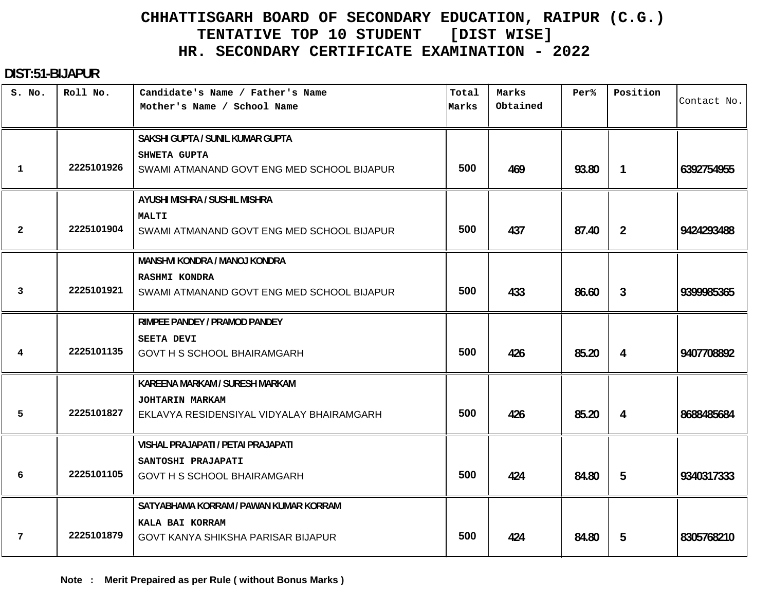#### **DIST:51-BIJAPUR**

| S. No.         | Roll No.   | Candidate's Name / Father's Name<br>Mother's Name / School Name    | Total<br>Marks | Marks<br>Obtained | Per <sup>8</sup> | Position       | Contact No. |
|----------------|------------|--------------------------------------------------------------------|----------------|-------------------|------------------|----------------|-------------|
|                |            | SAKSHI GUPTA / SUNIL KUMAR GUPTA                                   |                |                   |                  |                |             |
| 1              | 2225101926 | SHWETA GUPTA<br>SWAMI ATMANAND GOVT ENG MED SCHOOL BIJAPUR         | 500            | 469               | 93.80            | $\overline{1}$ | 6392754955  |
|                |            | AYUSHI MISHRA / SUSHIL MISHRA                                      |                |                   |                  |                |             |
| $\overline{2}$ | 2225101904 | <b>MALTI</b><br>SWAMI ATMANAND GOVT ENG MED SCHOOL BIJAPUR         | 500            | 437               | 87.40            | $\overline{2}$ | 9424293488  |
|                |            | MANSHVI KONDRA / MANOJ KONDRA                                      |                |                   |                  |                |             |
| 3              | 2225101921 | <b>RASHMI KONDRA</b><br>SWAMI ATMANAND GOVT ENG MED SCHOOL BIJAPUR | 500            | 433               | 86.60            | 3              | 9399985365  |
|                |            | RIMPEE PANDEY / PRAMOD PANDEY                                      |                |                   |                  |                |             |
| 4              | 2225101135 | <b>SEETA DEVI</b><br><b>GOVT H S SCHOOL BHAIRAMGARH</b>            | 500            | 426               | 85.20            | 4              | 9407708892  |
|                |            | KAREENA MARKAM / SURESH MARKAM                                     |                |                   |                  |                |             |
| 5              | 2225101827 | JOHTARIN MARKAM<br>EKLAVYA RESIDENSIYAL VIDYALAY BHAIRAMGARH       | 500            | 426               | 85.20            | 4              | 8688485684  |
|                |            | VISHAL PRAJAPATI / PETAI PRAJAPATI                                 |                |                   |                  |                |             |
| 6              | 2225101105 | SANTOSHI PRAJAPATI<br><b>GOVT H S SCHOOL BHAIRAMGARH</b>           | 500            | 424               | 84.80            | 5              | 9340317333  |
|                |            | SATYABHAMA KORRAM / PAWAN KUMAR KORRAM                             |                |                   |                  |                |             |
| 7              | 2225101879 | KALA BAI KORRAM<br>GOVT KANYA SHIKSHA PARISAR BIJAPUR              | 500            | 424               | 84.80            | 5              | 8305768210  |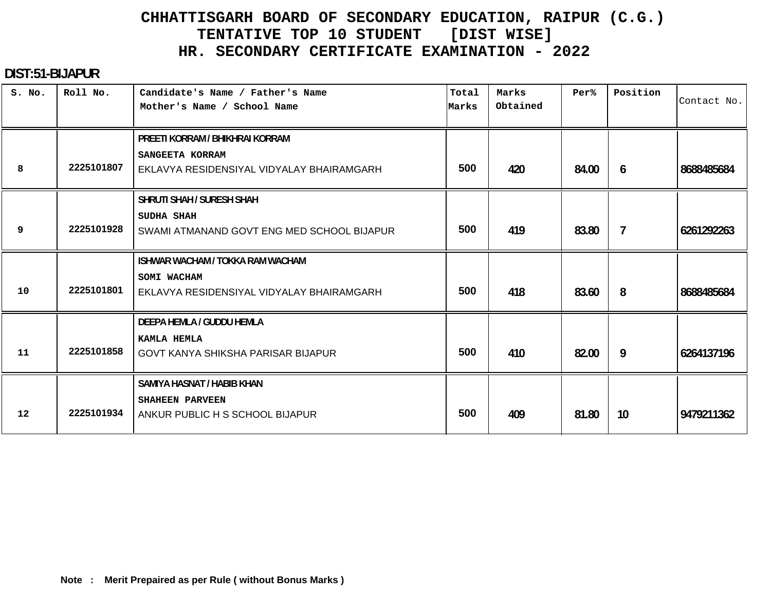#### **DIST:51-BIJAPUR**

| S. No. | Roll No.   | Candidate's Name / Father's Name<br>Mother's Name / School Name | Total<br>Marks | Marks<br>Obtained | Per%  | Position | Contact No. |
|--------|------------|-----------------------------------------------------------------|----------------|-------------------|-------|----------|-------------|
|        |            | PREETI KORRAM / BHIKHRAI KORRAM<br>SANGEETA KORRAM              |                |                   |       |          |             |
| 8      | 2225101807 | EKLAVYA RESIDENSIYAL VIDYALAY BHAIRAMGARH                       | 500            | 420               | 84.00 | 6        | 8688485684  |
|        |            | SHRUTI SHAH / SURESH SHAH                                       |                |                   |       |          |             |
| 9      | 2225101928 | <b>SUDHA SHAH</b><br>SWAMI ATMANAND GOVT ENG MED SCHOOL BIJAPUR | 500            | 419               | 83.80 | 7        | 6261292263  |
|        |            | <b>ISHWAR WACHAM / TOKKA RAM WACHAM</b>                         |                |                   |       |          |             |
| 10     | 2225101801 | SOMI WACHAM<br>EKLAVYA RESIDENSIYAL VIDYALAY BHAIRAMGARH        | 500            | 418               | 83.60 | 8        | 8688485684  |
|        |            | DEEPA HEMLA / GUDDU HEMLA                                       |                |                   |       |          |             |
| 11     | 2225101858 | KAMLA HEMLA<br>GOVT KANYA SHIKSHA PARISAR BIJAPUR               | 500            | 410               | 82.00 | 9        | 6264137196  |
|        |            | <b>SAMIYA HASNAT / HABIB KHAN</b>                               |                |                   |       |          |             |
| 12     | 2225101934 | SHAHEEN PARVEEN<br>ANKUR PUBLIC H S SCHOOL BIJAPUR              | 500            | 409               | 81.80 | 10       | 9479211362  |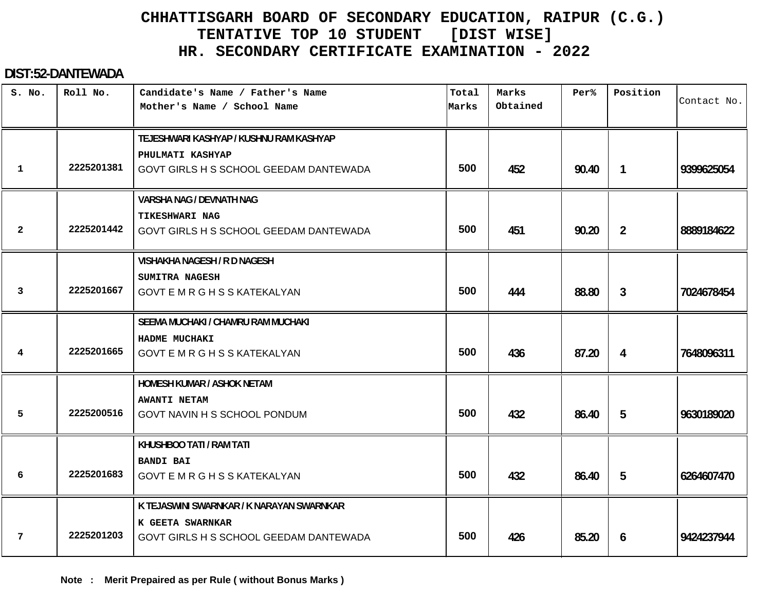#### **DIST:52-DANTEWADA**

| S. No.         | Roll No.   | Candidate's Name / Father's Name<br>Mother's Name / School Name                                         | Total<br>Marks | Marks<br>Obtained | Per%  | Position       | Contact No. |
|----------------|------------|---------------------------------------------------------------------------------------------------------|----------------|-------------------|-------|----------------|-------------|
| $\mathbf{1}$   | 2225201381 | TEJESHWARI KASHYAP / KUSHNU RAM KASHYAP<br>PHULMATI KASHYAP<br>GOVT GIRLS H S SCHOOL GEEDAM DANTEWADA   | 500            | 452               | 90.40 | $\mathbf{1}$   | 9399625054  |
| $\overline{2}$ | 2225201442 | <b>VARSHA NAG / DEVNATH NAG</b><br><b>TIKESHWARI NAG</b><br>GOVT GIRLS H S SCHOOL GEEDAM DANTEWADA      | 500            | 451               | 90.20 | $\overline{2}$ | 8889184622  |
| 3              | 2225201667 | <b>VISHAKHA NAGESH / R D NAGESH</b><br>SUMITRA NAGESH<br><b>GOVT E M R G H S S KATEKALYAN</b>           | 500            | 444               | 88.80 | 3              | 7024678454  |
| 4              | 2225201665 | SEEMA MUCHAKI / CHAMRU RAM MUCHAKI<br>HADME MUCHAKI<br><b>GOVT E M R G H S S KATEKALYAN</b>             | 500            | 436               | 87.20 | 4              | 7648096311  |
| 5              | 2225200516 | HOMESH KUMAR / ASHOK NETAM<br><b>AWANTI NETAM</b><br>GOVT NAVIN H S SCHOOL PONDUM                       | 500            | 432               | 86.40 | 5              | 9630189020  |
| 6              | 2225201683 | KHUSHBOO TATI / RAM TATI<br><b>BANDI BAI</b><br>GOVT E M R G H S S KATEKALYAN                           | 500            | 432               | 86.40 | 5              | 6264607470  |
| 7              | 2225201203 | K TEJASWINI SWARNKAR / K NARAYAN SWARNKAR<br>K GEETA SWARNKAR<br>GOVT GIRLS H S SCHOOL GEEDAM DANTEWADA | 500            | 426               | 85.20 | 6              | 9424237944  |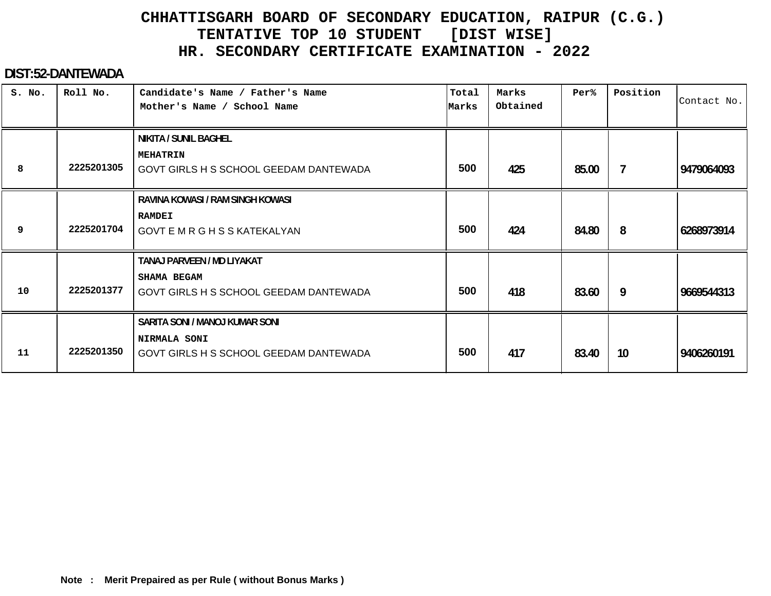#### **DIST:52-DANTEWADA**

| S. No. | Roll No.   | Candidate's Name / Father's Name<br>Mother's Name / School Name                                 | Total<br>Marks | Marks<br>Obtained | Per%  | Position       | Contact No. |
|--------|------------|-------------------------------------------------------------------------------------------------|----------------|-------------------|-------|----------------|-------------|
| 8      | 2225201305 | NIKITA / SUNIL BAGHEL<br><b>MEHATRIN</b><br>GOVT GIRLS H S SCHOOL GEEDAM DANTEWADA              | 500            | 425               | 85.00 | $\overline{7}$ | 9479064093  |
| 9      | 2225201704 | RAVINA KOWASI / RAM SINGH KOWASI<br><b>RAMDEI</b><br><b>GOVT E M R G H S S KATEKALYAN</b>       | 500            | 424               | 84.80 | 8              | 6268973914  |
| 10     | 2225201377 | TANAJ PARVEEN / MD LIYAKAT<br><b>SHAMA BEGAM</b><br>GOVT GIRLS H S SCHOOL GEEDAM DANTEWADA      | 500            | 418               | 83.60 | 9              | 9669544313  |
| 11     | 2225201350 | SARITA SONI / MANOJ KUMAR SONI<br><b>NIRMALA SONI</b><br>GOVT GIRLS H S SCHOOL GEEDAM DANTEWADA | 500            | 417               | 83.40 | 10             | 9406260191  |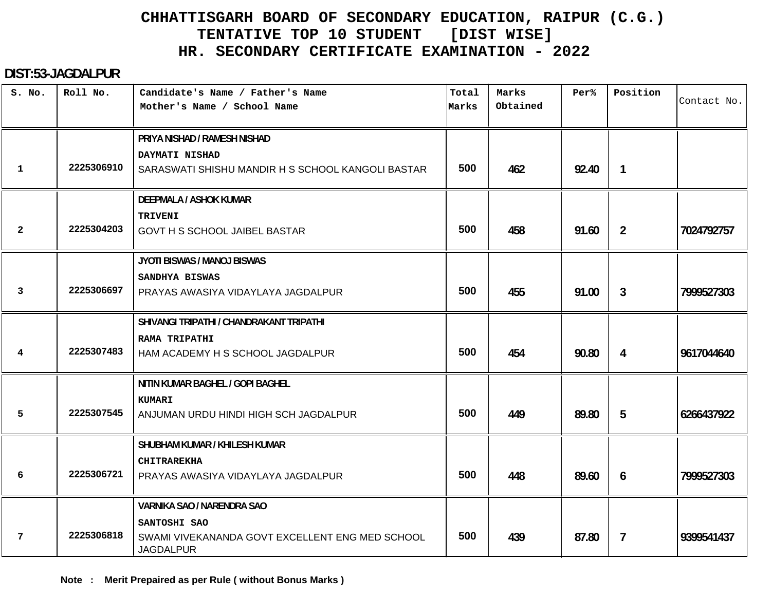#### **DIST:53-JAGDALPUR**

| S. No.       | Roll No.   | Candidate's Name / Father's Name<br>Mother's Name / School Name                     | Total<br>Marks | Marks<br>Obtained | Per%  | Position       | Contact No. |
|--------------|------------|-------------------------------------------------------------------------------------|----------------|-------------------|-------|----------------|-------------|
|              |            | PRIYA NISHAD / RAMESH NISHAD                                                        |                |                   |       |                |             |
| $\mathbf{1}$ | 2225306910 | DAYMATI NISHAD<br>SARASWATI SHISHU MANDIR H S SCHOOL KANGOLI BASTAR                 | 500            | 462               | 92.40 | $\mathbf{1}$   |             |
|              |            | <b>DEEPMALA / ASHOK KUMAR</b>                                                       |                |                   |       |                |             |
| 2            | 2225304203 | <b>TRIVENI</b><br>GOVT H S SCHOOL JAIBEL BASTAR                                     | 500            | 458               | 91.60 | $\overline{2}$ | 7024792757  |
|              |            | JYOTI BISWAS / MANOJ BISWAS                                                         |                |                   |       |                |             |
| 3            | 2225306697 | SANDHYA BISWAS<br>PRAYAS AWASIYA VIDAYLAYA JAGDALPUR                                | 500            | 455               | 91.00 | 3              | 7999527303  |
|              |            | SHIVANGI TRIPATHI / CHANDRAKANT TRIPATHI                                            |                |                   |       |                |             |
| 4            | 2225307483 | <b>RAMA TRIPATHI</b><br>HAM ACADEMY H S SCHOOL JAGDALPUR                            | 500            | 454               | 90.80 | 4              | 9617044640  |
|              |            | NITIN KUMAR BAGHEL / GOPI BAGHEL                                                    |                |                   |       |                |             |
| 5            | 2225307545 | KUMARI<br>ANJUMAN URDU HINDI HIGH SCH JAGDALPUR                                     | 500            | 449               | 89.80 | 5              | 6266437922  |
|              |            | SHUBHAM KUMAR / KHILESH KUMAR                                                       |                |                   |       |                |             |
| 6            | 2225306721 | <b>CHITRAREKHA</b><br>PRAYAS AWASIYA VIDAYLAYA JAGDALPUR                            | 500            | 448               | 89.60 | 6              | 7999527303  |
|              |            | VARNIKA SAO / NARENDRA SAO                                                          |                |                   |       |                |             |
| 7            | 2225306818 | SANTOSHI SAO<br>SWAMI VIVEKANANDA GOVT EXCELLENT ENG MED SCHOOL<br><b>JAGDALPUR</b> | 500            | 439               | 87.80 | $\overline{7}$ | 9399541437  |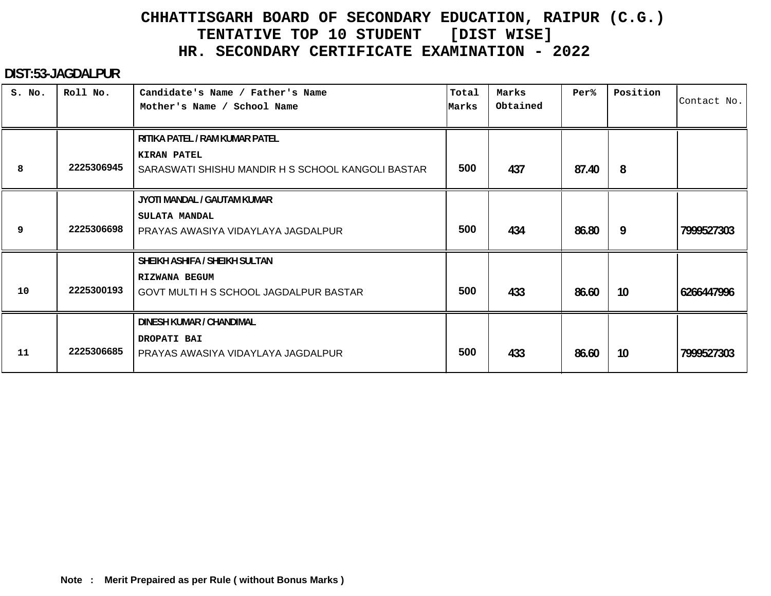#### **DIST:53-JAGDALPUR**

| S. No. | Roll No.   | Candidate's Name / Father's Name<br>Mother's Name / School Name                                           | Total<br>Marks | Marks<br>Obtained | Per%  | Position | Contact No. |
|--------|------------|-----------------------------------------------------------------------------------------------------------|----------------|-------------------|-------|----------|-------------|
| 8      | 2225306945 | RITIKA PATEL / RAM KUMAR PATEL<br><b>KIRAN PATEL</b><br>SARASWATI SHISHU MANDIR H S SCHOOL KANGOLI BASTAR | 500            | 437               | 87.40 | 8        |             |
| 9      | 2225306698 | JYOTI MANDAL / GAUTAM KUMAR<br>SULATA MANDAL<br>PRAYAS AWASIYA VIDAYLAYA JAGDALPUR                        | 500            | 434               | 86.80 | 9        | 7999527303  |
| 10     | 2225300193 | SHEIKH ASHIFA / SHEIKH SULTAN<br>RIZWANA BEGUM<br><b>GOVT MULTI H S SCHOOL JAGDALPUR BASTAR</b>           | 500            | 433               | 86.60 | 10       | 6266447996  |
| 11     | 2225306685 | DINESH KUMAR / CHANDIMAL<br>DROPATI BAI<br>PRAYAS AWASIYA VIDAYLAYA JAGDALPUR                             | 500            | 433               | 86.60 | 10       | 7999527303  |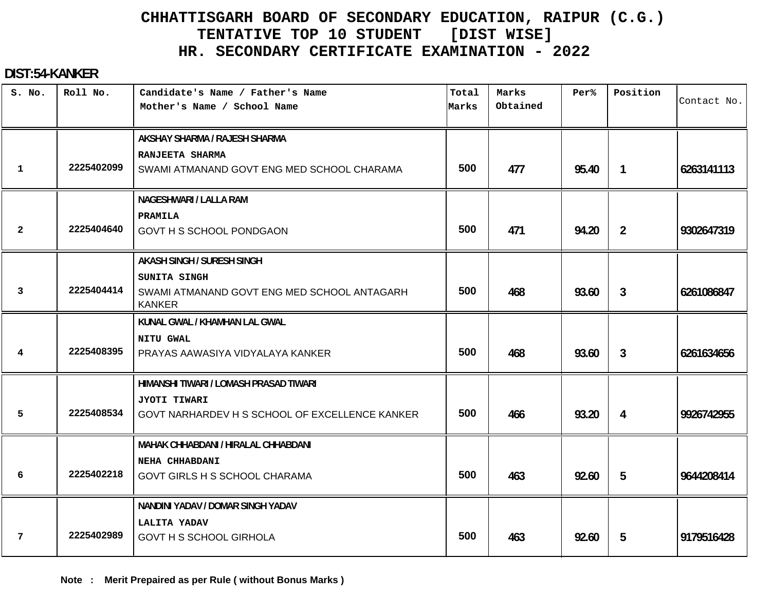#### **DIST:54-KANKER**

| S. No.       | Roll No.   | Candidate's Name / Father's Name<br>Mother's Name / School Name | Total<br>Marks | Marks<br>Obtained | Per%  | Position       | Contact No. |
|--------------|------------|-----------------------------------------------------------------|----------------|-------------------|-------|----------------|-------------|
|              |            | AKSHAY SHARMA / RAJESH SHARMA                                   |                |                   |       |                |             |
|              |            | RANJEETA SHARMA                                                 |                |                   |       |                |             |
| $\mathbf 1$  | 2225402099 | SWAMI ATMANAND GOVT ENG MED SCHOOL CHARAMA                      | 500            | 477               | 95.40 | $\mathbf{1}$   | 6263141113  |
|              |            | <b>NAGESHWARI / LALLA RAM</b>                                   |                |                   |       |                |             |
|              |            | PRAMILA                                                         |                |                   |       |                |             |
| $\mathbf{2}$ | 2225404640 | GOVT H S SCHOOL PONDGAON                                        | 500            | 471               | 94.20 | $\overline{2}$ | 9302647319  |
|              |            | <b>AKASH SINGH / SURESH SINGH</b>                               |                |                   |       |                |             |
|              |            | SUNITA SINGH                                                    |                |                   |       |                |             |
| 3            | 2225404414 | SWAMI ATMANAND GOVT ENG MED SCHOOL ANTAGARH<br><b>KANKER</b>    | 500            | 468               | 93.60 | $\mathbf{3}$   | 6261086847  |
|              |            | KUNAL GWAL / KHAMHAN LAL GWAL                                   |                |                   |       |                |             |
|              |            | <b>NITU GWAL</b>                                                |                |                   |       |                |             |
| 4            | 2225408395 | PRAYAS AAWASIYA VIDYALAYA KANKER                                | 500            | 468               | 93.60 | 3              | 6261634656  |
|              |            | HIMANSHI TIWARI / LOMASH PRASAD TIWARI                          |                |                   |       |                |             |
|              |            | JYOTI TIWARI                                                    |                |                   |       |                |             |
| 5            | 2225408534 | GOVT NARHARDEV H S SCHOOL OF EXCELLENCE KANKER                  | 500            | 466               | 93.20 | 4              | 9926742955  |
|              |            | MAHAK CHHABDANI / HIRALAL CHHABDANI                             |                |                   |       |                |             |
|              |            | NEHA CHHABDANI                                                  |                |                   |       |                |             |
| 6            | 2225402218 | <b>GOVT GIRLS H S SCHOOL CHARAMA</b>                            | 500            | 463               | 92.60 | 5              | 9644208414  |
|              |            | NANDINI YADAV / DOMAR SINGH YADAV                               |                |                   |       |                |             |
|              |            | LALITA YADAV                                                    |                |                   |       |                |             |
| 7            | 2225402989 | <b>GOVT H S SCHOOL GIRHOLA</b>                                  | 500            | 463               | 92.60 | 5              | 9179516428  |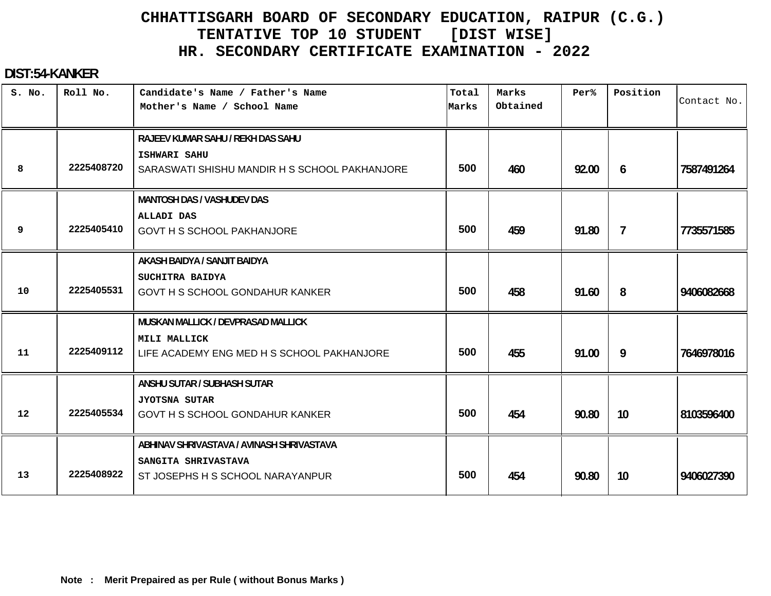#### **DIST:54-KANKER**

| S. No. | Roll No.   | Candidate's Name / Father's Name<br>Mother's Name / School Name | Total<br>Marks | Marks<br>Obtained | Per%  | Position       | Contact No. |
|--------|------------|-----------------------------------------------------------------|----------------|-------------------|-------|----------------|-------------|
|        |            | RAJEEV KUMAR SAHU / REKH DAS SAHU                               |                |                   |       |                |             |
| 8      | 2225408720 | ISHWARI SAHU<br>SARASWATI SHISHU MANDIR H S SCHOOL PAKHANJORE   | 500            | 460               | 92.00 | 6              | 7587491264  |
|        |            | <b>MANTOSH DAS / VASHUDEV DAS</b>                               |                |                   |       |                |             |
| 9      | 2225405410 | <b>ALLADI DAS</b><br><b>GOVT H S SCHOOL PAKHANJORE</b>          | 500            | 459               | 91.80 | $\overline{7}$ | 7735571585  |
|        |            | AKASH BAIDYA / SANJIT BAIDYA                                    |                |                   |       |                |             |
| 10     | 2225405531 | SUCHITRA BAIDYA<br>GOVT H S SCHOOL GONDAHUR KANKER              | 500            | 458               | 91.60 | 8              | 9406082668  |
|        |            | MUSKAN MALLICK / DEVPRASAD MALLICK                              |                |                   |       |                |             |
| 11     | 2225409112 | MILI MALLICK<br>LIFE ACADEMY ENG MED H S SCHOOL PAKHANJORE      | 500            | 455               | 91.00 | 9              | 7646978016  |
|        |            | ANSHU SUTAR / SUBHASH SUTAR                                     |                |                   |       |                |             |
| 12     | 2225405534 | <b>JYOTSNA SUTAR</b><br>GOVT H S SCHOOL GONDAHUR KANKER         | 500            | 454               | 90.80 | 10             | 8103596400  |
|        |            | ABHINAV SHRIVASTAVA / AVINASH SHRIVASTAVA                       |                |                   |       |                |             |
| 13     | 2225408922 | SANGITA SHRIVASTAVA<br>ST JOSEPHS H S SCHOOL NARAYANPUR         | 500            | 454               | 90.80 | 10             | 9406027390  |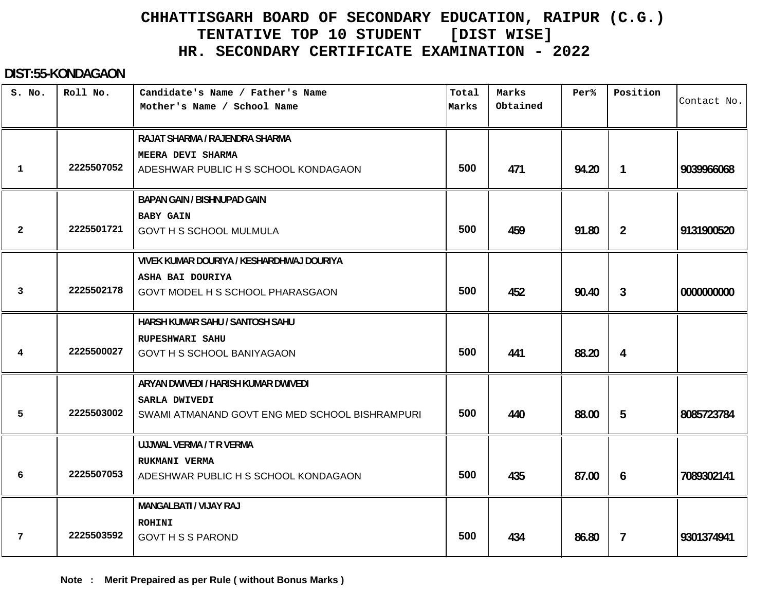#### **DIST:55-KONDAGAON**

| S. No.         | Roll No.   | Candidate's Name / Father's Name<br>Mother's Name / School Name | Total<br>Marks | Marks<br>Obtained | Per <sup>8</sup> | Position       | Contact No. |
|----------------|------------|-----------------------------------------------------------------|----------------|-------------------|------------------|----------------|-------------|
|                |            | RAJAT SHARMA / RAJENDRA SHARMA                                  |                |                   |                  |                |             |
|                |            | MEERA DEVI SHARMA                                               |                |                   |                  |                |             |
| $\mathbf 1$    | 2225507052 | ADESHWAR PUBLIC H S SCHOOL KONDAGAON                            | 500            | 471               | 94.20            | $\mathbf{1}$   | 9039966068  |
|                |            | <b>BAPAN GAIN / BISHNUPAD GAIN</b>                              |                |                   |                  |                |             |
|                |            | <b>BABY GAIN</b>                                                |                |                   |                  |                |             |
| $\overline{2}$ | 2225501721 | <b>GOVT H S SCHOOL MULMULA</b>                                  | 500            | 459               | 91.80            | $\overline{2}$ | 9131900520  |
|                |            | VIVEK KUMAR DOURIYA / KESHARDHWAJ DOURIYA                       |                |                   |                  |                |             |
|                |            | ASHA BAI DOURIYA                                                |                |                   |                  |                |             |
| 3              | 2225502178 | GOVT MODEL H S SCHOOL PHARASGAON                                | 500            | 452               | 90.40            | 3              | 0000000000  |
|                |            | HARSH KUMAR SAHU / SANTOSH SAHU                                 |                |                   |                  |                |             |
|                |            | <b>RUPESHWARI SAHU</b>                                          |                |                   |                  |                |             |
| 4              | 2225500027 | <b>GOVT H S SCHOOL BANIYAGAON</b>                               | 500            | 441               | 88.20            | 4              |             |
|                |            | ARYAN DWIVEDI / HARISH KUMAR DWIVEDI                            |                |                   |                  |                |             |
|                |            | SARLA DWIVEDI                                                   |                |                   |                  |                |             |
| 5              | 2225503002 | SWAMI ATMANAND GOVT ENG MED SCHOOL BISHRAMPURI                  | 500            | 440               | 88.00            | 5              | 8085723784  |
|                |            | UJJWAL VERMA / T R VERMA                                        |                |                   |                  |                |             |
|                |            | RUKMANI VERMA                                                   |                |                   |                  |                |             |
| 6              | 2225507053 | ADESHWAR PUBLIC H S SCHOOL KONDAGAON                            | 500            | 435               | 87.00            | 6              | 7089302141  |
|                |            | MANGALBATI / VIJAY RAJ                                          |                |                   |                  |                |             |
|                |            | <b>ROHINI</b>                                                   |                |                   |                  |                |             |
| 7              | 2225503592 | <b>GOVT H S S PAROND</b>                                        | 500            | 434               | 86.80            | 7              | 9301374941  |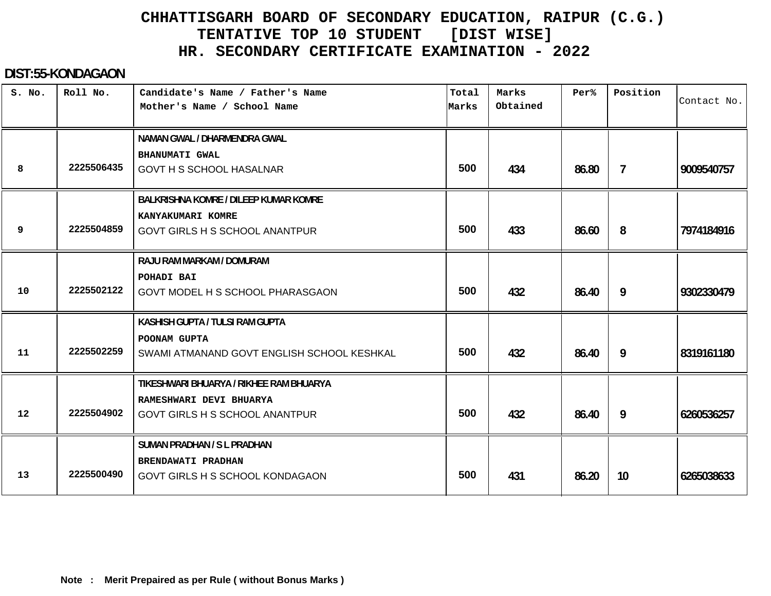#### **DIST:55-KONDAGAON**

| S. No. | Roll No.   | Candidate's Name / Father's Name<br>Mother's Name / School Name                                             | Total<br>Marks | Marks<br>Obtained | Per%  | Position        | Contact No. |
|--------|------------|-------------------------------------------------------------------------------------------------------------|----------------|-------------------|-------|-----------------|-------------|
| 8      | 2225506435 | NAMAN GWAL / DHARMENDRA GWAL<br><b>BHANUMATI GWAL</b><br><b>GOVT H S SCHOOL HASALNAR</b>                    | 500            | 434               | 86.80 | $\overline{7}$  | 9009540757  |
| 9      | 2225504859 | BALKRISHNA KOMRE / DILEEP KUMAR KOMRE<br>KANYAKUMARI KOMRE<br><b>GOVT GIRLS H S SCHOOL ANANTPUR</b>         | 500            | 433               | 86.60 | 8               | 7974184916  |
| 10     | 2225502122 | RAJU RAM MARKAM / DOMURAM<br>POHADI BAI<br>GOVT MODEL H S SCHOOL PHARASGAON                                 | 500            | 432               | 86.40 | 9               | 9302330479  |
| 11     | 2225502259 | KASHISH GUPTA / TULSI RAM GUPTA<br>POONAM GUPTA<br>SWAMI ATMANAND GOVT ENGLISH SCHOOL KESHKAL               | 500            | 432               | 86.40 | 9               | 8319161180  |
| 12     | 2225504902 | TIKESHWARI BHUARYA / RIKHEE RAM BHUARYA<br>RAMESHWARI DEVI BHUARYA<br><b>GOVT GIRLS H S SCHOOL ANANTPUR</b> | 500            | 432               | 86.40 | 9               | 6260536257  |
| 13     | 2225500490 | SUMAN PRADHAN / S L PRADHAN<br>BRENDAWATI PRADHAN<br>GOVT GIRLS H S SCHOOL KONDAGAON                        | 500            | 431               | 86.20 | 10 <sup>°</sup> | 6265038633  |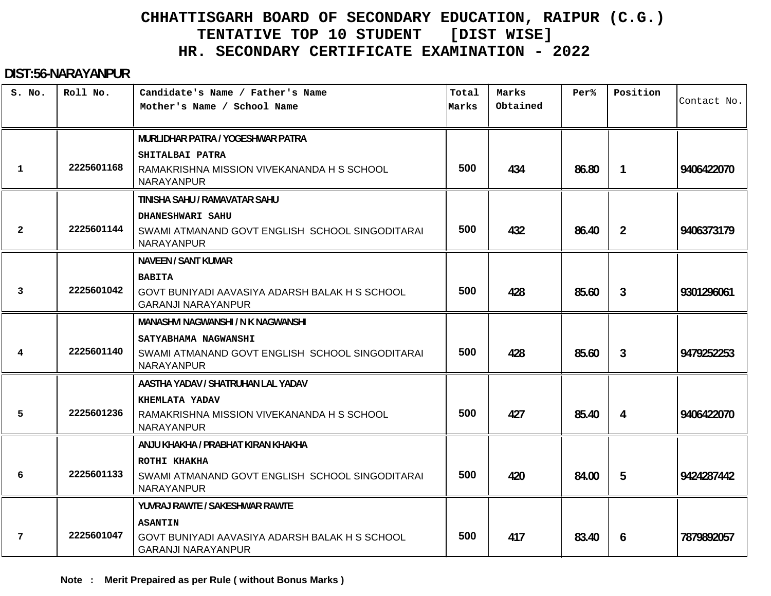#### **DIST:56-NARAYANPUR**

| S. No.       | Roll No.   | Candidate's Name / Father's Name                                            | Total | Marks<br>Obtained | Per%  | Position       | Contact No. |
|--------------|------------|-----------------------------------------------------------------------------|-------|-------------------|-------|----------------|-------------|
|              |            | Mother's Name / School Name                                                 | Marks |                   |       |                |             |
|              |            | MURLIDHAR PATRA / YOGESHWAR PATRA                                           |       |                   |       |                |             |
|              |            | SHITALBAI PATRA                                                             |       |                   |       |                |             |
| $\mathbf{1}$ | 2225601168 | RAMAKRISHNA MISSION VIVEKANANDA H S SCHOOL<br>NARAYANPUR                    | 500   | 434               | 86.80 | 1              | 9406422070  |
|              |            | TINISHA SAHU / RAMAVATAR SAHU                                               |       |                   |       |                |             |
|              |            | DHANESHWARI SAHU                                                            |       |                   |       |                |             |
| $\mathbf{2}$ | 2225601144 | SWAMI ATMANAND GOVT ENGLISH SCHOOL SINGODITARAI<br>NARAYANPUR               | 500   | 432               | 86.40 | $\overline{2}$ | 9406373179  |
|              |            | <b>NAVEEN / SANT KUMAR</b>                                                  |       |                   |       |                |             |
|              |            | <b>BABITA</b>                                                               |       |                   |       |                |             |
| 3            | 2225601042 | GOVT BUNIYADI AAVASIYA ADARSH BALAK H S SCHOOL<br><b>GARANJI NARAYANPUR</b> | 500   | 428               | 85.60 | $\mathbf{3}$   | 9301296061  |
|              |            | MANASHVI NAGWANSHI / N K NAGWANSHI                                          |       |                   |       |                |             |
|              |            | SATYABHAMA NAGWANSHI                                                        |       |                   |       |                |             |
| 4            | 2225601140 | SWAMI ATMANAND GOVT ENGLISH SCHOOL SINGODITARAI<br><b>NARAYANPUR</b>        | 500   | 428               | 85.60 | 3              | 9479252253  |
|              |            | AASTHA YADAV / SHATRUHAN LAL YADAV                                          |       |                   |       |                |             |
|              |            | KHEMLATA YADAV                                                              |       |                   |       |                |             |
| 5            | 2225601236 | RAMAKRISHNA MISSION VIVEKANANDA H S SCHOOL<br><b>NARAYANPUR</b>             | 500   | 427               | 85.40 | 4              | 9406422070  |
|              |            | ANJU KHAKHA / PRABHAT KIRAN KHAKHA                                          |       |                   |       |                |             |
|              |            | ROTHI KHAKHA                                                                |       |                   |       |                |             |
| 6            | 2225601133 | SWAMI ATMANAND GOVT ENGLISH SCHOOL SINGODITARAI<br><b>NARAYANPUR</b>        | 500   | 420               | 84.00 | 5              | 9424287442  |
|              |            | YUVRAJ RAWTE / SAKESHWAR RAWTE                                              |       |                   |       |                |             |
|              |            | <b>ASANTIN</b>                                                              |       |                   |       |                |             |
| 7            | 2225601047 | GOVT BUNIYADI AAVASIYA ADARSH BALAK H S SCHOOL<br><b>GARANJI NARAYANPUR</b> | 500   | 417               | 83.40 | 6              | 7879892057  |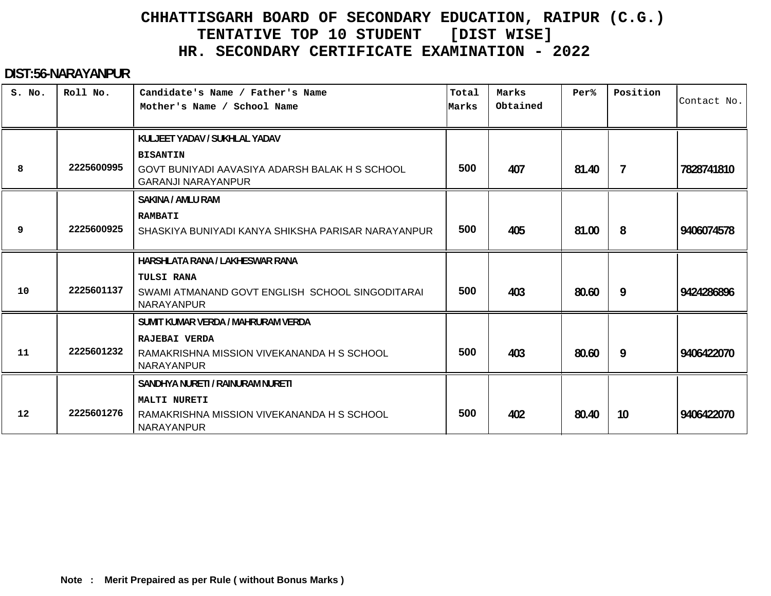#### **DIST:56-NARAYANPUR**

| S. No. | Roll No.   | Candidate's Name / Father's Name<br>Mother's Name / School Name                                | Total<br>Marks | Marks<br>Obtained | Per%  | Position       | Contact No. |
|--------|------------|------------------------------------------------------------------------------------------------|----------------|-------------------|-------|----------------|-------------|
|        |            | KULJEET YADAV / SUKHLAL YADAV                                                                  |                |                   |       |                |             |
| 8      | 2225600995 | <b>BISANTIN</b><br>GOVT BUNIYADI AAVASIYA ADARSH BALAK H S SCHOOL<br><b>GARANJI NARAYANPUR</b> | 500            | 407               | 81.40 | $\overline{7}$ | 7828741810  |
|        |            | <b>SAKINA / AMLU RAM</b>                                                                       |                |                   |       |                |             |
| 9      | 2225600925 | <b>RAMBATI</b><br>SHASKIYA BUNIYADI KANYA SHIKSHA PARISAR NARAYANPUR                           | 500            | 405               | 81.00 | 8              | 9406074578  |
|        |            | HARSHLATA RANA / LAKHESWAR RANA                                                                |                |                   |       |                |             |
| 10     | 2225601137 | <b>TULSI RANA</b><br>SWAMI ATMANAND GOVT ENGLISH SCHOOL SINGODITARAI<br>NARAYANPUR             | 500            | 403               | 80.60 | 9              | 9424286896  |
|        |            | SUMIT KUMAR VERDA / MAHRURAM VERDA                                                             |                |                   |       |                |             |
| 11     | 2225601232 | RAJEBAI VERDA<br>RAMAKRISHNA MISSION VIVEKANANDA H S SCHOOL<br>NARAYANPUR                      | 500            | 403               | 80.60 | 9              | 9406422070  |
|        |            | SANDHYA NURETI / RAINURAM NURETI                                                               |                |                   |       |                |             |
| 12     | 2225601276 | <b>MALTI NURETI</b><br>RAMAKRISHNA MISSION VIVEKANANDA H S SCHOOL<br>NARAYANPUR                | 500            | 402               | 80.40 | 10             | 9406422070  |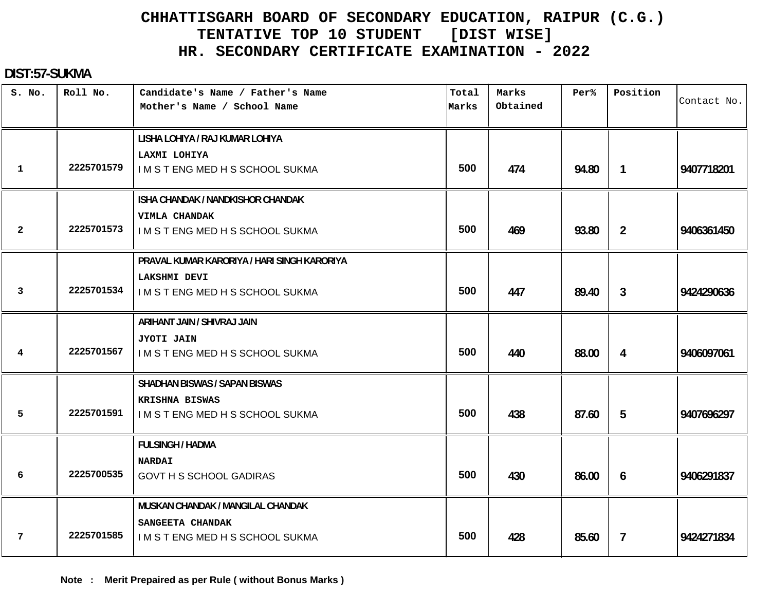#### **DIST:57-SUKMA**

| S. No.         | Roll No.   | Candidate's Name / Father's Name<br>Mother's Name / School Name | Total<br>Marks | Marks<br>Obtained | Per <sup>8</sup> | Position       | Contact No. |
|----------------|------------|-----------------------------------------------------------------|----------------|-------------------|------------------|----------------|-------------|
|                |            | LISHA LOHIYA / RAJ KUMAR LOHIYA                                 |                |                   |                  |                |             |
| $\mathbf 1$    | 2225701579 | LAXMI LOHIYA<br>I M S T ENG MED H S SCHOOL SUKMA                | 500            | 474               | 94.80            | $\mathbf{1}$   | 9407718201  |
|                |            | ISHA CHANDAK / NANDKISHOR CHANDAK<br>VIMLA CHANDAK              |                |                   |                  |                |             |
| $\overline{2}$ | 2225701573 | IMSTENGMEDHSSCHOOLSUKMA                                         | 500            | 469               | 93.80            | $\overline{2}$ | 9406361450  |
|                |            | PRAVAL KUMAR KARORIYA / HARI SINGH KARORIYA                     |                |                   |                  |                |             |
| $\mathbf{3}$   | 2225701534 | <b>LAKSHMI DEVI</b><br>I M S T ENG MED H S SCHOOL SUKMA         | 500            | 447               | 89.40            | 3              | 9424290636  |
|                |            | ARIHANT JAIN / SHIVRAJ JAIN                                     |                |                   |                  |                |             |
| 4              | 2225701567 | <b>JYOTI JAIN</b><br>I M S T ENG MED H S SCHOOL SUKMA           | 500            | 440               | 88.00            | 4              | 9406097061  |
|                |            | <b>SHADHAN BISWAS / SAPAN BISWAS</b>                            |                |                   |                  |                |             |
| 5              | 2225701591 | KRISHNA BISWAS<br>IMSTENGMEDHSSCHOOLSUKMA                       | 500            | 438               | 87.60            | 5              | 9407696297  |
|                |            | <b>FULSINGH / HADMA</b>                                         |                |                   |                  |                |             |
| 6              | 2225700535 | <b>NARDAI</b><br><b>GOVT H S SCHOOL GADIRAS</b>                 | 500            | 430               | 86.00            | 6              | 9406291837  |
|                |            | MUSKAN CHANDAK / MANGILAL CHANDAK                               |                |                   |                  |                |             |
| 7              | 2225701585 | SANGEETA CHANDAK<br>I M S T ENG MED H S SCHOOL SUKMA            | 500            | 428               | 85.60            | $\mathbf{7}$   | 9424271834  |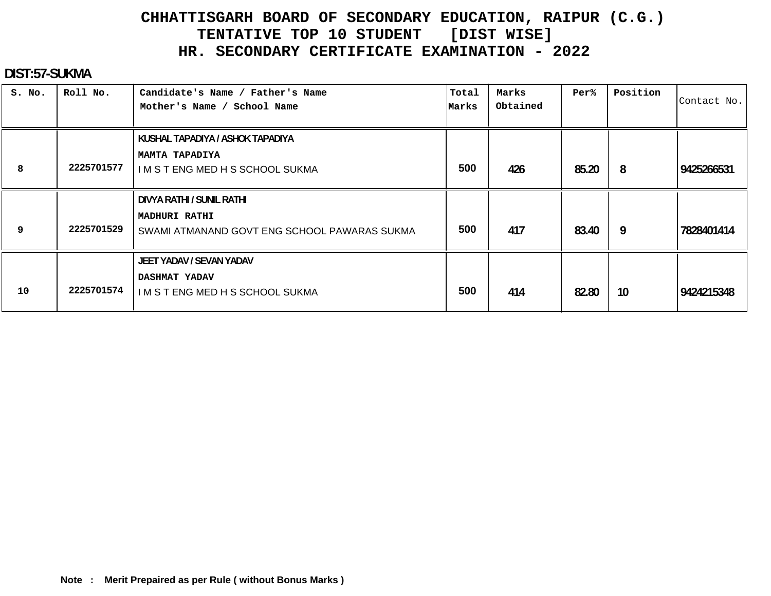#### **DIST:57-SUKMA**

| S. No. | Roll No.   | Candidate's Name / Father's Name<br>Mother's Name / School Name               | Total<br>Marks | Marks<br>Obtained | Per%  | Position | Contact No. |
|--------|------------|-------------------------------------------------------------------------------|----------------|-------------------|-------|----------|-------------|
|        |            | KUSHAL TAPADIYA / ASHOK TAPADIYA                                              |                |                   |       |          |             |
| 8      | 2225701577 | <b>MAMTA TAPADIYA</b><br>I M S T ENG MED H S SCHOOL SUKMA                     | 500            | 426               | 85.20 | 8        | 9425266531  |
|        |            | DIVYA RATHI / SUNIL RATHI                                                     |                |                   |       |          |             |
| 9      | 2225701529 | <b>MADHURI RATHI</b><br>SWAMI ATMANAND GOVT ENG SCHOOL PAWARAS SUKMA          | 500            | 417               | 83.40 | 9        | 7828401414  |
| 10     | 2225701574 | JEET YADAV / SEVAN YADAV<br>DASHMAT YADAV<br>I M S T ENG MED H S SCHOOL SUKMA | 500            | 414               | 82.80 | 10       | 9424215348  |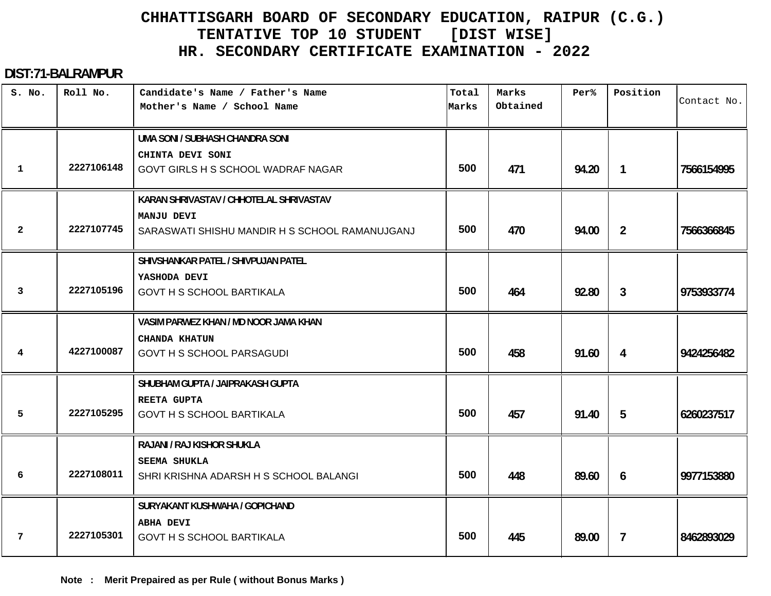#### **DIST:71-BALRAMPUR**

| S. No.       | Roll No.   | Candidate's Name / Father's Name<br>Mother's Name / School Name | Total<br>Marks | Marks<br>Obtained | Per <sup>8</sup> | Position       | Contact No. |
|--------------|------------|-----------------------------------------------------------------|----------------|-------------------|------------------|----------------|-------------|
|              |            | UMA SONI / SUBHASH CHANDRA SONI                                 |                |                   |                  |                |             |
| 1            | 2227106148 | CHINTA DEVI SONI<br>GOVT GIRLS H S SCHOOL WADRAF NAGAR          | 500            | 471               | 94.20            | $\overline{1}$ | 7566154995  |
|              |            | KARAN SHRIVASTAV / CHHOTELAL SHRIVASTAV                         |                |                   |                  |                |             |
| $\mathbf{2}$ | 2227107745 | MANJU DEVI<br>SARASWATI SHISHU MANDIR H S SCHOOL RAMANUJGANJ    | 500            | 470               | 94.00            | $\overline{2}$ | 7566366845  |
|              |            | SHIVSHANKAR PATEL / SHIVPUJAN PATEL                             |                |                   |                  |                |             |
| 3            | 2227105196 | YASHODA DEVI<br><b>GOVT H S SCHOOL BARTIKALA</b>                | 500            | 464               | 92.80            | 3              | 9753933774  |
|              |            | VASIM PARWEZ KHAN / MD NOOR JAMA KHAN                           |                |                   |                  |                |             |
| 4            | 4227100087 | <b>CHANDA KHATUN</b><br><b>GOVT H S SCHOOL PARSAGUDI</b>        | 500            | 458               | 91.60            | 4              | 9424256482  |
|              |            | SHUBHAM GUPTA / JAIPRAKASH GUPTA                                |                |                   |                  |                |             |
| 5            | 2227105295 | <b>REETA GUPTA</b><br><b>GOVT H S SCHOOL BARTIKALA</b>          | 500            | 457               | 91.40            | 5              | 6260237517  |
|              |            | RAJANI / RAJ KISHOR SHUKLA                                      |                |                   |                  |                |             |
| 6            | 2227108011 | SEEMA SHUKLA<br>SHRI KRISHNA ADARSH H S SCHOOL BALANGI          | 500            | 448               | 89.60            | 6              | 9977153880  |
|              |            | SURYAKANT KUSHWAHA / GOPICHAND                                  |                |                   |                  |                |             |
| 7            | 2227105301 | <b>ABHA DEVI</b><br><b>GOVT H S SCHOOL BARTIKALA</b>            | 500            | 445               | 89.00            | $\overline{1}$ | 8462893029  |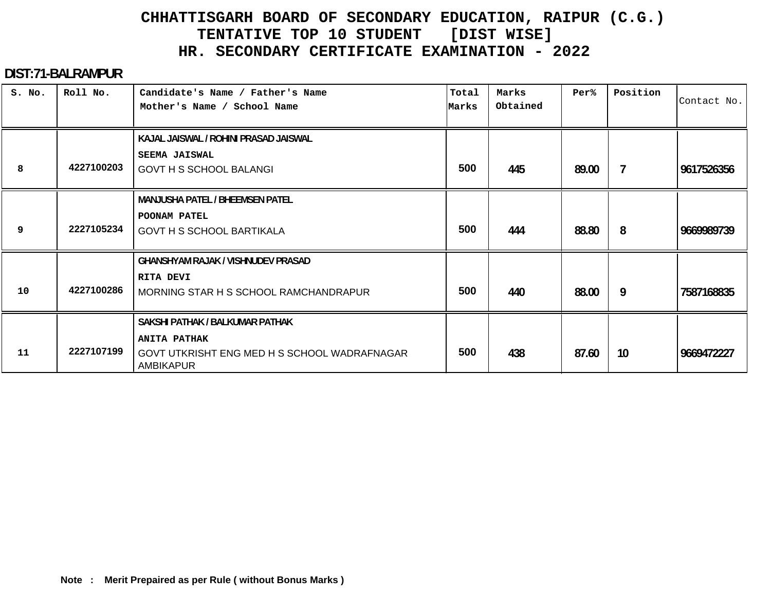#### **DIST:71-BALRAMPUR**

| S. No. | Roll No.   | Candidate's Name / Father's Name<br>Mother's Name / School Name                                                            | Total<br>Marks | Marks<br>Obtained | Per%  | Position | Contact No. |
|--------|------------|----------------------------------------------------------------------------------------------------------------------------|----------------|-------------------|-------|----------|-------------|
| 8      | 4227100203 | KAJAL JAISWAL / ROHINI PRASAD JAISWAL<br><b>SEEMA JAISWAL</b><br><b>GOVT H S SCHOOL BALANGI</b>                            | 500            | 445               | 89.00 | 7        | 9617526356  |
| 9      | 2227105234 | <b>MANJUSHA PATEL / BHEEMSEN PATEL</b><br>POONAM PATEL<br><b>GOVT H S SCHOOL BARTIKALA</b>                                 | 500            | 444               | 88.80 | 8        | 9669989739  |
| 10     | 4227100286 | <b>GHANSHYAM RAJAK / VISHNUDEV PRASAD</b><br>RITA DEVI<br>MORNING STAR H S SCHOOL RAMCHANDRAPUR                            | 500            | 440               | 88.00 | 9        | 7587168835  |
| 11     | 2227107199 | SAKSHI PATHAK / BALKUMAR PATHAK<br><b>ANITA PATHAK</b><br>GOVT UTKRISHT ENG MED H S SCHOOL WADRAFNAGAR<br><b>AMBIKAPUR</b> | 500            | 438               | 87.60 | 10       | 9669472227  |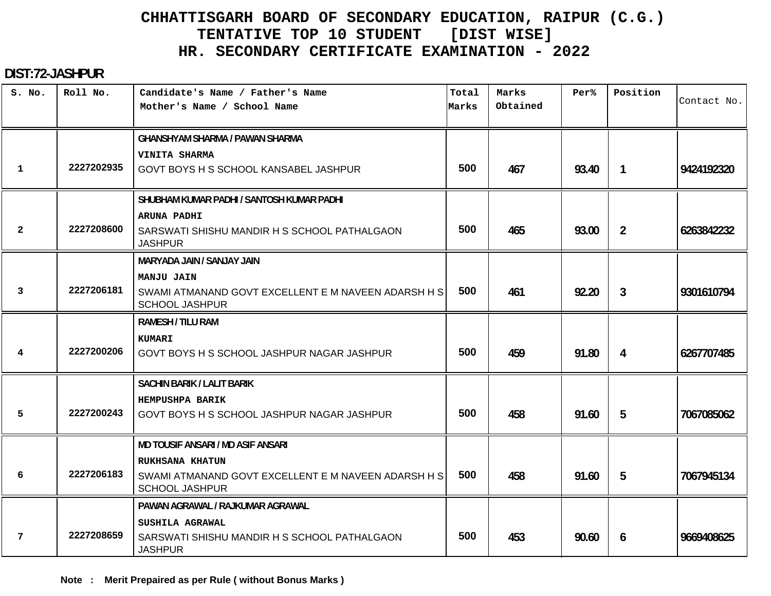#### **DIST:72-JASHPUR**

| S. No.         | Roll No.   | Candidate's Name / Father's Name<br>Mother's Name / School Name              | Total<br>Marks | Marks<br>Obtained | Per%  | Position       | Contact No. |
|----------------|------------|------------------------------------------------------------------------------|----------------|-------------------|-------|----------------|-------------|
|                |            | <b>GHANSHYAM SHARMA / PAWAN SHARMA</b>                                       |                |                   |       |                |             |
|                |            | VINITA SHARMA                                                                |                |                   |       |                |             |
| 1              | 2227202935 | GOVT BOYS H S SCHOOL KANSABEL JASHPUR                                        | 500            | 467               | 93.40 | $\mathbf{1}$   | 9424192320  |
|                |            | SHUBHAM KUMAR PADHI / SANTOSH KUMAR PADHI                                    |                |                   |       |                |             |
|                |            | ARUNA PADHI                                                                  |                |                   |       |                |             |
| $\overline{2}$ | 2227208600 | SARSWATI SHISHU MANDIR H S SCHOOL PATHALGAON<br><b>JASHPUR</b>               | 500            | 465               | 93.00 | $\overline{2}$ | 6263842232  |
|                |            | MARYADA JAIN / SANJAY JAIN                                                   |                |                   |       |                |             |
|                |            | <b>MANJU JAIN</b>                                                            |                |                   |       |                |             |
| $\mathbf{3}$   | 2227206181 | SWAMI ATMANAND GOVT EXCELLENT E M NAVEEN ADARSH H S<br><b>SCHOOL JASHPUR</b> | 500            | 461               | 92.20 | $\mathbf{3}$   | 9301610794  |
|                |            | <b>RAMESH / TILU RAM</b>                                                     |                |                   |       |                |             |
|                |            | <b>KUMARI</b>                                                                |                |                   |       |                |             |
| 4              | 2227200206 | GOVT BOYS H S SCHOOL JASHPUR NAGAR JASHPUR                                   | 500            | 459               | 91.80 | 4              | 6267707485  |
|                |            | <b>SACHIN BARIK / LALIT BARIK</b>                                            |                |                   |       |                |             |
|                |            | HEMPUSHPA BARIK                                                              |                |                   |       |                |             |
| 5              | 2227200243 | GOVT BOYS H S SCHOOL JASHPUR NAGAR JASHPUR                                   | 500            | 458               | 91.60 | 5              | 7067085062  |
|                |            | <b>MD TOUSIF ANSARI / MD ASIF ANSARI</b>                                     |                |                   |       |                |             |
|                |            | <b>RUKHSANA KHATUN</b>                                                       |                |                   |       |                |             |
| 6              | 2227206183 | SWAMI ATMANAND GOVT EXCELLENT E M NAVEEN ADARSH H S<br><b>SCHOOL JASHPUR</b> | 500            | 458               | 91.60 | 5              | 7067945134  |
|                |            | PAWAN AGRAWAL / RAJKUMAR AGRAWAL                                             |                |                   |       |                |             |
|                |            | SUSHILA AGRAWAL                                                              |                |                   |       |                |             |
| 7              | 2227208659 | SARSWATI SHISHU MANDIR H S SCHOOL PATHALGAON<br><b>JASHPUR</b>               | 500            | 453               | 90.60 | 6              | 9669408625  |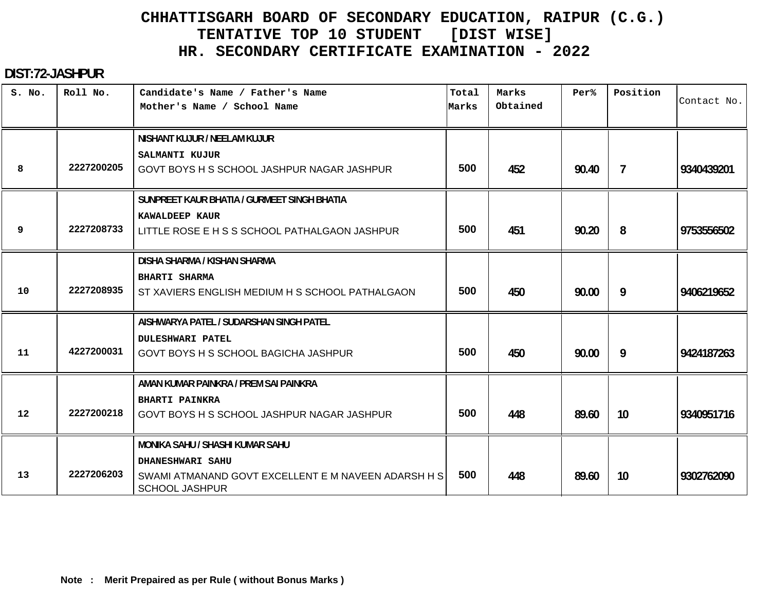#### **DIST:72-JASHPUR**

| S. No. | Roll No.   | Candidate's Name / Father's Name<br>Mother's Name / School Name                                                                            | Total<br>Marks | Marks<br>Obtained | Per%  | Position        | Contact No. |
|--------|------------|--------------------------------------------------------------------------------------------------------------------------------------------|----------------|-------------------|-------|-----------------|-------------|
| 8      | 2227200205 | NISHANT KUJUR / NEELAM KUJUR<br>SALMANTI KUJUR<br>GOVT BOYS H S SCHOOL JASHPUR NAGAR JASHPUR                                               | 500            | 452               | 90.40 | $\overline{7}$  | 9340439201  |
| 9      | 2227208733 | SUNPREET KAUR BHATIA / GURMEET SINGH BHATIA<br>KAWALDEEP KAUR<br>LITTLE ROSE E H S S SCHOOL PATHALGAON JASHPUR                             | 500            | 451               | 90.20 | 8               | 9753556502  |
| 10     | 2227208935 | DISHA SHARMA / KISHAN SHARMA<br><b>BHARTI SHARMA</b><br>ST XAVIERS ENGLISH MEDIUM H S SCHOOL PATHALGAON                                    | 500            | 450               | 90.00 | 9               | 9406219652  |
| 11     | 4227200031 | AISHWARYA PATEL / SUDARSHAN SINGH PATEL<br><b>DULESHWARI PATEL</b><br>GOVT BOYS H S SCHOOL BAGICHA JASHPUR                                 | 500            | 450               | 90.00 | 9               | 9424187263  |
| 12     | 2227200218 | AMAN KUMAR PAINKRA / PREM SAI PAINKRA<br><b>BHARTI PAINKRA</b><br>GOVT BOYS H S SCHOOL JASHPUR NAGAR JASHPUR                               | 500            | 448               | 89.60 | 10              | 9340951716  |
| 13     | 2227206203 | <b>MONIKA SAHU / SHASHI KUMAR SAHU</b><br>DHANESHWARI SAHU<br>SWAMI ATMANAND GOVT EXCELLENT E M NAVEEN ADARSH H S<br><b>SCHOOL JASHPUR</b> | 500            | 448               | 89.60 | 10 <sup>°</sup> | 9302762090  |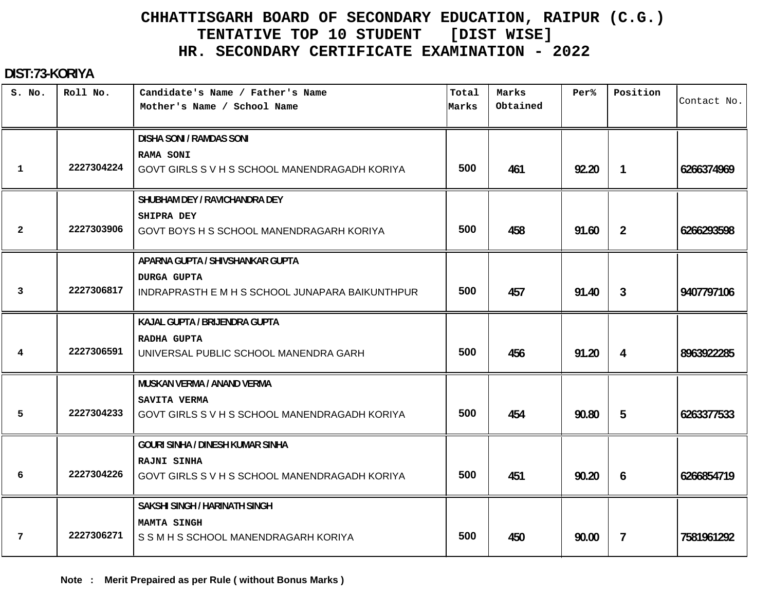#### **DIST:73-KORIYA**

| S. No.         | Roll No.   | Candidate's Name / Father's Name<br>Mother's Name / School Name | Total<br>Marks | Marks<br>Obtained | Per%  | Position       | Contact No. |
|----------------|------------|-----------------------------------------------------------------|----------------|-------------------|-------|----------------|-------------|
|                |            | <b>DISHA SONI / RAMDAS SONI</b>                                 |                |                   |       |                |             |
|                |            | RAMA SONI                                                       |                |                   |       |                |             |
| $\mathbf 1$    | 2227304224 | GOVT GIRLS SV H S SCHOOL MANENDRAGADH KORIYA                    | 500            | 461               | 92.20 | $\mathbf{1}$   | 6266374969  |
|                |            | SHUBHAM DEY / RAVICHANDRA DEY                                   |                |                   |       |                |             |
|                |            | <b>SHIPRA DEY</b>                                               |                |                   |       |                |             |
| $\overline{2}$ | 2227303906 | GOVT BOYS H S SCHOOL MANENDRAGARH KORIYA                        | 500            | 458               | 91.60 | $\overline{2}$ | 6266293598  |
|                |            | APARNA GUPTA / SHIVSHANKAR GUPTA                                |                |                   |       |                |             |
|                |            | <b>DURGA GUPTA</b>                                              |                |                   |       |                |             |
| 3              | 2227306817 | INDRAPRASTH E M H S SCHOOL JUNAPARA BAIKUNTHPUR                 | 500            | 457               | 91.40 | 3              | 9407797106  |
|                |            | KAJAL GUPTA / BRIJENDRA GUPTA                                   |                |                   |       |                |             |
|                |            | RADHA GUPTA                                                     |                |                   |       |                |             |
| 4              | 2227306591 | UNIVERSAL PUBLIC SCHOOL MANENDRA GARH                           | 500            | 456               | 91.20 | 4              | 8963922285  |
|                |            | <b>MUSKAN VERMA / ANAND VERMA</b>                               |                |                   |       |                |             |
|                |            | SAVITA VERMA                                                    |                |                   |       |                |             |
| 5              | 2227304233 | GOVT GIRLS SV H S SCHOOL MANENDRAGADH KORIYA                    | 500            | 454               | 90.80 | 5              | 6263377533  |
|                |            | <b>GOURI SINHA / DINESH KUMAR SINHA</b>                         |                |                   |       |                |             |
|                |            | RAJNI SINHA                                                     |                |                   |       |                |             |
| 6              | 2227304226 | GOVT GIRLS SV H S SCHOOL MANENDRAGADH KORIYA                    | 500            | 451               | 90.20 | 6              | 6266854719  |
|                |            | <b>SAKSHI SINGH / HARINATH SINGH</b>                            |                |                   |       |                |             |
|                |            | <b>MAMTA SINGH</b>                                              |                |                   |       |                |             |
| 7              | 2227306271 | S S M H S SCHOOL MANENDRAGARH KORIYA                            | 500            | 450               | 90.00 | $\overline{7}$ | 7581961292  |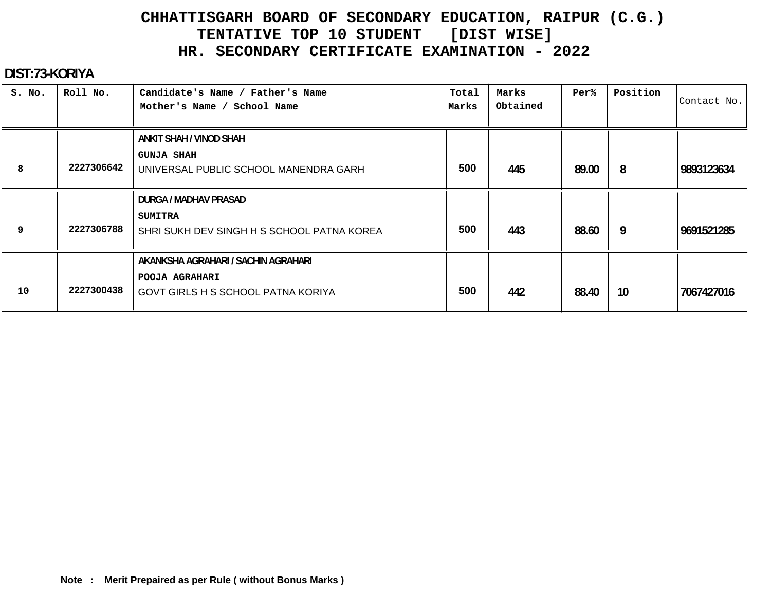#### **DIST:73-KORIYA**

| S. No. | Roll No.   | Candidate's Name / Father's Name<br>Mother's Name / School Name                             | Total<br>Marks | Marks<br>Obtained | Per%  | Position | Contact No. |
|--------|------------|---------------------------------------------------------------------------------------------|----------------|-------------------|-------|----------|-------------|
|        |            | ANKIT SHAH / VINOD SHAH                                                                     |                |                   |       |          |             |
| 8      | 2227306642 | <b>GUNJA SHAH</b><br>UNIVERSAL PUBLIC SCHOOL MANENDRA GARH                                  | 500            | 445               | 89.00 | 8        | 9893123634  |
|        |            | DURGA / MADHAV PRASAD                                                                       |                |                   |       |          |             |
| 9      | 2227306788 | SUMITRA<br>SHRI SUKH DEV SINGH H S SCHOOL PATNA KOREA                                       | 500            | 443               | 88.60 | 9        | 9691521285  |
| 10     | 2227300438 | AKANKSHA AGRAHARI / SACHIN AGRAHARI<br>POOJA AGRAHARI<br>GOVT GIRLS H S SCHOOL PATNA KORIYA | 500            | 442               | 88.40 | 10       | 7067427016  |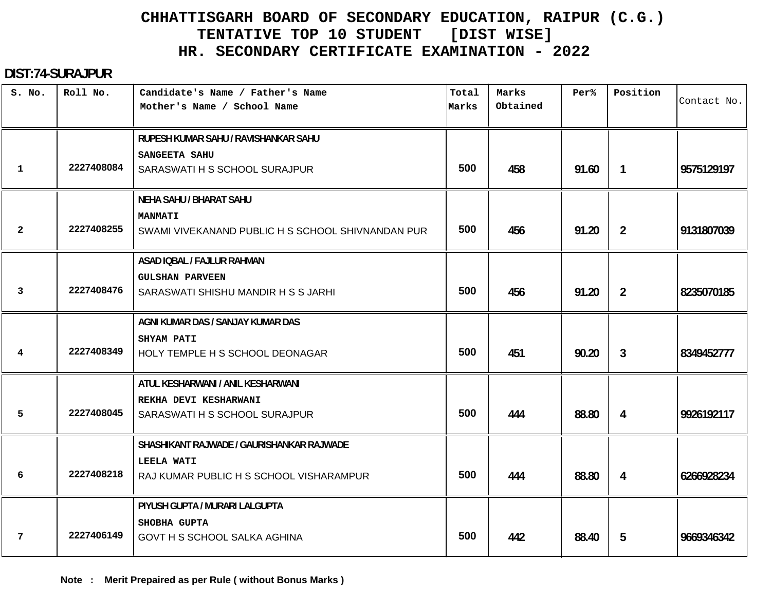#### **DIST:74-SURAJPUR**

| S. No.       | Roll No.   | Candidate's Name / Father's Name<br>Mother's Name / School Name     | Total<br>Marks | Marks<br>Obtained | Per <sup>8</sup> | Position       | Contact No. |
|--------------|------------|---------------------------------------------------------------------|----------------|-------------------|------------------|----------------|-------------|
|              |            | RUPESH KUMAR SAHU / RAVISHANKAR SAHU                                |                |                   |                  |                |             |
| $\mathbf{1}$ | 2227408084 | SANGEETA SAHU<br>SARASWATI H S SCHOOL SURAJPUR                      | 500            | 458               | 91.60            | $\mathbf{1}$   | 9575129197  |
|              |            | <b>NEHA SAHU / BHARAT SAHU</b>                                      |                |                   |                  |                |             |
| $\mathbf{2}$ | 2227408255 | <b>MANMATI</b><br>SWAMI VIVEKANAND PUBLIC H S SCHOOL SHIVNANDAN PUR | 500            | 456               | 91.20            | $\overline{2}$ | 9131807039  |
|              |            | ASAD IQBAL / FAJLUR RAHMAN                                          |                |                   |                  |                |             |
| 3            | 2227408476 | <b>GULSHAN PARVEEN</b><br>SARASWATI SHISHU MANDIR H S S JARHI       | 500            | 456               | 91.20            | $\overline{2}$ | 8235070185  |
|              |            | AGNI KUMAR DAS / SANJAY KUMAR DAS                                   |                |                   |                  |                |             |
| 4            | 2227408349 | SHYAM PATI<br>HOLY TEMPLE H S SCHOOL DEONAGAR                       | 500            | 451               | 90.20            | $\mathbf{3}$   | 8349452777  |
|              |            | ATUL KESHARWANI / ANIL KESHARWANI                                   |                |                   |                  |                |             |
| 5            | 2227408045 | REKHA DEVI KESHARWANI<br>SARASWATI H S SCHOOL SURAJPUR              | 500            | 444               | 88.80            | 4              | 9926192117  |
|              |            | SHASHIKANT RAJWADE / GAURISHANKAR RAJWADE                           |                |                   |                  |                |             |
| 6            | 2227408218 | LEELA WATI<br>RAJ KUMAR PUBLIC H S SCHOOL VISHARAMPUR               | 500            | 444               | 88.80            | 4              | 6266928234  |
|              |            | PIYUSH GUPTA / MURARI LALGUPTA                                      |                |                   |                  |                |             |
| 7            | 2227406149 | SHOBHA GUPTA<br>GOVT H S SCHOOL SALKA AGHINA                        | 500            | 442               | 88.40            | 5              | 9669346342  |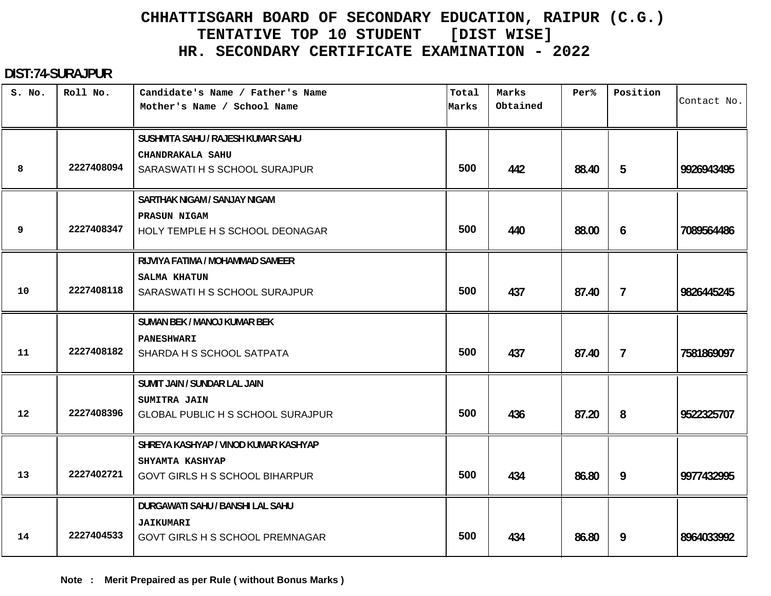#### **DIST:74-SURAJPUR**

| S. No.            | Roll No.   | Candidate's Name / Father's Name<br>Mother's Name / School Name | Total<br>Marks | Marks<br>Obtained | Per%  | Position       | Contact No. |
|-------------------|------------|-----------------------------------------------------------------|----------------|-------------------|-------|----------------|-------------|
|                   |            | SUSHMITA SAHU / RAJESH KUMAR SAHU<br>CHANDRAKALA SAHU           |                |                   |       |                |             |
| 8                 | 2227408094 | SARASWATI H S SCHOOL SURAJPUR                                   | 500            | 442               | 88.40 | 5              | 9926943495  |
|                   |            | <b>SARTHAK NIGAM / SANJAY NIGAM</b>                             |                |                   |       |                |             |
| 9                 | 2227408347 | PRASUN NIGAM<br>HOLY TEMPLE H S SCHOOL DEONAGAR                 | 500            | 440               | 88.00 | 6              | 7089564486  |
|                   |            | RIJVIYA FATIMA / MOHAMMAD SAMEER                                |                |                   |       |                |             |
| 10                | 2227408118 | SALMA KHATUN<br>SARASWATI H S SCHOOL SURAJPUR                   | 500            | 437               | 87.40 | $\overline{7}$ | 9826445245  |
|                   |            | SUMAN BEK / MANOJ KUMAR BEK                                     |                |                   |       |                |             |
| 11                | 2227408182 | <b>PANESHWARI</b><br>SHARDA H S SCHOOL SATPATA                  | 500            | 437               | 87.40 | $\overline{7}$ | 7581869097  |
|                   |            | SUMIT JAIN / SUNDAR LAL JAIN                                    |                |                   |       |                |             |
| $12 \overline{ }$ | 2227408396 | SUMITRA JAIN<br><b>GLOBAL PUBLIC H S SCHOOL SURAJPUR</b>        | 500            | 436               | 87.20 | 8              | 9522325707  |
|                   |            | SHREYA KASHYAP / VINOD KUMAR KASHYAP                            |                |                   |       |                |             |
| 13                | 2227402721 | SHYAMTA KASHYAP<br><b>GOVT GIRLS H S SCHOOL BIHARPUR</b>        | 500            | 434               | 86.80 | 9              | 9977432995  |
|                   |            | DURGAWATI SAHU / BANSHI LAL SAHU                                |                |                   |       |                |             |
| 14                | 2227404533 | <b>JAIKUMARI</b><br>GOVT GIRLS H S SCHOOL PREMNAGAR             | 500            | 434               | 86.80 | 9              | 8964033992  |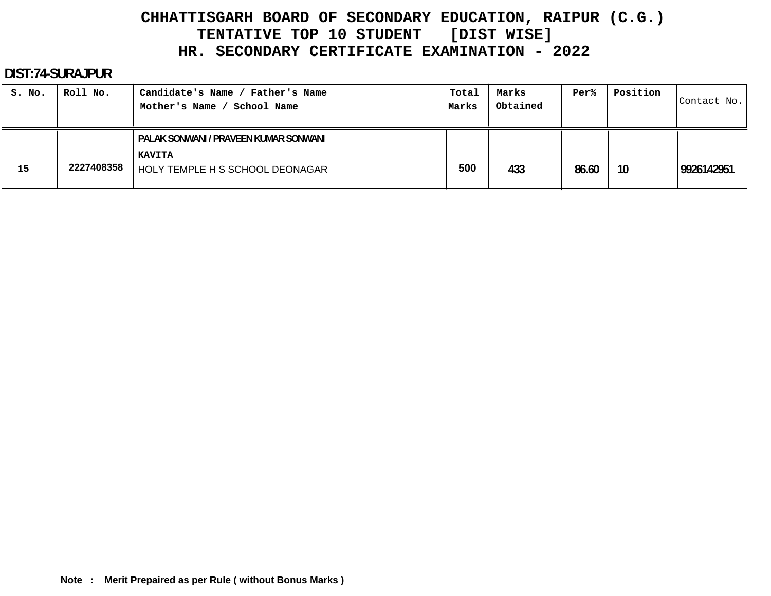#### **DIST:74-SURAJPUR**

| S. No. | Roll No.   | Candidate's Name / Father's Name<br>School Name<br>Mother's Name                          | Total<br>Marks | Marks<br>Obtained | Per%  | Position | Contact No. |
|--------|------------|-------------------------------------------------------------------------------------------|----------------|-------------------|-------|----------|-------------|
| 15     | 2227408358 | PALAK SONWANI / PRAVEEN KUMAR SONWANI<br><b>KAVITA</b><br>HOLY TEMPLE H S SCHOOL DEONAGAR | 500            | 433               | 86.60 | 10       | 9926142951  |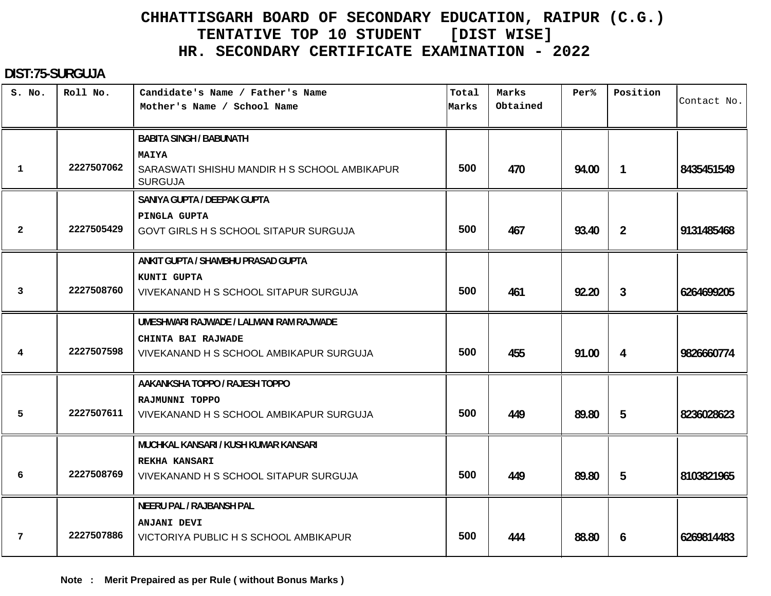#### **DIST:75-SURGUJA**

| S. No.       | Roll No.   | Candidate's Name / Father's Name<br>Mother's Name / School Name | Total<br>Marks | Marks<br>Obtained | Per <sup>8</sup> | Position       | Contact No. |
|--------------|------------|-----------------------------------------------------------------|----------------|-------------------|------------------|----------------|-------------|
|              |            |                                                                 |                |                   |                  |                |             |
|              |            | <b>BABITA SINGH / BABUNATH</b>                                  |                |                   |                  |                |             |
|              |            | <b>MAIYA</b>                                                    |                |                   |                  |                |             |
| 1            | 2227507062 | SARASWATI SHISHU MANDIR H S SCHOOL AMBIKAPUR<br><b>SURGUJA</b>  | 500            | 470               | 94.00            | $\mathbf{1}$   | 8435451549  |
|              |            | SANIYA GUPTA / DEEPAK GUPTA                                     |                |                   |                  |                |             |
|              |            | PINGLA GUPTA                                                    |                |                   |                  |                |             |
| $\mathbf{2}$ | 2227505429 | GOVT GIRLS H S SCHOOL SITAPUR SURGUJA                           | 500            | 467               | 93.40            | $\overline{2}$ | 9131485468  |
|              |            | ANKIT GUPTA / SHAMBHU PRASAD GUPTA                              |                |                   |                  |                |             |
|              |            | KUNTI GUPTA                                                     |                |                   |                  |                |             |
| 3            | 2227508760 | VIVEKANAND H S SCHOOL SITAPUR SURGUJA                           | 500            | 461               | 92.20            | $\mathbf{3}$   | 6264699205  |
|              |            | UMESHWARI RAJWADE / LALMANI RAM RAJWADE                         |                |                   |                  |                |             |
|              |            | CHINTA BAI RAJWADE                                              |                |                   |                  |                |             |
| 4            | 2227507598 | VIVEKANAND H S SCHOOL AMBIKAPUR SURGUJA                         | 500            | 455               | 91.00            | 4              | 9826660774  |
|              |            | AAKANKSHA TOPPO / RAJESH TOPPO                                  |                |                   |                  |                |             |
|              |            | RAJMUNNI TOPPO                                                  |                |                   |                  |                |             |
| 5            | 2227507611 | VIVEKANAND H S SCHOOL AMBIKAPUR SURGUJA                         | 500            | 449               | 89.80            | 5              | 8236028623  |
|              |            | MUCHKAL KANSARI / KUSH KUMAR KANSARI                            |                |                   |                  |                |             |
|              |            | <b>REKHA KANSARI</b>                                            |                |                   |                  |                |             |
| 6            | 2227508769 | VIVEKANAND H S SCHOOL SITAPUR SURGUJA                           | 500            | 449               | 89.80            | 5              | 8103821965  |
|              |            | <b>NEERU PAL / RAJBANSH PAL</b>                                 |                |                   |                  |                |             |
|              |            | ANJANI DEVI                                                     |                |                   |                  |                |             |
| 7            | 2227507886 | VICTORIYA PUBLIC H S SCHOOL AMBIKAPUR                           | 500            | 444               | 88.80            | 6              | 6269814483  |